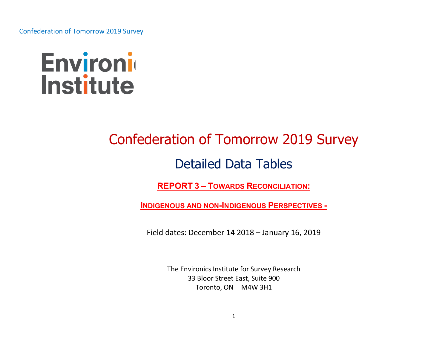

# Confederation of Tomorrow 2019 Survey

# Detailed Data Tables

REPORT 3 – TOWARDS RECONCILIATION:

INDIGENOUS AND NON-INDIGENOUS PERSPECTIVES -

Field dates: December 14 2018 – January 16, 2019

The Environics Institute for Survey Research 33 Bloor Street East, Suite 900 Toronto, ON M4W 3H1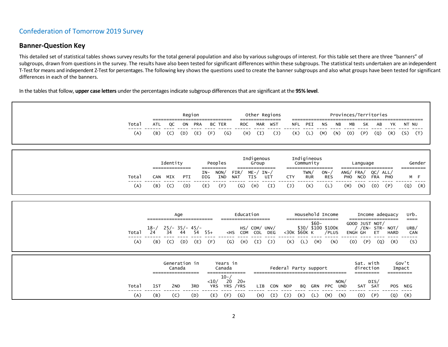### Banner-Question Key

This detailed set of statistical tables shows survey results for the total general population and also by various subgroups of interest. For this table set there are three "banners" of subgroups, drawn from questions in the survey. The results have also been tested for significant differences within these subgroups. The statistical tests undertaken are an independent T-Test for means and independent Z-Test for percentages. The following key shows the questions used to create the banner subgroups and also what groups have been tested for significant differences in each of the banners.

In the tables that follow, upper case letters under the percentages indicate subgroup differences that are significant at the 95% level.

|              |                       |                                    |                  | Region     |                       |                                |                                            |                                                        | Other Regions       |                                            |                                                         |                     | Provinces/Territories |     |                                         |                    |                                                                                 |                                |                     |
|--------------|-----------------------|------------------------------------|------------------|------------|-----------------------|--------------------------------|--------------------------------------------|--------------------------------------------------------|---------------------|--------------------------------------------|---------------------------------------------------------|---------------------|-----------------------|-----|-----------------------------------------|--------------------|---------------------------------------------------------------------------------|--------------------------------|---------------------|
| Total        | ATI                   | QC                                 | ON               | <b>PRA</b> |                       | <b>BC TER</b>                  | <b>ROC</b>                                 | <b>MAR</b>                                             | ------------<br>WST | <b>NFL</b>                                 | PEI                                                     | ΝS                  | ΝB                    | MВ  | SK                                      | AB                 | YΚ                                                                              | NT NU                          |                     |
| (A)          | (B)                   | (C)                                | (D)              | (E)        | (F)                   | $\mathsf{G}$                   | (H)                                        | (I)                                                    | $(\mathsf{J})$      | (K)                                        | (L)                                                     | (M)                 | (N)                   | (0) | (P)                                     | (Q)                | (R)                                                                             | (S)                            | (T)                 |
|              |                       | Identity<br>==============         |                  |            | =========             | Peoples                        |                                            | Indigenous<br>Group<br>==============                  |                     | ==================                         | Indigineous<br>Community                                |                     |                       |     | Language<br>====================        |                    |                                                                                 |                                | Gender<br>========= |
| Total        | <b>CAN</b>            | MIX                                | PTI              |            | $IN-$<br>DIG          | NON/<br>IND                    | FIN/<br><b>NAT</b>                         | $ME - / IN - /$<br><b>TIS</b>                          | UIT                 | <b>CTY</b>                                 | TWN/<br><b>RUR</b>                                      | $ON-$<br><b>RES</b> |                       | PHO | ANG/FRA/<br>NCO                         | QC/ALL/<br>FRA PHO |                                                                                 |                                | M F                 |
| (A)          | (B)                   | (C)                                | (D)              |            | (E)                   | (F)                            | $\left( G\right)$                          | (H)                                                    | (I)                 | $(\mathsf{J})$                             | (K)                                                     | (L)                 |                       | (M) | (N)                                     | (0)                | (P)                                                                             | $- -$<br>(Q)                   | (R)                 |
| Total<br>(A) | $18 - /$<br>24<br>(B) | $25/- 35/- 45/-$<br>34<br>(C)      | Age<br>44<br>(D) | 54<br>(E)  | $55+$<br>(F)          |                                | Education<br>$<$ HS<br>(H)<br>$\mathsf{G}$ | ---------------<br>HS/ COM/ UNV/<br>COM COL DEG<br>(I) | $\overline{J}$      | ===================<br><30K \$60K K<br>(K) | Household Income<br>$$60-$<br>\$30/ \$100 \$100K<br>(L) | (M)                 | /PLUS<br>(N)          | (0) | GOOD JUST NOT/<br><b>ENGH GH</b><br>(P) | ET.<br>(Q)         | Income adequacy<br>------------------<br>/ /EN- STR- NOT/<br><b>HARD</b><br>(R) | urb.<br>$====$<br>URB/<br>---- | CAN<br>(S)          |
|              |                       | Generation in<br>================= | Canada           |            |                       | Years in<br>Canada<br>$10 - /$ | ==============                             |                                                        |                     | Federal Party support                      |                                                         |                     |                       |     | Sat. with<br>direction<br>---------     |                    |                                                                                 | Gov't<br>Impact<br>=========   |                     |
| Total        | 1ST                   | 2 <sub>ND</sub>                    |                  | 3RD        | $<$ 10/<br><b>YRS</b> | 20                             | $20+$<br>YRS / YRS                         | LIB                                                    | CON                 | <b>NDP</b>                                 | GRN<br>BQ                                               | PPC                 | NON/<br>UND           |     | SAT SAT                                 | DIS/               | <b>POS</b>                                                                      | <b>NEG</b>                     |                     |
| (A)          | (B)                   | (C)                                |                  | (D)        | (E)                   | (F)                            | (G)                                        | (H)                                                    | (I)                 | $(1)$<br>(K)                               | (L)                                                     | (M)                 | (N)                   |     | (0)                                     | (P)                | (Q)                                                                             | (R)                            |                     |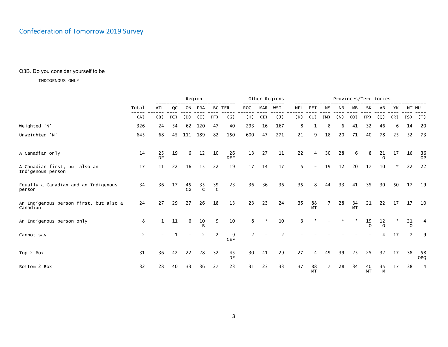### Q3B. Do you consider yourself to be

|                                                    |                |                          |     |          | Region             |               |                  |            |               | Other Regions  |            |                 |                | Provinces/Territories |                 |                |                |         |                |              |
|----------------------------------------------------|----------------|--------------------------|-----|----------|--------------------|---------------|------------------|------------|---------------|----------------|------------|-----------------|----------------|-----------------------|-----------------|----------------|----------------|---------|----------------|--------------|
|                                                    | Total          | <b>ATL</b>               | QC  |          | ON PRA             | <b>BC TER</b> |                  | <b>ROC</b> | <b>MAR</b>    | <b>WST</b>     | <b>NFL</b> | PEI             | <b>NS</b>      | <b>NB</b>             | MB              | SK             | AB             | YK      | NT NU          |              |
|                                                    | (A)            | (B)                      | (C) | (D)      | (E)                | (F)           | $\mathsf{(G)}$   | (H)        | (I)           | $(\mathsf{J})$ | (K)        | (L)             | (M)            | (N)                   | (0)             | (P)            | (Q)            | (R)     | (S)            | (T)          |
| Weighted 'N'                                       | 326            | 24                       | 34  | 62       | 120                | 47            | 40               | 293        | 16            | 167            | 8          |                 | 8              | 6                     | 41              | 32             | 46             | 6       | 14             | 20           |
| Unweighted 'N'                                     | 645            | 68                       | 45  | 111      | 189                | 82            | 150              | 600        | 47            | 271            | 21         | 9               | 18             | 20                    | 71              | 40             | 78             | 25      | 52             | 73           |
| A Canadian only                                    | 14             | 25<br>DF                 | 19  | 6        | 12                 | 10            | 26<br><b>DEF</b> | 13         | 27            | 11             | 22         | 4               | 30             | 28                    | 6               | 8              | 21<br>$\Omega$ | 17      | 16             | $rac{36}{9}$ |
| A Canadian first, but also an<br>Indigenous person | 17             | 11                       | 22  | 16       | 15                 | 22            | 19               | $17\,$     | 14            | 17             | 5          |                 | 19             | 12                    | 20              | 17             | 10             | *       | 22             | 22           |
| Equally a Canadian and an Indigenous<br>person     | 34             | 36                       | 17  | 45<br>CG | $rac{35}{C}$       | $rac{39}{C}$  | 23               | 36         | 36            | 36             | 35         | 8               | 44             | 33                    | 41              | 35             | 30             | 50      | 17             | 19           |
| An Indigenous person first, but also a<br>Canadian | 24             | 27                       | 29  | 27       | 26                 | 18            | 13               | 23         | 23            | 24             | 35         | 88<br>MT        | $\overline{7}$ | 28                    | 34<br><b>MT</b> | 21             | 22             | 17      | 17             | 10           |
| An Indigenous person only                          | 8              |                          | 11  | 6        | 10<br><sub>R</sub> | 9             | 10               | 8          | $\mathcal{R}$ | 10             | 3          | ☆               |                |                       | ☆               | 19<br>$\Omega$ | 12<br>$\Omega$ | $\star$ | 21<br>$\Omega$ | 4            |
| Cannot say                                         | $\overline{2}$ | $\overline{\phantom{0}}$ |     |          |                    |               | 9<br><b>CEF</b>  | 2          |               | $\overline{2}$ |            |                 |                |                       |                 |                | 4              | 17      | $\overline{7}$ | 9            |
| Top 2 Box                                          | 31             | 36                       | 42  | 22       | 28                 | 32            | 45<br>DE         | 30         | 41            | 29             | 27         | 4               | 49             | 39                    | 25              | 25             | 32             | 17      | 38             | - 58<br>OPQ  |
| Bottom 2 Box                                       | 32             | 28                       | 40  | 33       | 36                 | 27            | 23               | 31         | 23            | 33             | 37         | 88<br><b>MT</b> | 7              | 28                    | 34              | 40<br>MT       | 35<br>M        | 17      | 38             | 14           |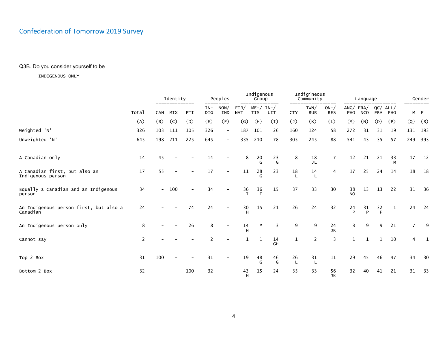### Q3B. Do you consider yourself to be

|                                                    |       |                          | Identity<br>============== |                          |              | Peoples<br>=========     |                    | Indigenous<br>Group    | ============== | =====          | Indigineous<br>Community | ======              | $==$            | Language       |                   | --------    | =========      | Gender |
|----------------------------------------------------|-------|--------------------------|----------------------------|--------------------------|--------------|--------------------------|--------------------|------------------------|----------------|----------------|--------------------------|---------------------|-----------------|----------------|-------------------|-------------|----------------|--------|
|                                                    | Total | <b>CAN</b>               | MIX                        | PTI                      | $IN-$<br>DIG | NON/<br><b>IND</b>       | FIN/<br><b>NAT</b> | $ME - /$<br><b>TIS</b> | $IN-$<br>UIT   | <b>CTY</b>     | TWN/<br><b>RUR</b>       | $ON-$<br><b>RES</b> | ANG/FRA/<br>PHO | <b>NCO</b>     | QC/<br><b>FRA</b> | ALL/<br>PHO | M F            |        |
|                                                    | (A)   | (B)                      | (C)                        | (D)                      | (E)          | (F)                      | $\left( G\right)$  | (H)                    | (I)            | $(\mathsf{J})$ | (K)                      | (L)                 | (M)             | (N)            | (0)               | (P)         | (Q)            | (R)    |
| Weighted 'N'                                       | 326   | 103                      | 111                        | 105                      | 326          |                          | 187                | 101                    | 26             | 160            | 124                      | 58                  | 272             | 31             | 31                | 19          | 131 193        |        |
| Unweighted 'N'                                     | 645   | 198                      | 211                        | 225                      | 645          | $\overline{\phantom{0}}$ | 335                | 210                    | 78             | 305            | 245                      | 88                  | 541             | 43             | 35                | 57          | 249 393        |        |
| A Canadian only                                    | 14    | 45                       |                            |                          | 14           |                          | 8                  | 20<br>G                | 23<br>G        | 8              | 18<br><b>JL</b>          | $\overline{7}$      | 12              | 21             | 21                | 33<br>м     | 17             | 12     |
| A Canadian first, but also an<br>Indigenous person | 17    | 55                       |                            |                          | 17           |                          | 11                 | $\frac{28}{G}$         | 23             | 18             | 14<br>$\mathbf{I}$       | 4                   | 17              | 25             | 24                | 14          | 18             | 18     |
| Equally a Canadian and an Indigenous<br>person     | 34    | $\overline{\phantom{a}}$ | 100                        | $\overline{\phantom{a}}$ | 34           |                          | $\frac{36}{t}$     | $\frac{36}{1}$         | 15             | 37             | 33                       | 30                  | 38<br>NO        | 13             | 13                | 22          | 31             | 36     |
| An Indigenous person first, but also a<br>Canadian | 24    |                          |                            | 74                       | 24           |                          | $30\,$<br>н        | 15                     | 21             | 26             | 24                       | 32                  | 24<br>P         | $\frac{31}{P}$ | 32<br>Þ           | 1           | 24             | 24     |
| An Indigenous person only                          | 8     |                          |                            | 26                       | 8            |                          | 14<br>н            | $\star$                | 3              | 9              | 9                        | 24<br>JK            | 8               | 9              | 9                 | 21          | $\overline{7}$ | 9      |
| Cannot say                                         | 2     |                          |                            |                          |              |                          | 1                  |                        | 14<br>GH       | $\mathbf{1}$   | $\overline{2}$           | 3                   | $\mathbf{1}$    | 1              |                   | 10          | 4              | 1      |
| Top 2 Box                                          | 31    | 100                      |                            |                          | 31           |                          | 19                 | 48<br>G                | 46<br>G        | 26             | 31                       | 11                  | 29              | 45             | 46                | 47          | 34             | 30     |
| Bottom 2 Box                                       | 32    |                          |                            | 100                      | 32           |                          | 43<br>H            | 15                     | 24             | 35             | 33                       | 56<br>JK            | 32              | 40             | 41                | 21          | 31             | 33     |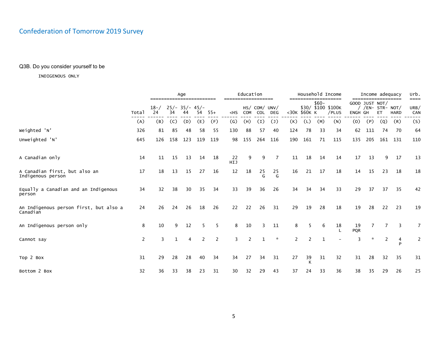### Q3B. Do you consider yourself to be

|                                                    |                       |                                 |              | Age |     |                |                                                                                                                                                                                                                                                                                                                                                   | Education |         |                      |                       |              |        | Household Income                                    |                  | Income adequacy                                          |     |             | urb.                |
|----------------------------------------------------|-----------------------|---------------------------------|--------------|-----|-----|----------------|---------------------------------------------------------------------------------------------------------------------------------------------------------------------------------------------------------------------------------------------------------------------------------------------------------------------------------------------------|-----------|---------|----------------------|-----------------------|--------------|--------|-----------------------------------------------------|------------------|----------------------------------------------------------|-----|-------------|---------------------|
|                                                    | Total                 | $18- / 25/ - 35/ - 45/ -$<br>24 | 34           | 44  | 54  | - 55+          | <hs< th=""><th>COM</th><th>COL</th><th>HS/ COM/ UNV/<br/>DEG</th><th></th><th>&lt;30K \$60K K</th><th><math>\$60-</math></th><th>--------------------<br/>\$30/ \$100 \$100K<br/>/PLUS</th><th>ENGH GH</th><th>==================<br/>GOOD JUST NOT/<br/>/ /EN- STR- NOT/</th><th>ET</th><th><b>HARD</b></th><th>====<br/>URB/<br/>CAN</th></hs<> | COM       | COL     | HS/ COM/ UNV/<br>DEG |                       | <30K \$60K K | $$60-$ | --------------------<br>\$30/ \$100 \$100K<br>/PLUS | ENGH GH          | ==================<br>GOOD JUST NOT/<br>/ /EN- STR- NOT/ | ET  | <b>HARD</b> | ====<br>URB/<br>CAN |
|                                                    | (A)                   | (B)                             | (C)          | (D) | (E) | (F)            | $\left( G\right)$                                                                                                                                                                                                                                                                                                                                 | (H)       | (I)     | $(\mathsf{J})$       | (K)                   | (L)          | (M)    | (N)                                                 | (0)              | (P)                                                      | (Q) | (R)         | (S)                 |
| Weighted 'N'                                       | 326                   | 81                              | 85           | 48  | 58  | 55             | 130                                                                                                                                                                                                                                                                                                                                               | 88        | 57      | 40                   | 124                   | 78           | 33     | 34                                                  | 62               | 111                                                      | 74  | - 70        | 64                  |
| Unweighted 'N'                                     | 645                   | 126                             | 158          | 123 | 119 | 119            | 98                                                                                                                                                                                                                                                                                                                                                | 155       | 264     | 116                  | 190                   | 161          | 71     | 115                                                 | 135              | 205                                                      |     | 161 131     | 110                 |
| A Canadian only                                    | 14                    | 11                              | 15           | 13  | 14  | 18             | 22<br>HIJ                                                                                                                                                                                                                                                                                                                                         | 9         | 9       | 7                    | 11                    | 18           | 14     | 14                                                  | 17               | 13                                                       |     | 17          | 13                  |
| A Canadian first, but also an<br>Indigenous person | 17                    | 18                              | 13           | 15  | 27  | 16             | 12                                                                                                                                                                                                                                                                                                                                                | 18        | 25<br>G | 25<br>G              | 16                    | 21           | 17     | 18                                                  | 14               | 15                                                       | 23  | 18          | 18                  |
| Equally a Canadian and an Indigenous<br>person     | 34                    | 32                              | 38           | 30  | 35  | 34             | 33                                                                                                                                                                                                                                                                                                                                                | 39        | 36      | 26                   | 34                    | 34           | 34     | 33                                                  | 29               | 37                                                       | 37  | 35          | 42                  |
| An Indigenous person first, but also a<br>Canadian | 24                    | 26                              | 24           | 26  | 18  | 26             | 22                                                                                                                                                                                                                                                                                                                                                | 22        | 26      | 31                   | 29                    | 19           | 28     | 18                                                  | 19               | 28                                                       | 22  | 23          | 19                  |
| An Indigenous person only                          | 8                     | 10                              | 9            | 12  | 5   | 5              | 8                                                                                                                                                                                                                                                                                                                                                 | 10        | 3       | 11                   | 8                     | -5           | 6      | 18                                                  | 19<br><b>PQR</b> |                                                          |     | 3           | $\overline{7}$      |
| Cannot say                                         | $\mathbf{2}^{\prime}$ | 3                               | $\mathbf{1}$ | 4   | 2   | $\overline{2}$ | 3                                                                                                                                                                                                                                                                                                                                                 | 2         | 1       | ☆                    | $\mathbf{2}^{\prime}$ | 2            | 1      |                                                     | 3                | $\mathcal{R}$                                            | 2   | 4<br>D      | 2                   |
| Top 2 Box                                          | 31                    | 29                              | 28           | 28  | 40  | 34             | 34                                                                                                                                                                                                                                                                                                                                                | 27        | 34      | 31                   | 27                    | 39<br>К      | 31     | 32                                                  | 31               | 28                                                       | 32  | 35          | 31                  |
| Bottom 2 Box                                       | 32                    | 36                              | 33           | 38  | 23  | 31             | 30                                                                                                                                                                                                                                                                                                                                                | 32        | 29      | 43                   | 37                    | 24           | 33     | 36                                                  | 38               | 35                                                       | 29  | 26          | 25                  |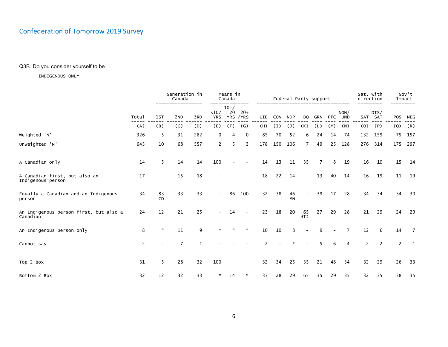### Q3B. Do you consider yourself to be

|                                                    |       |                          | Generation in<br>Canada              |     |                          | Years in<br>Canada         |                   |               |     | Federal Party support |                |                |            |                    | Sat. with<br>direction |                 |         | Gov't<br>Impact |
|----------------------------------------------------|-------|--------------------------|--------------------------------------|-----|--------------------------|----------------------------|-------------------|---------------|-----|-----------------------|----------------|----------------|------------|--------------------|------------------------|-----------------|---------|-----------------|
|                                                    | Total | 1st                      | =================<br>2 <sub>ND</sub> | 3RD | <10/<br><b>YRS</b>       | $10 - /$<br>20<br>YRS /YRS | ========<br>$20+$ | <b>LIB</b>    | CON | <b>NDP</b>            | BQ             | GRN            | <b>PPC</b> | NON/<br><b>UND</b> |                        | DIS/<br>SAT SAT | POS     | =====<br>NEG    |
|                                                    | (A)   | (B)                      | (C)                                  | (D) | (E)                      | (F)                        | $\mathsf{(G)}$    | (H)           | (I) | $(\mathsf{J})$        | (K)            | (L)            | (M)        | (N)                | (0)                    | (P)             | $\circ$ | (R)             |
| Weighted 'N'                                       | 326   | 5                        | 31                                   | 282 | 0                        | 4                          | 0                 | 85            | 70  | 52                    | 6              | 24             | 14         | 74                 |                        | 132 159         |         | 75 157          |
| Unweighted 'N'                                     | 645   | 10                       | 68                                   | 557 | $\overline{2}$           | 5                          | 3                 | 178           | 150 | 106                   | $\overline{7}$ | 49             | 25         | 128                | 276                    | 314             | 175     | 297             |
| A Canadian only                                    | 14    | 5                        | 14                                   | 14  | 100                      |                            |                   | 14            | 13  | 11                    | 35             | $\overline{7}$ | 8          | 19                 | 16                     | 10              | 15      | 14              |
| A Canadian first, but also an<br>Indigenous person | 17    | $\overline{\phantom{0}}$ | 15                                   | 18  |                          |                            |                   | 18            | 22  | 14                    |                | 13             | 40         | 14                 | 16                     | 19              | 11      | 19              |
| Equally a Canadian and an Indigenous<br>person     | 34    | 83<br>CD                 | 33                                   | 33  | $\overline{\phantom{a}}$ | 86                         | 100               | 32            | 38  | 46<br>MN              |                | 39             | 17         | 28                 | 34                     | 34              | 34      | 30              |
| An Indigenous person first, but also a<br>Canadian | 24    | 12                       | 21                                   | 25  |                          | 14                         |                   | 23            | 18  | 20                    | 65<br>HIJ      | 27             | 29         | 28                 | 21                     | 29              | 24      | 29              |
| An Indigenous person only                          | 8     | $\star$                  | 11                                   | 9   |                          |                            | $\star$           | 10            | 10  | 8                     |                | 9              |            | 7                  | 12                     | 6               | 14      | $\overline{7}$  |
| Cannot say                                         | 2     |                          | $\overline{7}$                       | 1   |                          |                            |                   | $\mathcal{P}$ |     |                       |                |                | 6          | $\overline{4}$     | $\overline{2}$         | 2               | 2       | 1               |
| Top 2 Box                                          | 31    | 5                        | 28                                   | 32  | 100                      |                            |                   | 32            | 34  | 25                    | 35             | 21             | 48         | 34                 | 32                     | 29              | 26      | 33              |
| Bottom 2 Box                                       | 32    | 12                       | 32                                   | 33  | *                        | 14                         | *                 | 33            | 28  | 29                    | 65             | 35             | 29         | 35                 | 32                     | 35              | 38      | 35              |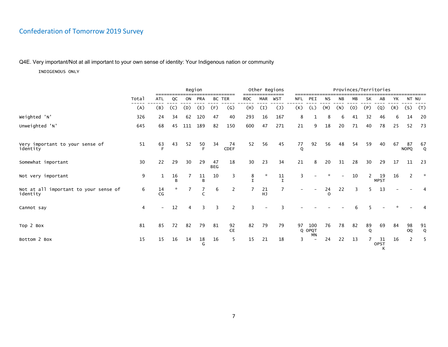### Q4E. Very important/Not at all important to your own sense of identity: Your Indigenous nation or community

|                                                   |       | Region<br>ON PRA<br><b>BC TER</b><br><b>ATL</b><br>QC<br>(B)<br>(E)<br>(F)<br>$\left( G\right)$<br>(C)<br>(D) |         |     |            |                  |                   |            |           | Other Regions      |                    |                            |                | Provinces/Territories |     |         |                   |     |                   |                           |
|---------------------------------------------------|-------|---------------------------------------------------------------------------------------------------------------|---------|-----|------------|------------------|-------------------|------------|-----------|--------------------|--------------------|----------------------------|----------------|-----------------------|-----|---------|-------------------|-----|-------------------|---------------------------|
|                                                   | Total |                                                                                                               |         |     |            |                  |                   | <b>ROC</b> | MAR       | <b>WST</b>         | NFL                | PEI                        | <b>NS</b>      | <b>NB</b>             | МB  | SK      | AB                | YK  | NT NU             |                           |
|                                                   | (A)   |                                                                                                               |         |     |            |                  |                   | (H)        | (I)       | $(\mathsf{J})$     | (K)                | (L)                        | (M)            | (N)                   | (0) | (P)     | (Q)               | (R) | (S)               | (T)                       |
| Weighted 'N'                                      | 326   | 24                                                                                                            | 34      | 62  | 120        | 47               | 40                | 293        | 16        | 167                | 8                  | 1                          | 8              | 6                     | 41  | 32      | 46                | 6   | 14                | 20                        |
| Unweighted 'N'                                    | 645   | 68                                                                                                            | 45      | 111 | 189        | 82               | 150               | 600        | 47        | 271                | 21                 | 9                          | 18             | 20                    | 71  | 40      | 78                | 25  | 52                | 73                        |
| Very important to your sense of<br>identity       | 51    | 63                                                                                                            | 43      | 52  | 50<br>E    | 34               | 74<br><b>CDEF</b> | 52         | 56        | 45                 | 77<br>$\mathsf{Q}$ | 92                         | 56             | 48                    | 54  | 59      | 40                | 67  | 87<br><b>NOPQ</b> | $^{67}_{\qquad \text{Q}}$ |
| Somewhat important                                | 30    | 22                                                                                                            | 29      | 30  | 29         | 47<br><b>BEG</b> | 18                | 30         | 23        | 34                 | 21                 | 8                          | 20             | 31                    | 28  | 30      | 29                | 17  | 11                | 23                        |
| Not very important                                | 9     | $\mathbf{1}$                                                                                                  | 16<br>R |     | 11<br>R    | 10               | 3                 | 8          | 大         | 11<br>$\mathsf{T}$ | $\overline{3}$     |                            | ☆              |                       | 10  |         | 19<br><b>MPST</b> | 16  | $\overline{2}$    | $\mathcal{R}$             |
| Not at all important to your sense of<br>identity | 6     | 14<br>CG                                                                                                      |         |     | $\epsilon$ | 6                | 2                 |            | 21<br>HJ. | $\overline{7}$     |                    |                            | 24<br>$\Omega$ | 22                    | 3   | 5       | 13                |     |                   |                           |
| Cannot say                                        | 4     | $\overline{\phantom{0}}$                                                                                      | 12      | 4   | 3          | 3                | 2                 | 3          |           | २                  |                    |                            |                |                       |     |         |                   |     |                   |                           |
| Top 2 Box                                         | 81    | 85                                                                                                            | 72      | 82  | 79         | 81               | 92<br><b>CE</b>   | 82         | 79        | 79                 | 97                 | 100<br>Q OPQT<br><b>MN</b> | 76             | 78                    | 82  | 89<br>Q | 69                | 84  | 98<br>OQ          | 91<br>Q                   |
| Bottom 2 Box                                      | 15    | 15                                                                                                            | 16      | 14  | 18<br>G    | 16               | 5                 | 15         | 21        | 18                 | 3                  | $\overline{\phantom{a}}$   | 24             | 22                    | 13  | 7       | 31<br>OPST<br>K   | 16  | 2                 | 5                         |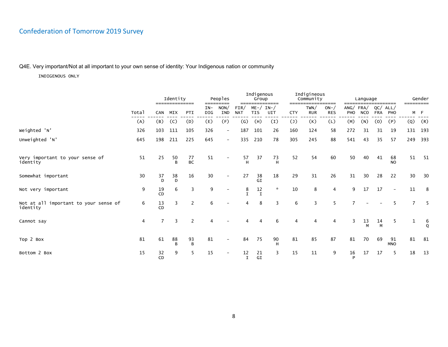### Q4E. Very important/Not at all important to your own sense of identity: Your Indigenous nation or community

|                                                   |       |          | Identity<br>--------------- |          | =====        | Peoples<br>----   |                    | Indigenous<br>Group         | ============== |                | Indigineous<br>Community | ======              |         | Language               |            | ---------                | =========    | Gender        |
|---------------------------------------------------|-------|----------|-----------------------------|----------|--------------|-------------------|--------------------|-----------------------------|----------------|----------------|--------------------------|---------------------|---------|------------------------|------------|--------------------------|--------------|---------------|
|                                                   | Total | CAN      | MIX                         | PTI      | $IN-$<br>DIG | NON/<br>IND       | FIN/<br><b>NAT</b> | $ME- / IN- /$<br><b>TIS</b> | UIT            | <b>CTY</b>     | TWN/<br><b>RUR</b>       | $ON-$<br><b>RES</b> | PHO     | ANG/FRA/<br><b>NCO</b> | <b>FRA</b> | QC/ALL/<br>PHO           |              | M F           |
|                                                   | (A)   | (B)      | (C)                         | (D)      | (E)          | (F)               | $\left( G\right)$  | (H)                         | (I)            | $(\mathsf{J})$ | (K)                      | (L)                 | (M)     | (N)                    | (0)        | (P)                      | (Q)          | (R)           |
| Weighted 'N'                                      | 326   | 103      | 111                         | 105      | 326          | $\qquad \qquad -$ | 187                | 101                         | 26             | 160            | 124                      | 58                  | 272     | 31                     | 31         | 19                       | 131          | 193           |
| Unweighted 'N'                                    | 645   | 198      | 211                         | 225      | 645          | $-$               | 335                | 210                         | 78             | 305            | 245                      | 88                  | 541     | 43                     | 35         | 57                       | 249          | 393           |
| Very important to your sense of<br>identity       | 51    | 25       | 50<br>B                     | 77<br>BC | 51           |                   | 57<br>H            | 37                          | 73<br>H        | 52             | 54                       | 60                  | 50      | 40                     | 41         | 68<br><b>NO</b>          | 51           | 51            |
| Somewhat important                                | 30    | 37<br>D  | 38<br>D                     | 16       | 30           |                   | 27                 | 38<br>GI                    | 18             | 29             | 31                       | 26                  | 31      | 30                     | 28         | 22                       | 30           | 30            |
| Not very important                                | 9     | 19<br>CD | 6                           | 3        | 9            |                   | 8                  | 12<br>$\mathbf I$           | $\star$        | 10             | 8                        | 4                   | 9       | 17                     | 17         | $\overline{\phantom{a}}$ | 11           | 8             |
| Not at all important to your sense of<br>identity | 6     | 13<br>CD | 3                           | 2        | 6            |                   | 4                  | 8                           | 3              | 6              | 3                        | 5                   |         |                        |            | 5                        | 7            | -5            |
| Cannot say                                        | 4     | 7        | 3                           | 2        | 4            |                   |                    | 4                           | 6              | 4              | $\overline{4}$           | 4                   | 3       | 13<br>M                | 14<br>M    | 5                        | $\mathbf{1}$ | $\frac{6}{9}$ |
| Top 2 Box                                         | 81    | 61       | 88<br>В                     | 93<br>B  | 81           |                   | 84                 | 75                          | 90<br>н        | 81             | 85                       | 87                  | 81      | 70                     | 69         | 91<br><b>MNO</b>         | 81           | 81            |
| Bottom 2 Box                                      | 15    | 32<br>CD | 9                           | 5        | 15           |                   | 12<br>I            | 21<br>GI                    | 3              | 15             | 11                       | 9                   | 16<br>P | 17                     | 17         | 5                        | 18           | 13            |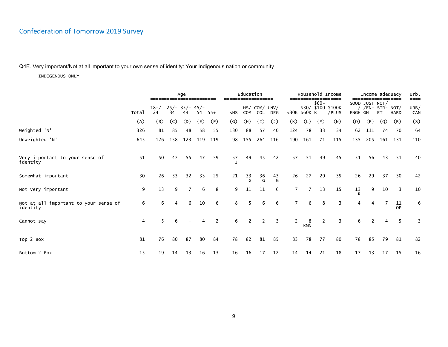### Q4E. Very important/Not at all important to your own sense of identity: Your Indigenous nation or community

|                                                   |       |                |                        | Age |     |       |                   | Education  |                             |               |     |                 |        | Household Income            |                           | Income adequacy  | ========== |             | Urb.<br>==== |
|---------------------------------------------------|-------|----------------|------------------------|-----|-----|-------|-------------------|------------|-----------------------------|---------------|-----|-----------------|--------|-----------------------------|---------------------------|------------------|------------|-------------|--------------|
|                                                   | Total | $18 - /$<br>24 | $25/- 35/- 45/-$<br>34 | 44  | 54  | $55+$ | $<$ HS            | <b>COM</b> | HS/ COM/ UNV/<br><b>COL</b> | <b>DEG</b>    |     | <30K \$60K K    | $$60-$ | \$30/ \$100 \$100K<br>/PLUS | GOOD JUST NOT/<br>ENGH GH | / /EN- STR- NOT/ | ET.        | <b>HARD</b> | URB/<br>CAN  |
|                                                   | (A)   | (B)            | (C)                    | (D) | (E) | (F)   | $\left( G\right)$ | (H)        | (I)                         | $\mathcal{L}$ | (K) | (L)             | (M)    | (N)                         | (0)                       | (P)              | (Q)        | (R)         | (S)          |
| Weighted 'N'                                      | 326   | 81             | 85                     | 48  | 58  | 55    | 130               | 88         | 57                          | 40            | 124 | 78              | 33     | 34                          | 62                        | 111              | 74         | -70         | 64           |
| Unweighted 'N'                                    | 645   | 126            | 158                    | 123 | 119 | 119   | 98                | 155        | 264                         | 116           | 190 | 161             | 71     | 115                         | 135                       | 205              |            | 161 131     | 110          |
| Very important to your sense of<br>identity       | 51    | 50             | 47                     | 55  | 47  | 59    | 57                | 49         | 45                          | 42            | 57  | 51              | 49     | 45                          | 51                        | 56               | 43         | 51          | 40           |
| Somewhat important                                | 30    | 26             | 33                     | 32  | 33  | 25    | 21                | 33<br>G    | 36<br>G                     | 43<br>G       | 26  | 27              | 29     | 35                          | 26                        | 29               | 37         | 30          | 42           |
| Not very important                                | 9     | 13             | 9                      | 7   | 6   | 8     | 9                 | 11         | 11                          | 6             | 7   | 7               | 13     | 15                          | 13<br>R                   | 9                | 10         | 3           | 10           |
| Not at all important to your sense of<br>identity | 6     | 6              | 4                      | 6   | 10  | 6     | 8                 | 5          | 6                           | 6             |     | 6               | 8      | 3                           | 4                         | 4                |            | 11<br>OP    | 6            |
| Cannot say                                        | 4     | 5              | 6                      |     | 4   | 2     | 6                 | 2          | 2                           | 3             | 2   | 8<br><b>KMN</b> | 2      | 3                           | 6                         |                  | 4          | 5           | 3            |
| Top 2 Box                                         | 81    | 76             | 80                     | 87  | 80  | 84    | 78                | 82         | 81                          | 85            | 83  | 78              | 77     | 80                          | 78                        | 85               | 79         | 81          | 82           |
| Bottom 2 Box                                      | 15    | 19             | 14                     | 13  | 16  | 13    | 16                | 16         | 17                          | 12            | 14  | 14              | 21     | 18                          | 17                        | 13               | 17         | 15          | 16           |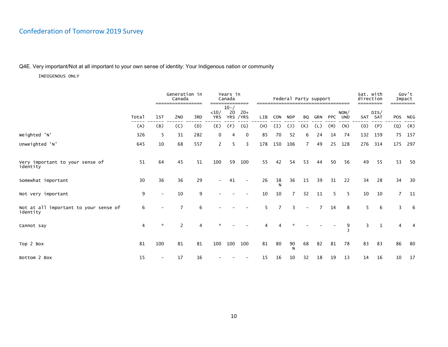### Q4E. Very important/Not at all important to your own sense of identity: Your Indigenous nation or community

|                                                   |                |                          | Generation in<br>Canada              |     |                               | Years in<br>Canada |                              |                        |                | Federal Party support |                |     |            |                    | Sat. with<br>direction |                 |                | Gov't<br>Impact  |
|---------------------------------------------------|----------------|--------------------------|--------------------------------------|-----|-------------------------------|--------------------|------------------------------|------------------------|----------------|-----------------------|----------------|-----|------------|--------------------|------------------------|-----------------|----------------|------------------|
|                                                   | Total          | 1ST                      | =================<br>2 <sub>ND</sub> | 3RD | $====$<br>$10/$<br><b>YRS</b> | $10 - /$<br>20     | =======<br>$20+$<br>YRS /YRS | ========<br><b>LIB</b> | <b>CON</b>     | <b>NDP</b>            | <b>BO</b>      | GRN | <b>PPC</b> | NON/<br><b>UND</b> |                        | DIS/<br>SAT SAT | POS            | =========<br>NEG |
|                                                   | (A)            | (B)                      | (C)                                  | (D) | (E)                           | (F)                | $\left( G\right)$            | (H)                    | (I)            | $(\mathsf{J})$        | (K)            | (L) | (M)        | (N)                | (0)                    | (P)             | (Q)            | (R)              |
| Weighted 'N'                                      | 326            | 5                        | 31                                   | 282 | $\mathbf 0$                   | 4                  | 0                            | 85                     | 70             | 52                    | 6              | 24  | 14         | 74                 | 132                    | 159             | 75             | 157              |
| Unweighted 'N'                                    | 645            | 10                       | 68                                   | 557 | $\mathbf{2}$                  | 5                  | 3                            | 178                    | 150            | 106                   | $\overline{7}$ | 49  | 25         | 128                | 276                    | 314             | 175            | 297              |
| Very important to your sense of<br>identity       | 51             | 64                       | 45                                   | 51  | 100                           | 59                 | 100                          | 55                     | 42             | 54                    | 53             | 44  | 50         | 56                 | 49                     | 55              | 53             | 50               |
| Somewhat important                                | 30             | 36                       | 36                                   | 29  |                               | 41                 |                              | 26                     | $\frac{38}{N}$ | 36                    | 15             | 39  | 31         | 22                 | 34                     | 28              | 34             | 30               |
| Not very important                                | 9              | $\overline{\phantom{0}}$ | 10                                   | 9   |                               |                    |                              | 10                     | 10             | $\overline{7}$        | 32             | 11  | 5          | 5                  | 10                     | 10              | $\overline{7}$ | 11               |
| Not at all important to your sense of<br>identity | 6              |                          |                                      | 6   |                               |                    |                              | 5                      |                | 3                     |                |     | 14         | 8                  | 5                      | 6               | 3              | - 6              |
| Cannot say                                        | $\overline{4}$ | ☆                        | $\overline{2}$                       | 4   |                               |                    |                              |                        |                |                       |                |     |            | 9                  | 3                      | $\mathbf{1}$    | 4              | 4                |
| Top 2 Box                                         | 81             | 100                      | 81                                   | 81  | 100                           | 100                | 100                          | 81                     | 80             | 90<br>N               | 68             | 82  | 81         | 78                 | 83                     | 83              | 86             | 80               |
| Bottom 2 Box                                      | 15             |                          | 17                                   | 16  |                               |                    |                              | 15                     | 16             | 10                    | 32             | 18  | 19         | 13                 | 14                     | 16              | 10             | 17               |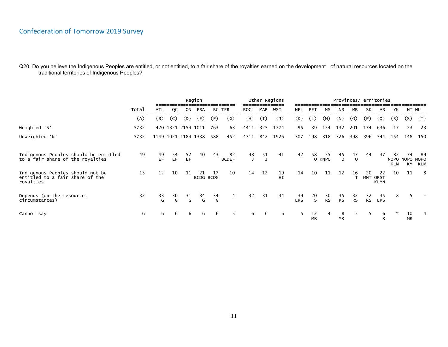|                                                                                  |       |          |          |                     | Region                 |         |                    |            |     | Other Regions |           |                 |                 |                 |                 | Provinces/Territories |                   |                        |                 |                           |
|----------------------------------------------------------------------------------|-------|----------|----------|---------------------|------------------------|---------|--------------------|------------|-----|---------------|-----------|-----------------|-----------------|-----------------|-----------------|-----------------------|-------------------|------------------------|-----------------|---------------------------|
|                                                                                  | Total | ATL      | QC       | ON                  | PRA                    |         | BC TER             | <b>ROC</b> | MAR | WST           | NFL       | PEI             | NS              | <b>NB</b>       | МB              | SK                    | AB                | YK.                    | NT NU           |                           |
|                                                                                  | (A)   | (B)      | (C)      | (D)                 | (E)                    | (F)     | (G)                | (H)        | (I) | (J)           | (K)       | (L)             | (M)             | (N)             | (0)             | (P)                   | (Q)               | (R)                    | (S)             | (T)                       |
| Weighted 'N'                                                                     | 5732  |          |          | 420 1321 2154 1011  |                        | 763     | 63                 | 4411       | 325 | 1774          | 95        | 39              | 154             | 132             | 201             | 174                   | 636               | 17                     | 23              | -23                       |
| Unweighted 'N'                                                                   | 5732  |          |          | 1149 1021 1184 1338 |                        | 588     | 452                | 4711       | 842 | 1926          | 307       | 198             | 318             | 326             | 398             | 396                   | 544               | 154                    | 148             | 150                       |
| Indigenous Peoples should be entitled<br>to a fair share of the royalties        | 49    | 49<br>EF | 54<br>EF | 52<br>EF            | 40                     | 43      | 82<br><b>BCDEF</b> | 48<br>J    | 51  | 41            | 42        | 58              | 55<br>Q KNPQ    | 45<br>Q         | 47<br>Q         | 44                    | 37                | 82<br>NOPQ NOPQ<br>KLM | 74<br>KM        | -89<br><b>NOPQ</b><br>KLM |
| Indigenous Peoples should not be<br>entitled to a fair share of the<br>royalties | 13    | 12       | 10       | 11                  | 21<br><b>BCDG BCDG</b> | 17      | 10                 | 14         | 12  | 19<br>HI      | 14        | 10              | 11              | 12              | 16              | 20<br>MNT ORST        | 22<br><b>KLMN</b> | 10                     | 11              | - 8                       |
| Depends (on the resource,<br>circumstances)                                      | 32    | 33<br>G  | 30<br>G  | 31<br>G             | 34<br>G                | 34<br>G | 4                  | 32         | 31  | 34            | 39<br>LRS | 20<br>S.        | 30<br><b>RS</b> | 35<br><b>RS</b> | 32<br><b>RS</b> | 32<br><b>RS</b>       | 35<br><b>LRS</b>  | 8                      |                 |                           |
| Cannot say                                                                       | 6     | 6        | 6        | 6                   | 6                      | 6       | 5                  | 6          | 6   | 6             | 5         | 12<br><b>MR</b> | 4               | 8<br><b>MR</b>  |                 |                       | 6                 | *                      | 10<br><b>MR</b> | 4                         |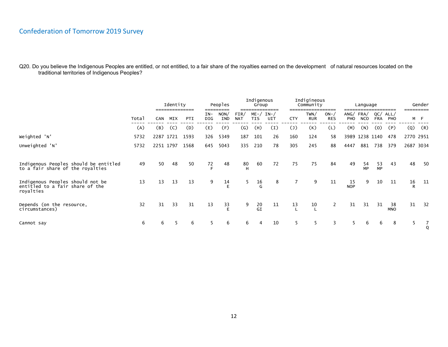|                                                                                  |       |           | Identity |      |                | Peoples            |                    | Indigenous<br>Group         |     |                | Indigineous<br>Community<br>------------ |                     |                  | Language               |                   |                  |     | Gender    |
|----------------------------------------------------------------------------------|-------|-----------|----------|------|----------------|--------------------|--------------------|-----------------------------|-----|----------------|------------------------------------------|---------------------|------------------|------------------------|-------------------|------------------|-----|-----------|
|                                                                                  | Total | CAN       | MIX      | PTI  | $IN-$<br>DIG   | NON/<br><b>IND</b> | FIN/<br><b>NAT</b> | $ME- / IN- /$<br><b>TIS</b> | UIT | <b>CTY</b>     | TWN/<br><b>RUR</b>                       | $ON-$<br><b>RES</b> | PHO              | ANG/FRA/<br><b>NCO</b> | QC/<br><b>FRA</b> | ALL/<br>PHO      |     | M F       |
|                                                                                  | (A)   | (B)       | (C)      | (D)  | (E)            | (F)                | $\left( G\right)$  | (H)                         | (I) | $(\mathsf{J})$ | (K)                                      | (L)                 | (M)              | (N)                    | (0)               | (P)              | (Q) | (R)       |
| Weighted 'N'                                                                     | 5732  | 2287 1721 |          | 1593 | 326            | 5349               | 187                | 101                         | 26  | 160            | 124                                      | 58                  |                  | 3989 1238 1140         |                   | 478              |     | 2770 2951 |
| Unweighted 'N'                                                                   | 5732  | 2251 1797 |          | 1568 | 645            | 5043               | 335                | 210                         | 78  | 305            | 245                                      | 88                  | 4447             | 881                    | 738               | 379              |     | 2687 3034 |
| Indigenous Peoples should be entitled<br>to a fair share of the royalties        | 49    | 50        | 48       | 50   | $\frac{72}{F}$ | 48                 | 80<br>H            | 60                          | 72  | 75             | 75                                       | 84                  | 49               | 54<br>MP               | 53<br>MP          | 43               | 48  | 50        |
| Indigenous Peoples should not be<br>entitled to a fair share of the<br>royalties | 13    | 13        | 13       | 13   | 9              | 14                 | 5                  | $\frac{16}{G}$              | 8   | $\overline{7}$ | 9                                        | 11                  | 15<br><b>NOP</b> | 9                      | 10                | 11               | 16  | 11        |
| Depends (on the resource,<br>circumstances)                                      | 32    | 31        | 33       | 31   | 13             | 33                 | 9                  | 20<br>GI                    | 11  | 13             | 10                                       | $\mathbf{2}$        | 31               | 31                     | 31                | 38<br><b>MNO</b> | 31  | 32        |
| Cannot say                                                                       | 6     | 6         | 5        | 6    |                | 6                  | 6                  |                             | 10  | 5              | $5^{\circ}$                              | 3                   | 5                | 6                      | 6                 | 8                | 5   |           |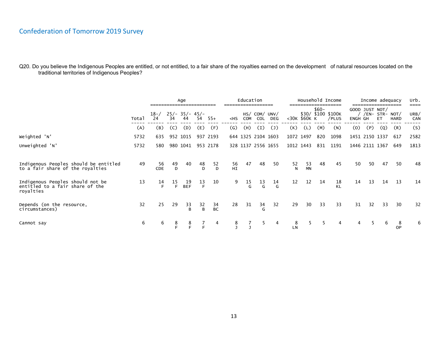|                                                                                  |       |                |         | Age                    |                 |                 |                           | Education              |                      |                |                |              |        | Household Income            |         |     | Income adequacy                           |                | Urb.<br>==== |
|----------------------------------------------------------------------------------|-------|----------------|---------|------------------------|-----------------|-----------------|---------------------------|------------------------|----------------------|----------------|----------------|--------------|--------|-----------------------------|---------|-----|-------------------------------------------|----------------|--------------|
|                                                                                  | Total | $18 - /$<br>24 | 34      | $25/- 35/- 45/-$<br>44 | 54              | $55+$           | $<$ HS                    | COM                    | HS/ COM/ UNV/<br>COL | DEG            |                | <30K \$60K K | $$60-$ | \$30/ \$100 \$100K<br>/PLUS | ENGH GH |     | GOOD JUST NOT/<br>/ /EN- STR- NOT/<br>ET. | <b>HARD</b>    | URB/<br>CAN  |
|                                                                                  | (A)   | (B)            | (C)     | (D)                    | (E)             | (F)             | $\left(\mathsf{G}\right)$ | (H)                    | (I)                  | $(\mathsf{J})$ | (K)            | (L)          | (M)    | (N)                         | (0)     | (P) | (Q)                                       | (R)            | (S)          |
| Weighted 'N'                                                                     | 5732  | 635            |         | 952 1015               |                 | 937 2193        |                           |                        | 644 1325 2104 1603   |                |                | 1072 1497    | 820    | 1098                        |         |     | 1451 2150 1337                            | 617            | 2582         |
| Unweighted 'N'                                                                   | 5732  | 580            |         | 980 1041               |                 | 953 2178        |                           |                        | 328 1137 2556 1655   |                |                | 1012 1443    | 831    | 1191                        |         |     | 1446 2111 1367                            | 649            | 1813         |
|                                                                                  |       |                |         |                        |                 |                 |                           |                        |                      |                |                |              |        |                             |         |     |                                           |                |              |
| Indigenous Peoples should be entitled<br>to a fair share of the royalties        | 49    | 56<br>CDE      | 49<br>D | 40                     | $^{48}_{\rm D}$ | $52$<br>D       | 56<br>HI                  | 47                     | 48                   | 50             | $\frac{52}{N}$ | 53<br>MN     | 48     | 45                          | 50      | 50  | 47                                        | 50             | 48           |
| Indigenous Peoples should not be<br>entitled to a fair share of the<br>royalties | 13    | 14             | 15<br>E | 19<br><b>BEF</b>       | $\frac{13}{F}$  | 10              | 9                         | $^{15}_{\phantom{1}6}$ | $\frac{13}{9}$       | $\frac{14}{G}$ | 12             | 12           | 14     | 18                          | 14      | 13  | 14                                        | 13             | 14           |
| Depends (on the resource,<br>circumstances)                                      | 32    | 25             | 29      | $\frac{33}{B}$         | $\frac{32}{B}$  | 34<br><b>BC</b> | 28                        | 31                     | $\frac{34}{6}$       | 32             | 29             | 30           | 33     | 33                          | 31      | 32  | 33                                        | 30             | 32           |
| Cannot say                                                                       | 6     | 6              |         | $^8$ F                 |                 | 4               | 8                         |                        | 5                    | 4              | 8<br>LN        |              | 5.     | 4                           |         |     |                                           | 8<br><b>OP</b> | 6            |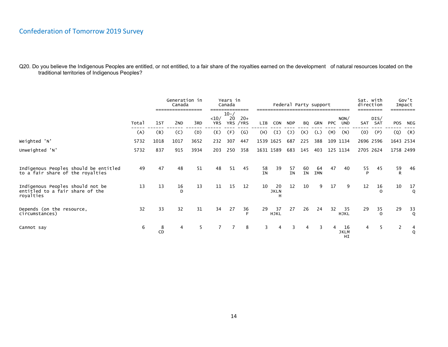|                                                                                  |       |                | Generation in<br>Canada<br>------------------ |      |                    | Years in<br>Canada<br>---------- |                    |                 |                        | Federal Party support |          |                  |            |                         | Sat. with<br>direction |                   |            | Gov't<br>Impact    |
|----------------------------------------------------------------------------------|-------|----------------|-----------------------------------------------|------|--------------------|----------------------------------|--------------------|-----------------|------------------------|-----------------------|----------|------------------|------------|-------------------------|------------------------|-------------------|------------|--------------------|
|                                                                                  | Total | 1st            | 2 <sub>ND</sub>                               | 3RD  | <10/<br><b>YRS</b> | $10 - /$<br>20                   | $20+$<br>YRS / YRS | LIB             | <b>CON</b>             | <b>NDP</b>            | BO.      | GRN              | <b>PPC</b> | NON/<br><b>UND</b>      | SAT                    | DIS/<br>SAT       | <b>POS</b> | NEG                |
|                                                                                  | (A)   | (B)            | (C)                                           | (D)  | (E)                | (F)                              | (G)                | (H)             | (I)                    | $(\mathsf{J})$        | (K)      | (L)              | (M)        | (N)                     | (0)                    | (P)               | $\circ$    | (R)                |
| Weighted 'N'                                                                     | 5732  | 1018           | 1017                                          | 3652 | 232                | 307                              | 447                |                 | 1539 1625              | 687                   | 225      | 388              |            | 109 1134                |                        | 2696 2596         |            | 1643 2534          |
| Unweighted 'N'                                                                   | 5732  | 837            | 915                                           | 3934 | 203                | 250                              | 358                |                 | 1631 1589              | 683                   | 145      | 403              |            | 125 1134                | 2705 2624              |                   |            | 1758 2499          |
|                                                                                  |       |                |                                               |      |                    |                                  |                    |                 |                        |                       |          |                  |            |                         |                        |                   |            |                    |
| Indigenous Peoples should be entitled<br>to a fair share of the royalties        | 49    | 47             | 48                                            | 51   | 48                 | 51                               | 45                 | 58<br><b>IN</b> | 39                     | 57<br><b>IN</b>       | 60<br>IN | 64<br><b>IMN</b> | 47         | 40                      | 55<br>P                | 45                | 59<br>R    | 46                 |
| Indigenous Peoples should not be<br>entitled to a fair share of the<br>royalties | 13    | 13             | 16<br>D                                       | 13   | 11                 | 15                               | 12                 | 10              | 20<br><b>JKLN</b><br>Н | 12                    | 10       | 9                | 17         | 9                       | 12                     | 16<br>$\mathbf 0$ | 10         | 17<br>$\mathsf{Q}$ |
| Depends (on the resource,<br>circumstances)                                      | 32    | 33             | 32                                            | 31   | 34                 | 27                               | 36                 | 29              | 37<br><b>HJKL</b>      | 27                    | 26       | 24               | 32         | 35<br><b>HJKL</b>       | 29                     | 35<br>$\Omega$    | 29         | $\frac{33}{9}$     |
| Cannot say                                                                       | 6     | 8<br><b>CD</b> | 4                                             | 5    |                    |                                  | 8                  | 3               | 4                      | 3                     | 4        | 3                | 4          | 16<br><b>JKLM</b><br>HI | 4                      | 5                 | 2          | 4<br>$\mathsf{Q}$  |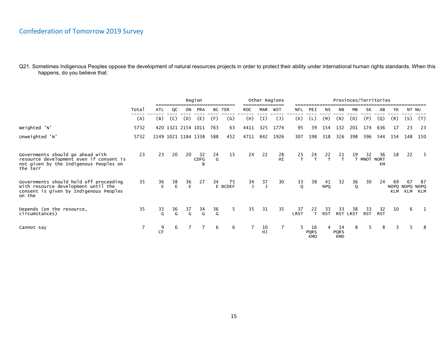|                                                                                                                                   |       | Region         |                |                    |                     |                |               |                                        |          | Other Regions  |                    |                                 |                  | Provinces/Territories           |         |                   |                  |                             |           |            |
|-----------------------------------------------------------------------------------------------------------------------------------|-------|----------------|----------------|--------------------|---------------------|----------------|---------------|----------------------------------------|----------|----------------|--------------------|---------------------------------|------------------|---------------------------------|---------|-------------------|------------------|-----------------------------|-----------|------------|
|                                                                                                                                   | Total | ATL            | QC             | ON                 | <b>PRA</b>          | BC TER         |               | <b>ROC</b>                             | MAR      | WST            | <b>NFL</b>         | PEI                             | NS               | <b>NB</b>                       | MB      | <b>SK</b>         | AB               | YΚ                          | NT NU     |            |
|                                                                                                                                   | (A)   | (B)            | (C)            | (D)                | (E)                 | (F)            | (G)           | (H)                                    | (I)      | $(\mathsf{J})$ | (K)                | (L)                             | (M)              | (N)                             | (0)     | (P)               | (Q)              | (R)                         | (S)       | (T)        |
| Weighted 'N'                                                                                                                      | 5732  |                |                | 420 1321 2154 1011 |                     | 763            | 63            | 4411                                   | 325      | 1774           | 95                 | 39                              | 154              | 132                             | 201     | 174               | 636              | 17                          | 23        | 23         |
| Unweighted 'N'                                                                                                                    | 5732  |                |                |                    | 1149 1021 1184 1338 | 588            | 452           | 4711                                   | 842      | 1926           | 307                | 198                             | 318              | 326                             | 398     | 396               | 544              | 154                         | 148       | 150        |
| Governments should go ahead with<br>resource development even if consent is<br>not given by the Indigenous Peoples on<br>the terr | 23    | 23             | 20             | 20                 | 32<br>CDFG          | 24<br>G        | 15            | 24                                     | 22       | 28<br>HI       | 25<br>$\mathsf{T}$ | 24<br>$\mathsf{T}$              | 22<br>T          | 21<br>T                         | 19      | 32<br>T MNOT NORT | 36<br><b>KM</b>  | 18                          | 22        | -5         |
| Governments should hold off proceeding<br>with resource development until the<br>consent is given by Indigenous Peoples<br>on the | 35    | 36<br>F.       | 38<br>E        | 36<br>E            | 27                  | 34             | 75<br>E BCDEF | $\begin{array}{c} 34 \\ 1 \end{array}$ | 37<br>ر  | 30             | $\frac{33}{9}$     | 38                              | 41<br><b>NPQ</b> | 32                              | 36<br>Q | 30                | 24               | 69<br>NOPQ NOPQ NOPQ<br>KLM | 67<br>KLM | -87<br>KLM |
| Depends (on the resource,<br>circumstances)                                                                                       | 35    | $\frac{33}{9}$ | $\frac{36}{9}$ | $\frac{37}{9}$     | $\frac{34}{9}$      | $\frac{36}{9}$ | 5.            | 35                                     | 31       | 35             | 37<br>LRST         | 22<br>T                         | 33<br><b>RST</b> | 33<br>RST LRST                  | 38      | 33<br><b>RST</b>  | 32<br><b>RST</b> | 10                          | 6         |            |
| Cannot say                                                                                                                        |       | 9<br><b>CF</b> | 6              |                    |                     | 6              | 6             |                                        | 10<br>HJ | 7              |                    | 16<br><b>PQRS</b><br><b>KMO</b> | 4                | 14<br><b>PQRS</b><br><b>KMO</b> | 8       |                   | 8                |                             |           |            |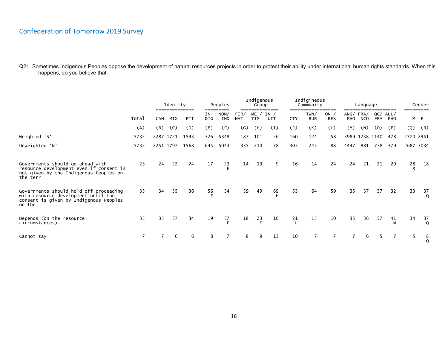|                                                                                                                                   |       |     | Identity  |      |                | Peoples     |                    | Indigenous<br>Group | =============        |                | Indigineous<br>Community | ==========          |            | Language               |                   |             |     | Gender                 |
|-----------------------------------------------------------------------------------------------------------------------------------|-------|-----|-----------|------|----------------|-------------|--------------------|---------------------|----------------------|----------------|--------------------------|---------------------|------------|------------------------|-------------------|-------------|-----|------------------------|
|                                                                                                                                   | Total | CAN | MIX       | PTI  | IN-<br>DIG.    | NON/<br>IND | FIN/<br><b>NAT</b> | <b>TIS</b>          | $ME- / IN- /$<br>UIT | <b>CTY</b>     | TWN/<br><b>RUR</b>       | $ON-$<br><b>RES</b> | <b>PHO</b> | ANG/FRA/<br><b>NCO</b> | QC/<br><b>FRA</b> | ALL/<br>PHO |     | ========<br>M F        |
|                                                                                                                                   | (A)   | (B) | (C)       | (D)  | (E)            | (F)         | $\mathsf{G}$       | (H)                 | (I)                  | $(\mathsf{J})$ | (K)                      | (L)                 | (M)        | (N)                    | (0)               | (P)         | (Q) | (R)                    |
| Weighted 'N'                                                                                                                      | 5732  |     | 2287 1721 | 1593 | 326            | 5349        | 187                | 101                 | 26                   | 160            | 124                      | 58                  |            |                        | 3989 1238 1140    | 478         |     | 2770 2951              |
| Unweighted 'N'                                                                                                                    | 5732  |     | 2251 1797 | 1568 | 645            | 5043        | 335                | 210                 | 78                   | 305            | 245                      | 88                  | 4447       | 881                    | 738               | 379         |     | 2687 3034              |
| Governments should go ahead with<br>resource development even if consent is<br>not given by the Indigenous Peoples on<br>the terr | 23    | 24  | 22        | 24   | 17             | 23<br>F     | 14                 | 19                  | 9                    | 16             | 14                       | 24                  | 24         | 21                     | 21                | 20          | 28  | 18                     |
| Governments should hold off proceeding<br>with resource development until the<br>consent is given by Indigenous Peoples<br>on the | 35    | 34  | 35        | 36   | $\frac{56}{5}$ | 34          | 59                 | 49                  | 69<br>H              | 53             | 64                       | 59                  | 35         | 37                     | 37                | 32          | 33  | 37                     |
| Depends (on the resource,<br>circumstances)                                                                                       | 35    | 35  | 37        | 34   | 19             | 37<br>F     | 18                 | $2\frac{3}{7}$      | 10                   | 21             | 15                       | 10                  | 35         | 36                     | 37                | 41<br>M     | 34  | 37                     |
| Cannot say                                                                                                                        |       |     | 6         | 6    | 8              |             | 8                  | 9                   | 13                   | 10             |                          |                     |            | 6                      | 5                 |             | 5   | $\frac{8}{\mathsf{Q}}$ |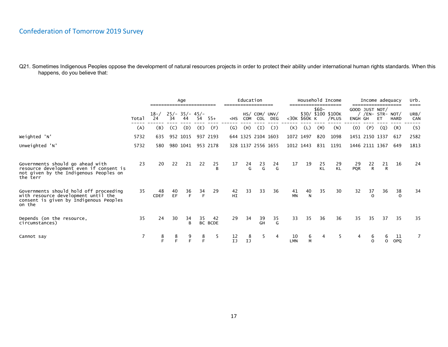|                                                                                                                                   |       | Age               |            |                        |                |                      | Education                 |         |                      |               |                  |                    | Household Income |                             | Income adequacy  |                                    |                | urb.<br>====   |             |
|-----------------------------------------------------------------------------------------------------------------------------------|-------|-------------------|------------|------------------------|----------------|----------------------|---------------------------|---------|----------------------|---------------|------------------|--------------------|------------------|-----------------------------|------------------|------------------------------------|----------------|----------------|-------------|
|                                                                                                                                   | Total | $18 - /$<br>24    | 34         | $25/- 35/- 45/-$<br>44 | 54             | $55+$                | $<$ HS                    | COM     | HS/ COM/ UNV/<br>COL | DEG           |                  | <30K \$60K K       | $$60-$           | \$30/ \$100 \$100K<br>/PLUS | ENGH GH          | GOOD JUST NOT/<br>/ /EN- STR- NOT/ | ET.            | <b>HARD</b>    | URB/<br>CAN |
|                                                                                                                                   | (A)   | (B)               | (C)        | (D)                    | (E)            | (F)                  | $\left(\mathsf{G}\right)$ | (H)     | (I)                  | $\mathcal{L}$ | (K)              | (L)                | (M)              | (N)                         | (0)              | (P)                                | (Q)            | (R)            | (S)         |
| Weighted 'N'                                                                                                                      | 5732  | 635               |            | 952 1015               |                | 937 2193             |                           |         | 644 1325 2104 1603   |               |                  | 1072 1497          | 820              | 1098                        |                  | 1451 2150 1337                     |                | 617            | 2582        |
| Unweighted 'N'                                                                                                                    | 5732  | 580               |            | 980 1041               |                | 953 2178             |                           |         | 328 1137 2556 1655   |               |                  | 1012 1443          | 831              | 1191                        |                  | 1446 2111 1367                     |                | 649            | 1813        |
| Governments should go ahead with<br>resource development even if consent is<br>not given by the Indigenous Peoples on<br>the terr | 23    | 20                | 22         | 21                     | 22             | $\frac{25}{B}$       | 17                        | 24<br>G | $^{23}$              | 24<br>G       | 17               | 19                 | 25<br><b>KL</b>  | 29<br>KL                    | 29<br><b>PQR</b> | 22<br>$\mathsf{R}$                 | $\frac{21}{R}$ | 16             | 24          |
| Governments should hold off proceeding<br>with resource development until the<br>consent is given by Indigenous Peoples<br>on the | 35    | 48<br><b>CDEF</b> | 40<br>EF   | $rac{36}{5}$           | $\frac{34}{5}$ | 29                   | 42<br><b>HI</b>           | 33      | 33                   | 36            | 41<br><b>MN</b>  | 40<br>$\mathsf{N}$ | 35               | 30                          | 32               | 37                                 | 36             | 38<br>$\Omega$ | 34          |
| Depends (on the resource,<br>circumstances)                                                                                       | 35    | 24                | 30         | 34<br><sub>R</sub>     | 35             | 42<br><b>BC BCDE</b> | 29                        | 34      | 39<br>GH             | 35<br>G       | 33               | 35                 | 36               | 36                          | 35               | 35                                 | 37             | 35             | 35          |
| Cannot say                                                                                                                        |       | 8                 | $_{F}^{8}$ | $\frac{9}{5}$          | $rac{8}{5}$    | -5                   | $\frac{12}{1J}$           | 8<br>IJ | 5.                   | 4             | 10<br><b>LMN</b> | 6<br>M             | 4                | 5                           | 4                | 6                                  | b              | 11<br>OPQ      |             |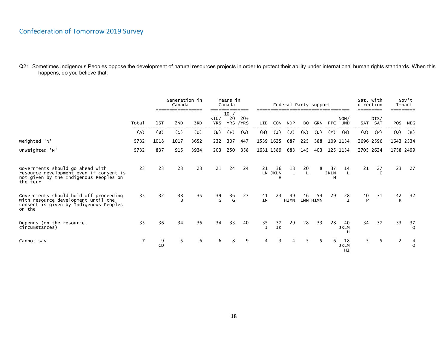|                                                                                                                                   |                |         | Generation in<br>Canada<br>----------------- |      | --------------      | Years in<br>Canada |                    |                    |                    | Federal Party support |     |                |                        |                         | Sat. with<br>direction<br>_________ |                |              | Gov't<br>Impact<br>---------- |
|-----------------------------------------------------------------------------------------------------------------------------------|----------------|---------|----------------------------------------------|------|---------------------|--------------------|--------------------|--------------------|--------------------|-----------------------|-----|----------------|------------------------|-------------------------|-------------------------------------|----------------|--------------|-------------------------------|
|                                                                                                                                   | Total          | 1st     | 2 <sub>ND</sub>                              | 3RD  | $10/$<br><b>YRS</b> | $10 - /$<br>20     | $20+$<br>YRS / YRS | LIB                | <b>CON</b>         | <b>NDP</b>            | BQ  | <b>GRN</b>     | <b>PPC</b>             | NON/<br><b>UND</b>      | SAT                                 | DIS/<br>SAT    | <b>POS</b>   | NEG                           |
|                                                                                                                                   | (A)            | (B)     | (C)                                          | (D)  | (E)                 | (F)                | $\mathcal{G}$      | (H)                | (I)                | $(\mathsf{J})$        | (K) | (L)            | (M)                    | (N)                     | (0)                                 | (P)            | (Q)          | (R)                           |
| Weighted 'N'                                                                                                                      | 5732           | 1018    | 1017                                         | 3652 | 232                 | 307                | 447                |                    | 1539 1625          | 687                   | 225 | 388            |                        | 109 1134                | 2696 2596                           |                | 1643 2534    |                               |
| Unweighted 'N'                                                                                                                    | 5732           | 837     | 915                                          | 3934 | 203                 | 250                | 358                |                    | 1631 1589          | 683                   | 145 | 403            |                        | 125 1134                | 2705 2624                           |                | 1758 2499    |                               |
| Governments should go ahead with<br>resource development even if consent is<br>not given by the Indigenous Peoples on<br>the terr | 23             | 23      | 23                                           | 23   | 21                  | 24                 | 24                 | 21                 | 36<br>LN JKLN<br>н | $18$<br>L             | 20  | 8              | 37<br><b>JKLN</b><br>н | 14<br>L.                | 21                                  | 27<br>$\Omega$ | 23           | 27                            |
| Governments should hold off proceeding<br>with resource development until the<br>consent is given by Indigenous Peoples<br>on the | 35             | 32      | 38<br>B                                      | 35   | 39<br>G             | 36<br>G            | 27                 | 41<br><b>IN</b>    | 23                 | 49<br><b>HIMN</b>     | 46  | 54<br>IMN HIMN | 29                     | 28<br>$\mathbf I$       | 40<br>P                             | 31             | 42<br>R.     | 32                            |
| Depends (on the resource,<br>circumstances)                                                                                       | 35             | 36      | 34                                           | 36   | 34                  | 33                 | 40                 | 35<br>$\mathbf{J}$ | 37<br>JK           | 29                    | 28  | 33             | 28                     | 40<br><b>JKLM</b><br>н  | 34                                  | 37             | 33           | 37<br>Q                       |
| Cannot say                                                                                                                        | $\overline{7}$ | 9<br>CD | 5                                            | 6    | 6                   | 8                  | 9                  | 4                  | 3                  | 4                     | 5.  | 5              | 6                      | 18<br><b>JKLM</b><br>HI | 5                                   |                | $\mathbf{2}$ | 4<br>$\overline{Q}$           |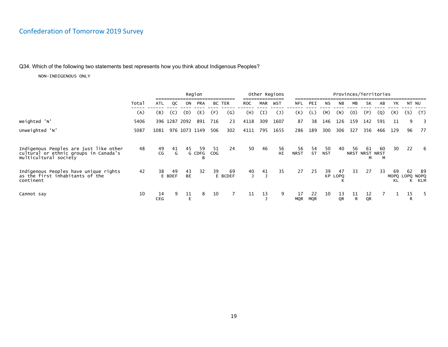### Q34. Which of the following two statements best represents how you think about Indigenous Peoples?

|                                                                                       |       |                  | Region       |                 |             |     |               |            |     | Other Regions             |                  |                  |            |               |         |                     | Provinces/Territories |                       |         |                           |
|---------------------------------------------------------------------------------------|-------|------------------|--------------|-----------------|-------------|-----|---------------|------------|-----|---------------------------|------------------|------------------|------------|---------------|---------|---------------------|-----------------------|-----------------------|---------|---------------------------|
|                                                                                       | Total | ATL              | QC           | ON              | <b>PRA</b>  |     | <b>BC TER</b> | <b>ROC</b> | MAR | WST                       | <b>NFL</b>       | PEI              | NS         | NB            | МB      | SK                  | AB                    | YΚ                    | NT NU   |                           |
|                                                                                       | (A)   | (B)              | (C)          | (D)             | (E)         | (F) | $\mathcal{G}$ | (H)        | (I) | $\mathcal{L}(\mathsf{J})$ | (K)              | (L)              | (M)        | (N)           | (0)     | (P)                 | (Q)                   | (R)                   | (S)     | (T)                       |
| Weighted 'N'                                                                          | 5406  |                  |              | 396 1287 2092   | 891         | 716 | 23            | 4118       | 309 | 1607                      | 87               | 38               | 146        | 126           | 159     | 142                 | 591                   | 11                    | 9       | 3                         |
| Unweighted 'N'                                                                        | 5087  | 1081             |              | 976 1073 1149   |             | 506 | 302           | 4111       | 795 | 1655                      | 286              | 189              | 300        | 306           | 327     | 356                 | 466                   | 129                   | 96      | 77                        |
| Indigenous Peoples are just like other                                                | 48    | 49               | 41           | 45              | 59          | 51  | 24            | 50         | 46  | 56                        | 56               | 54               | 50         | 40            | 56      | 61                  | -60                   | 30                    | 22      | -6                        |
| cultural or ethnic groups in Canada's<br>multicultural society                        |       | CG               | G            |                 | G CDFG<br>в | CDG |               |            |     | HI                        | <b>NRST</b>      | <b>ST</b>        | <b>NST</b> |               |         | NRST NRST NRST<br>м | м                     |                       |         |                           |
| Indigenous Peoples have unique rights<br>as the first inhabitants of the<br>continent | 42    | 38               | 49<br>E BDEF | 43<br><b>BE</b> | 32          | 39  | 69<br>E BCDEF | 40         | 41  | 35                        | 27               | 25               | 39         | 47<br>KP LOPQ | 33      | 27                  | 33                    | 69<br>MOPQ LOPQ<br>KL | 62<br>К | -89<br><b>NOPQ</b><br>KLM |
| Cannot say                                                                            | 10    | 14<br><b>CEG</b> | 9            | 11              | 8           | 10  |               | 11         | 13  | 9                         | 17<br><b>MQR</b> | 22<br><b>MQR</b> | 10         | 13<br>QR      | 11<br>R | 12<br>QR            |                       |                       | 15      |                           |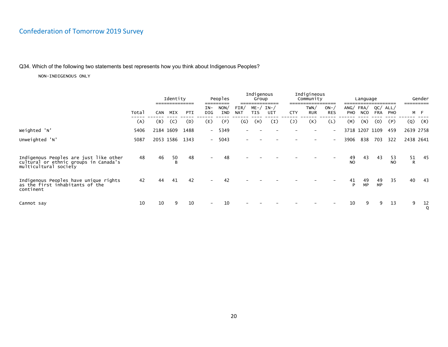### Q34. Which of the following two statements best represents how you think about Indigenous Peoples?

|                                                                                                          |       |            | Identity<br>============== |      |                          | Peoples     |                    | Indigenous<br>Group |             |                | Indigineous<br>Community |                            |                      | Language        |                   |                 |                | Gender |
|----------------------------------------------------------------------------------------------------------|-------|------------|----------------------------|------|--------------------------|-------------|--------------------|---------------------|-------------|----------------|--------------------------|----------------------------|----------------------|-----------------|-------------------|-----------------|----------------|--------|
|                                                                                                          | Total | <b>CAN</b> | MIX                        | PTI  | IN-<br>DIG               | NON/<br>IND | FIN/<br><b>NAT</b> | $ME - /$<br>TIS     | IN-/<br>UIT | <b>CTY</b>     | TWN/<br><b>RUR</b>       | $ON - \land$<br><b>RES</b> | ANG/FRA/<br>PHO      | <b>NCO</b>      | QC/<br><b>FRA</b> | ALL/<br>PHO     |                | M F    |
|                                                                                                          | (A)   | (B)        | (C)                        | (D)  | (E)                      | (F)         | (G)                | (H)                 | (I)         | $(\mathsf{J})$ | (K)                      | (L)                        | (M)                  | (N)             | (0)               | (P)             | (Q)            | (R)    |
| Weighted 'N'                                                                                             | 5406  | 2184 1609  |                            | 1488 | $-$                      | 5349        |                    |                     |             |                |                          | $\overline{\phantom{a}}$   |                      | 3718 1207 1109  |                   | 459             | 2639 2758      |        |
| Unweighted 'N'                                                                                           | 5087  |            | 2053 1586                  | 1343 | $-$                      | 5043        |                    |                     |             |                |                          |                            | 3906                 | 838             | 703               | 322             | 2438 2641      |        |
| Indigenous Peoples are just like other<br>cultural or ethnic groups in Canada's<br>multicultural society | 48    | 46         | 50<br>B                    | 48   |                          | 48          |                    |                     |             |                |                          |                            | 49<br>N <sub>O</sub> | 43              | 43                | 53<br><b>NO</b> | $\frac{51}{R}$ | 45     |
| Indigenous Peoples have unique rights<br>as the first inhabitants of the<br>continent                    | 42    | 44         | 41                         | 42   | $\overline{\phantom{a}}$ | 42          |                    |                     |             |                |                          |                            | 41<br>P              | 49<br><b>MP</b> | 49<br><b>MP</b>   | 35              | 40             | -43    |
| Cannot say                                                                                               | 10    | 10         | 9                          | 10   |                          | 10          |                    |                     |             |                |                          |                            | 10                   | 9               | 9                 | 13              | 9              | 12     |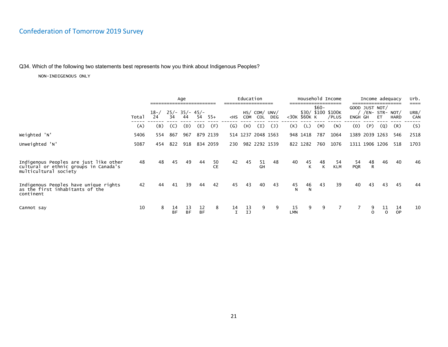### Q34. Which of the following two statements best represents how you think about Indigenous Peoples?

|                                                                                                          | Age   |                |                        |                 |                 | Education |         |          |                      |     |                  | Household Income |         | Income adequacy             |                  |                    | urb.<br>====                     |                 |             |
|----------------------------------------------------------------------------------------------------------|-------|----------------|------------------------|-----------------|-----------------|-----------|---------|----------|----------------------|-----|------------------|------------------|---------|-----------------------------|------------------|--------------------|----------------------------------|-----------------|-------------|
|                                                                                                          | Total | $18 - /$<br>24 | $25/- 35/- 45/-$<br>34 | 44              | 54              | $55+$     | $<$ HS  | COM      | HS/ COM/ UNV/<br>COL | DEG |                  | <30K \$60K K     | $$60-$  | \$30/ \$100 \$100K<br>/PLUS | ENGH GH          | GOOD JUST NOT/     | $/EN-$ STR- NOT $/$<br><b>ET</b> | <b>HARD</b>     | URB/<br>CAN |
|                                                                                                          | (A)   | (B)            | (C)                    | (D)             | (E)             | (F)       | (G)     | (H)      | (I)                  | (J) | (K)              | (L)              | (M)     | (N)                         | (0)              | (P)                | (Q)                              | (R)             | (S)         |
| Weighted 'N'                                                                                             | 5406  | 554            | 867                    | 967             |                 | 879 2139  |         |          | 514 1237 2048 1563   |     |                  | 948 1418         | 787     | 1064                        |                  | 1389 2039 1263     |                                  | 546             | 2518        |
| Unweighted 'N'                                                                                           | 5087  | 454            | 822                    | 918             |                 | 834 2059  | 230     |          | 982 2292 1539        |     |                  | 822 1282         | 760     | 1076                        |                  | 1311 1906 1206     |                                  | 518             | 1703        |
| Indigenous Peoples are just like other<br>cultural or ethnic groups in Canada's<br>multicultural society | 48    | 48             | 45                     | 49              | 44              | 50<br>CE  | 42      | 45       | 51<br>GH             | 48  | 40               | 45               | 48<br>К | 54<br><b>KLM</b>            | 54<br><b>PQR</b> | 48<br>$\mathsf{R}$ | 46                               | 40              | 46          |
| Indigenous Peoples have unique rights<br>as the first inhabitants of the<br>continent                    | 42    | 44             | 41                     | 39              | 44              | 42        | 45      | 43       | 40                   | 43  | 45               | 46<br>N          | 43      | 39                          | 40               | 43                 | 43                               | 45              | 44          |
| Cannot say                                                                                               | 10    | 8              | 14<br><b>BF</b>        | 13<br><b>BF</b> | 12<br><b>BF</b> | 8         | 14<br>I | 13<br>IJ | 9                    | 9   | 15<br><b>LMN</b> | 9                | 9       |                             |                  | 9                  | 11                               | 14<br><b>OP</b> | 10          |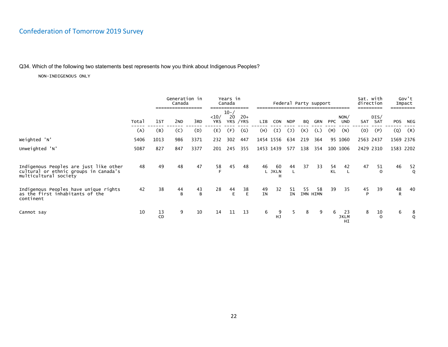### Q34. Which of the following two statements best represents how you think about Indigenous Peoples?

|                                                                                                          |       |                 | Generation in<br>Canada<br>------------------ |                      |             | Years in<br>Canada<br>--------- |                    |                 |                   |                   | Federal Party support |     |                 |                         | Sat. with<br>direction |                |           | Gov't<br>Impact |
|----------------------------------------------------------------------------------------------------------|-------|-----------------|-----------------------------------------------|----------------------|-------------|---------------------------------|--------------------|-----------------|-------------------|-------------------|-----------------------|-----|-----------------|-------------------------|------------------------|----------------|-----------|-----------------|
|                                                                                                          | Total | 1st             | 2 <sub>ND</sub>                               | 3RD                  | <10/<br>YRS | $10 - /$<br>20                  | $20+$<br>YRS / YRS | LIB             | <b>CON</b>        | NDP               | BQ                    | GRN | <b>PPC</b>      | NON/<br><b>UND</b>      | SAT                    | DIS/<br>SAT    | POS       | NEG             |
|                                                                                                          | (A)   | (B)             | (C)                                           | (D)                  | (E)         | (F)                             | (G)                | (H)             | (I)               | $\left( 1\right)$ | (K)                   | (L) | (M)             | (N)                     | (0)                    | (P)            | (Q)       | (R)             |
| Weighted 'N'                                                                                             | 5406  | 1013            | 986                                           | 3371                 | 232         | 302                             | 447                |                 | 1454 1556         | 634               | 219                   | 364 |                 | 95 1060                 | 2563 2437              |                |           | 1569 2376       |
| Unweighted 'N'                                                                                           | 5087  | 827             | 847                                           | 3377                 | 201         | 245                             | 355                |                 | 1453 1439         | 577               | 138                   | 354 |                 | 100 1006                | 2429 2310              |                | 1583 2202 |                 |
| Indigenous Peoples are just like other<br>cultural or ethnic groups in Canada's<br>multicultural society | 48    | 49              | 48                                            | 47                   | 58          | 45                              | 48                 | 46              | 60<br>L JKLN<br>Н | 44<br>L           | 37                    | 33  | 54<br><b>KL</b> | 42                      | 47                     | 51<br>$\Omega$ | 46        | 52              |
| Indigenous Peoples have unique rights<br>as the first inhabitants of the<br>continent                    | 42    | 38              | 44<br>B                                       | 43<br>$\overline{B}$ | 28          | 44<br>E.                        | 38<br>E            | 49<br><b>IN</b> | 32                | 51<br><b>IN</b>   | 55<br>IMN HIMN        | 58  | 39              | 35                      | 45                     | 39             | 48<br>R   | 40              |
| Cannot say                                                                                               | 10    | 13<br><b>CD</b> | 9                                             | 10                   | 14          | 11                              | 13                 | 6               | 9<br>HJ           | 5                 | 8                     | 9   | 6               | 23<br><b>JKLM</b><br>HI | 8                      | 10<br>$\Omega$ | 6         | 8               |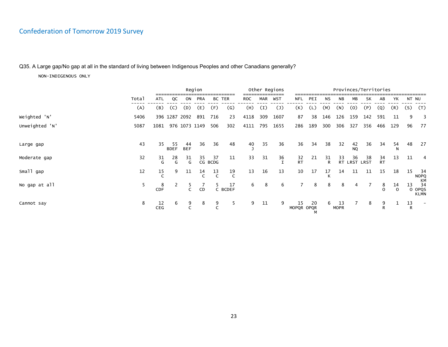### Q35. A Large gap/No gap at all in the standard of living between Indigenous Peoples and other Canadians generally?

|                |       | Region           |                    |                    |               |                |                    |            |     | Other Regions  |                  |     |                    |                   |                    | Provinces/Territories |                   |                |         |                                   |
|----------------|-------|------------------|--------------------|--------------------|---------------|----------------|--------------------|------------|-----|----------------|------------------|-----|--------------------|-------------------|--------------------|-----------------------|-------------------|----------------|---------|-----------------------------------|
|                | Total | ATL              | QC                 | ON                 | PRA           |                | BC TER             | <b>ROC</b> | MAR | WST            | NFL              | PEI | NS                 | NB                | МB                 | SK                    | AB                | YΚ             | NT NU   |                                   |
|                | (A)   | (B)              | (C)                | (D)                | (E)           | (F)            | (G)                | (H)        | (I) | (J)            | (K)              | (L) | (M)                | (N)               | (0)                | (P)                   | (Q)               | (R)            | (S)     | (T)                               |
| Weighted 'N'   | 5406  |                  |                    | 396 1287 2092      | 891           | 716            | 23                 | 4118       | 309 | 1607           | 87               | 38  | 146                | 126               | 159                | 142                   | 591               | 11             | 9       | -3                                |
| Unweighted 'N' | 5087  | 1081             |                    |                    | 976 1073 1149 | 506            | 302                | 4111       | 795 | 1655           | 286              | 189 | 300                | 306               | 327                | 356                   | 466               | 129            | 96      | 77                                |
|                |       |                  |                    |                    |               |                |                    |            |     |                |                  |     |                    |                   |                    |                       |                   |                |         |                                   |
| Large gap      | 43    | 35               | -55<br><b>BDEF</b> | 44<br><b>BEF</b>   | 36            | 36             | 48                 | 40         | 35  | 36             | 36               | 34  | 38                 | 32                | 42<br><b>NQ</b>    | 36                    | 34                | 54             | 48      | 27                                |
| Moderate gap   | 32    | $\frac{31}{9}$   | 28<br>G            | $\frac{31}{9}$     | 35            | -37<br>CG BCDG | 11                 | 33         | 31  | $\frac{36}{7}$ | 32<br>RT         | 21  | 31<br>$\mathsf{R}$ | 33                | 36<br>RT LRST LRST | 38                    | 34<br><b>RT</b>   | 13             | 11      | 4                                 |
| Small gap      | 12    | 15               | 9                  | 11                 | 14            | $\frac{13}{C}$ | 19<br>$\mathsf{C}$ | 13         | 16  | 13             | 10               | 17  | 17                 | 14                | 11                 | 11                    | 15                | 18             | 15      | -34<br><b>NOPQ</b>                |
| No gap at all  | 5     | 8<br>CDF         | 2                  | 5.<br>$\mathsf{C}$ | CD            |                | 17<br>C BCDEF      | 6          | 8   | 6              |                  | 8   | 8                  | 8                 | 4                  |                       | 8<br>$\Omega$     | 14<br>$\Omega$ | 13      | КM<br>34<br>O OPQS<br><b>KLMN</b> |
| Cannot say     | 8     | 12<br><b>CEG</b> | 6                  | 9                  | 8             | 9              | 5                  | 9          | 11  | 9              | 15<br>MOPQR OPQR | 20  | 6                  | 13<br><b>MOPR</b> |                    | 8                     | 9<br>$\mathsf{R}$ | Ŧ.             | 13<br>R |                                   |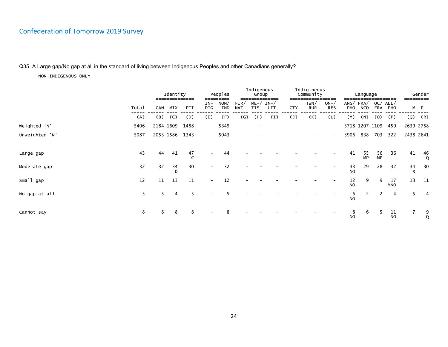### Q35. A Large gap/No gap at all in the standard of living between Indigenous Peoples and other Canadians generally?

|                | Identity<br>--------------- |           |         |      |                          | Peoples     |                    | Indigenous<br>Group    | ------      |                | Indigineous<br>Community | _________                |                | Language               |                   | --------         |         | Gender            |
|----------------|-----------------------------|-----------|---------|------|--------------------------|-------------|--------------------|------------------------|-------------|----------------|--------------------------|--------------------------|----------------|------------------------|-------------------|------------------|---------|-------------------|
|                | Total                       | CAN       | MIX     | PTI  | IN-<br>DIG               | NON/<br>IND | FIN/<br><b>NAT</b> | $ME - /$<br><b>TIS</b> | IN-/<br>UIT | <b>CTY</b>     | TWN/<br>RUR              | $ON-$<br><b>RES</b>      | PHO            | ANG/FRA/<br><b>NCO</b> | QC/<br><b>FRA</b> | ALL/<br>PHO      |         | M F               |
|                | (A)                         | (B)       | (C)     | (D)  | (E)                      | (F)         | $\left( G\right)$  | (H)                    | (I)         | $(\mathsf{J})$ | (K)                      | (L)                      | (M)            | (N)                    | (0)               | (P)              | (Q)     | (R)               |
| Weighted 'N'   | 5406                        | 2184 1609 |         | 1488 |                          | $-5349$     |                    |                        |             |                |                          | $\overline{\phantom{0}}$ |                | 3718 1207 1109         |                   | 459              |         | 2639 2758         |
| Unweighted 'N' | 5087                        | 2053 1586 |         | 1343 |                          | $-5043$     |                    |                        |             |                |                          | $\overline{\phantom{a}}$ | 3906           | 838                    | 703               | 322              |         | 2438 2641         |
| Large gap      | 43                          | 44        | 41      | 47   | $\overline{\phantom{0}}$ | 44          |                    |                        |             |                |                          |                          | 41             | 55<br><b>MP</b>        | 56<br>MP          | 36               | 41      | 46<br>$\mathsf Q$ |
| Moderate gap   | 32                          | 32        | 34<br>D | 30   | $\overline{\phantom{0}}$ | 32          |                    |                        |             |                |                          |                          | $\frac{33}{2}$ | 29                     | 28                | 32               | 34<br>R | 30                |
| Small gap      | 12                          | 11        | 13      | 11   |                          | 12          |                    |                        |             |                |                          |                          | $rac{12}{NQ}$  | 9                      | 9                 | 17<br><b>MNO</b> | 13      | 11                |
| No gap at all  | 5                           | 5         | 4       | 5    |                          |             |                    |                        |             |                |                          |                          | $\frac{6}{NQ}$ |                        | 2                 | 4                | 5       | 4                 |
| Cannot say     | 8                           | 8         | 8       | 8    |                          |             |                    |                        |             |                |                          |                          | 8<br><b>NO</b> | 6                      |                   | 11<br><b>NO</b>  | 7       | 9<br>Q            |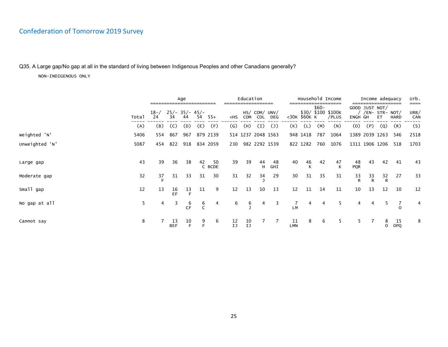### Q35. A Large gap/No gap at all in the standard of living between Indigenous Peoples and other Canadians generally?

|                |       |                |                  | Age                    |          |               |                                                                                                                                                                                                                                                                                                    | Education       |                      |                    |                  |              |        | Household Income            |                  |                | Income adequacy                               |             | urb.<br>==== |
|----------------|-------|----------------|------------------|------------------------|----------|---------------|----------------------------------------------------------------------------------------------------------------------------------------------------------------------------------------------------------------------------------------------------------------------------------------------------|-----------------|----------------------|--------------------|------------------|--------------|--------|-----------------------------|------------------|----------------|-----------------------------------------------|-------------|--------------|
|                | Total | $18 - /$<br>24 | 34               | $25/- 35/- 45/-$<br>44 | 54       | $55+$         | <hs< th=""><th>COM</th><th>HS/ COM/ UNV/<br/>COL</th><th>DEG</th><th></th><th>&lt;30K \$60K K</th><th><math>\$60-</math></th><th>\$30/ \$100 \$100K<br/>/PLUS</th><th>ENGH GH</th><th></th><th>GOOD JUST NOT/<br/>/EN- STR- NOT/<br/><b>ET</b></th><th><b>HARD</b></th><th>URB/<br/>CAN</th></hs<> | COM             | HS/ COM/ UNV/<br>COL | DEG                |                  | <30K \$60K K | $$60-$ | \$30/ \$100 \$100K<br>/PLUS | ENGH GH          |                | GOOD JUST NOT/<br>/EN- STR- NOT/<br><b>ET</b> | <b>HARD</b> | URB/<br>CAN  |
|                | (A)   | (B)            | (C)              | (D)                    | (E)      | (F)           | $\left( G\right)$                                                                                                                                                                                                                                                                                  | (H)             | (I)                  | $\left( 1\right)$  | (K)              | (L)          | (M)    | (N)                         | (0)              | (P)            | (Q)                                           | (R)         | (S)          |
| Weighted 'N'   | 5406  | 554            | 867              | 967                    |          | 879 2139      |                                                                                                                                                                                                                                                                                                    |                 |                      | 514 1237 2048 1563 |                  | 948 1418     | 787    | 1064                        |                  |                | 1389 2039 1263                                | 546         | 2518         |
| Unweighted 'N' | 5087  | 454            | 822              | 918                    |          | 834 2059      | 230                                                                                                                                                                                                                                                                                                |                 |                      | 982 2292 1539      |                  | 822 1282     | 760    | 1076                        |                  |                | 1311 1906 1206                                | 518         | 1703         |
| Large gap      | 43    | 39             | 36               | 38                     | 42       | -50<br>C BCDE | 39                                                                                                                                                                                                                                                                                                 | 39              | 44<br>н              | 48<br>GHI          | 40               | 46           | 42     | 47<br>K                     | 48<br><b>PQR</b> | 43             | 42                                            | 41          | 43           |
| Moderate gap   | 32    | $\frac{37}{5}$ | 31               | 33                     | 31       | 30            | 31                                                                                                                                                                                                                                                                                                 | 32              | $\frac{34}{1}$       | 29                 | 30               | 31           | 35     | 31                          | $\frac{33}{R}$   | $\frac{33}{R}$ | $\frac{32}{R}$                                | 27          | 33           |
| Small gap      | 12    | 13             | 16<br>EF         | 13<br>E                | 11       | 9             | 12                                                                                                                                                                                                                                                                                                 | 13              | 10                   | 13                 | 12               | 11           | 14     | 11                          | 10               | 13             | 12                                            | 10          | 12           |
| No gap at all  | 5.    | 4              | 3                | $rac{6}{CF}$           | $6$<br>C | 4             | 6                                                                                                                                                                                                                                                                                                  | $rac{6}{7}$     | 4                    | 3                  | 7<br>LM          | 4            | 4      |                             | 4                |                |                                               |             | 4            |
| Cannot say     | 8     |                | 13<br><b>BEF</b> | 10                     | 9        | 6             | $\frac{12}{1J}$                                                                                                                                                                                                                                                                                    | $\frac{10}{10}$ |                      |                    | 11<br><b>LMN</b> | 8            | 6      |                             |                  |                | ୪                                             | 15<br>OPQ   | 8            |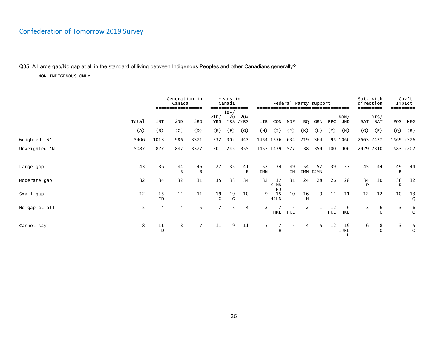Q35. A Large gap/No gap at all in the standard of living between Indigenous Peoples and other Canadians generally?

|                |       |               | Generation in<br>Canada | --------       |                    | Years in<br>Canada | =======            |                  |                         |                 | Federal Party support |     |                  |                        | Sat. with<br>direction |                 | Impact         | Gov't          |
|----------------|-------|---------------|-------------------------|----------------|--------------------|--------------------|--------------------|------------------|-------------------------|-----------------|-----------------------|-----|------------------|------------------------|------------------------|-----------------|----------------|----------------|
|                | Total | 1st           | 2 <sub>ND</sub>         | 3RD            | <10/<br><b>YRS</b> | $10 - /$<br>20     | $20+$<br>YRS / YRS | LIB              | CON                     | <b>NDP</b>      | BQ                    | GRN | <b>PPC</b>       | NON/<br><b>UND</b>     |                        | DIS/<br>SAT SAT | POS            | NEG            |
|                | (A)   | (B)           | (C)                     | (D)            | (E)                | (F)                | $\mathsf{(G)}$     | (H)              | (I)                     | $(\mathsf{J})$  | (K)                   | (L) | (M)              | (N)                    | (0)                    | (P)             | (Q)            | (R)            |
| Weighted 'N'   | 5406  | 1013          | 986                     | 3371           | 232                | 302                | 447                |                  | 1454 1556               | 634             | 219                   | 364 |                  | 95 1060                | 2563 2437              |                 | 1569 2376      |                |
| Unweighted 'N' | 5087  | 827           | 847                     | 3377           | 201                | 245                | 355                |                  | 1453 1439               | 577             | 138                   | 354 |                  | 100 1006               |                        | 2429 2310       | 1583 2202      |                |
|                |       |               |                         |                |                    |                    |                    |                  |                         |                 |                       |     |                  |                        |                        |                 |                |                |
| Large gap      | 43    | 36            | 44<br>B                 | 46<br>B        | 27                 | 35                 | 41<br>E            | 52<br><b>IMN</b> | 34                      | 49<br><b>IN</b> | 54<br>IMN IJMN        | 57  | 39               | 37                     | 45                     | 44              | $\frac{49}{R}$ | 44             |
| Moderate gap   | 32    | 34            | 32                      | 31             | 35                 | 33                 | 34                 | 32               | 37<br><b>KLMN</b>       | 31              | 24                    | 28  | 26               | 28                     | 34<br>D                | 30              | $\frac{36}{R}$ | 32             |
| Small gap      | 12    | $rac{15}{CD}$ | 11                      | 11             | 19<br>G            | 19<br>G            | 10                 | 9                | HJ<br>15<br><b>HJLN</b> | 10              | 16<br>H               | 9   | 11               | 11                     | 12                     | 12              | 10             | $\frac{13}{9}$ |
| No gap at all  | 5     | 4             | 4                       | 5              | $7^{\circ}$        | 3                  | $\overline{4}$     |                  | HKL                     | 5<br><b>HKL</b> |                       |     | 12<br><b>HKL</b> | 6<br><b>HKL</b>        | 3                      | 6<br>$\circ$    | 3              | $\frac{6}{9}$  |
| Cannot say     | 8     | 11<br>D       | 8                       | $\overline{7}$ | 11                 | 9                  | 11                 | 5                | 7<br>H                  | 5               | 4                     | 5   | 12               | 19<br><b>IJKL</b><br>н | 6                      | 8<br>$\Omega$   | 3              | $\frac{5}{9}$  |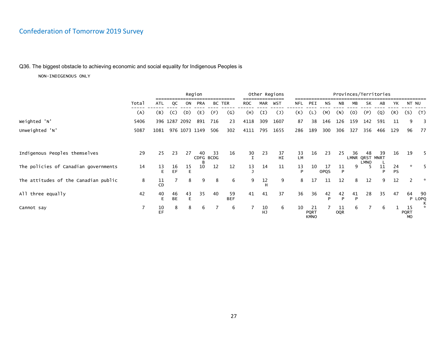### Q36. The biggest obstacle to achieving economic and social equality for Indigenous Peoples is

|                                      |                |          |                 |               | Region          |     |                  |                       |          | Other Regions  |                 |                            |                    |                  |         |                      | Provinces/Territories |                 |                                |                         |
|--------------------------------------|----------------|----------|-----------------|---------------|-----------------|-----|------------------|-----------------------|----------|----------------|-----------------|----------------------------|--------------------|------------------|---------|----------------------|-----------------------|-----------------|--------------------------------|-------------------------|
|                                      | Total          | ATL      | QC              | ON            | PRA             |     | BC TER           | <b>ROC</b>            | MAR      | WST            | NFL             | PEI                        | NS                 | <b>NB</b>        | МB      | SK                   | AB                    | YΚ              | NT NU                          |                         |
|                                      | (A)            | (B)      | (C)             | (D)           | (E)             | (F) | (G)              | (H)                   | (I)      | $(\mathsf{J})$ | (K)             | (L)                        | (M)                | (N)              | (0)     | (P)                  | (Q)                   | (R)             | (S)                            | (T)                     |
| Weighted 'N'                         | 5406           |          |                 | 396 1287 2092 | 891             | 716 | 23               | 4118                  | 309      | 1607           | 87              | 38                         | 146                | 126              | 159     | 142                  | 591                   | 11              | 9                              | $\overline{\mathbf{3}}$ |
| Unweighted 'N'                       | 5087           | 1081     |                 | 976 1073 1149 |                 | 506 | 302              | 4111                  | 795      | 1655           | 286             | 189                        | 300                | 306              | 327     | 356                  | 466                   | 129             | 96                             | 77                      |
|                                      |                |          |                 |               |                 |     |                  |                       |          |                |                 |                            |                    |                  |         |                      |                       |                 |                                |                         |
| Indigenous Peoples themselves        | 29             | 25       | 23              | 27            | 40<br>CDFG BCDG | 33  | 16               | $\frac{30}{\text{I}}$ | 23       | 37<br>HI       | 33<br><b>LM</b> | 16                         | 23                 | 25               | 36      | 48<br>LMNR QRST MNRT | 39                    | 16              | 19                             | 5.                      |
| The policies of Canadian governments | 14             | 13<br>E  | 16<br>EF        | 15            | 10              | 12  | 12               | 13                    | 14       | 11             | 13<br>P         | 10                         | -17<br><b>OPQS</b> | 11<br>P          | 9       | LMNO                 | 11<br>D               | 24<br><b>PS</b> | $\star$                        |                         |
| The attitudes of the Canadian public | 8              | 11<br>CD |                 | 8             | 9               | 8   | 6                | 9                     | 12       | 9              | 8               | 17                         | 11                 | 12               | 8       | 12                   | 9                     | 12              | $\mathcal{P}$                  | *                       |
| All three equally                    | 42             | 40<br>Е  | 46<br><b>BE</b> | 43            | 35              | 40  | 59<br><b>BEF</b> | 41                    | 41       | 37             | 36              | 36                         | 42<br>Þ            | 42<br>P          | 41<br>P | 28                   | 35                    | 47              | 64<br>P                        | 90<br>LOPQ              |
| Cannot say                           | $\overline{7}$ | 10<br>EF | 8               | 8             | 6               |     | 6                |                       | 10<br>HJ | 6              | 10              | -21<br>PQRT<br><b>KMNO</b> |                    | 11<br><b>OQR</b> | 6       |                      | 6                     |                 | 15<br><b>PQRT</b><br><b>MO</b> | к<br>$\mathbf{x}$       |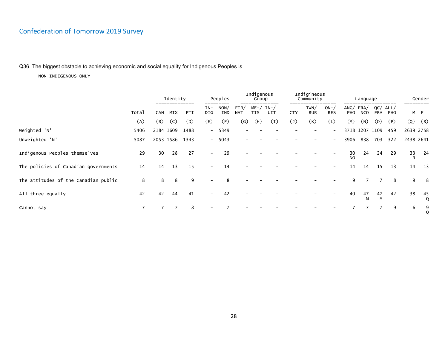### Q36. The biggest obstacle to achieving economic and social equality for Indigenous Peoples is

|                                      |                |     | Identity              |      | ------                   | Peoples     |                    | Indigenous<br>Group    | ______      |                | Indigineous<br>Community |                          |                 | Language        |                |             |         | Gender             |
|--------------------------------------|----------------|-----|-----------------------|------|--------------------------|-------------|--------------------|------------------------|-------------|----------------|--------------------------|--------------------------|-----------------|-----------------|----------------|-------------|---------|--------------------|
|                                      | Total          | CAN | --------------<br>MIX | PTI  | IN-<br>DIG               | NON/<br>IND | FIN/<br><b>NAT</b> | $ME - /$<br><b>TIS</b> | IN-/<br>UIT | <b>CTY</b>     | TWN/<br><b>RUR</b>       | $ON-$<br><b>RES</b>      | PHO             | ANG/FRA/<br>NCO | QC/<br>FRA     | ALL/<br>PHO |         | ---------<br>M F   |
|                                      | (A)            | (B) | (C)                   | (D)  | (E)                      | (F)         | (G)                | (H)                    | (I)         | $(\mathsf{J})$ | (K)                      | (L)                      | (M)             | (N)             | (0)            | (P)         | (Q)     | (R)                |
| Weighted 'N'                         | 5406           |     | 2184 1609             | 1488 |                          | $-5349$     |                    |                        |             |                |                          | $\overline{\phantom{a}}$ |                 |                 | 3718 1207 1109 | 459         |         | 2639 2758          |
| Unweighted 'N'                       | 5087           |     | 2053 1586             | 1343 |                          | $-5043$     |                    |                        |             |                |                          |                          | 3906            | 838             | 703            | 322         |         | 2438 2641          |
| Indigenous Peoples themselves        | 29             | 30  | 28                    | 27   | $\overline{\phantom{0}}$ | 29          |                    |                        |             |                |                          |                          | 30<br><b>NO</b> | 24              | 24             | 29          | 33<br>R | -24                |
| The policies of Canadian governments | 14             | 14  | 13                    | 15   |                          | 14          |                    |                        |             |                |                          |                          | 14              | 14              | 15             | 13          | 14      | 13                 |
| The attitudes of the Canadian public | 8              | 8   | 8                     | 9    |                          |             |                    |                        |             |                |                          |                          | 9               |                 |                | 8           | 9       | 8                  |
| All three equally                    | 42             | 42  | 44                    | 41   | $\overline{\phantom{a}}$ | 42          |                    |                        |             |                |                          |                          | 40              | 47<br>М         | 47<br>M        | 42          | 38      | 45<br>$\mathbf{o}$ |
| Cannot say                           | $\overline{7}$ | 7   | 7                     | 8    |                          |             |                    |                        |             |                |                          |                          |                 |                 |                | 9           | 6       | 9                  |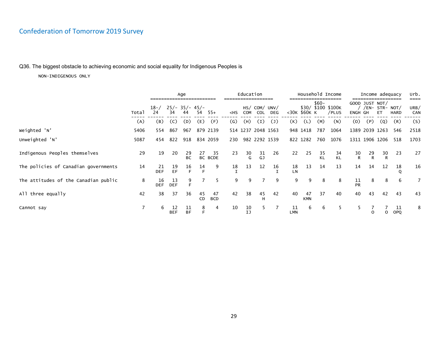### Q36. The biggest obstacle to achieving economic and social equality for Indigenous Peoples is

|                                      |       |                  |                        | Age             |          |                  |                   | Education    |                      |                           |                  |                  |          | Household Income            |                |                    | Income adequacy       |             | urb.                |
|--------------------------------------|-------|------------------|------------------------|-----------------|----------|------------------|-------------------|--------------|----------------------|---------------------------|------------------|------------------|----------|-----------------------------|----------------|--------------------|-----------------------|-------------|---------------------|
|                                      | Total | $18 - /$<br>24   | $25/- 35/- 45/-$<br>34 | 44              | 54       | $55+$            | $<$ HS            | COM          | HS/ COM/ UNV/<br>COL | DEG                       |                  | <30K \$60K K     | $$60-$   | \$30/ \$100 \$100K<br>/PLUS | ENGH GH        | GOOD JUST NOT/     | /EN- STR- NOT/<br>ET. | <b>HARD</b> | ====<br>URB/<br>CAN |
|                                      | (A)   | (B)              | (C)                    | (D)             | (E)      | (F)              | $\left( G\right)$ | (H)          | (I)                  | $\mathcal{L}(\mathsf{J})$ | (K)              | (L)              | (M)      | (N)                         | (0)            | (P)                | (Q)                   | (R)         | (S)                 |
| Weighted 'N'                         | 5406  | 554              | 867                    | 967             |          | 879 2139         |                   |              | 514 1237 2048 1563   |                           |                  | 948 1418         | 787      | 1064                        |                |                    | 1389 2039 1263        | 546         | 2518                |
| Unweighted 'N'                       | 5087  | 454              | 822                    | 918             |          | 834 2059         | 230               |              |                      | 982 2292 1539             |                  | 822 1282         | 760      | 1076                        |                |                    | 1311 1906 1206 518    |             | 1703                |
| Indigenous Peoples themselves        | 29    | 19               | 20                     | 29<br><b>BC</b> | 27       | 35<br>BC BCDE    | 23                | $rac{30}{6}$ | 31<br>GJ             | 26                        | 22               | 25               | 35<br>KL | 34<br>KL                    | $\frac{30}{R}$ | 29<br>$\mathsf{R}$ | 30<br>R               | 23          | 27                  |
| The policies of Canadian governments | 14    | 21<br><b>DEF</b> | 19<br>EF               | 16<br>E         | 14<br>F  | 9                | 18                | 13           | 12                   | 16                        | 18<br><b>LN</b>  | 13               | 14       | 13                          | 14             | 14                 | 12                    | 18          | 16                  |
| The attitudes of the Canadian public | 8     | 16<br><b>DEF</b> | 13<br><b>DEF</b>       | 9<br>E          |          | 5                | 9                 | 9            |                      | 9                         | 9                | 9                | 8        | 8                           | 11<br>PR       | 8                  | 8                     | 6           | 7                   |
| All three equally                    | 42    | 38               | 37                     | 36              | 45<br>CD | 47<br><b>BCD</b> | 42                | 38           | 45<br>H              | 42                        | 40               | 47<br><b>KMN</b> | 37       | 40                          | 40             | 43                 | 42                    | 43          | 43                  |
| Cannot say                           |       | 6                | 12<br><b>BEF</b>       | 11<br><b>BF</b> | 8<br>E   | 4                | 10                | 10<br>IJ     |                      |                           | 11<br><b>LMN</b> | 6                | 6        | 5                           |                |                    |                       | 11<br>OPQ   | 8                   |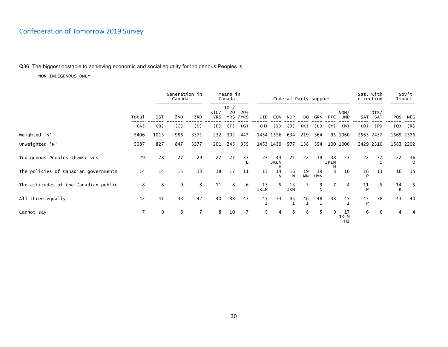### Q36. The biggest obstacle to achieving economic and social equality for Indigenous Peoples is

|                                      |                |      | Generation in<br>Canada<br>----------------- |      |                    | Years in<br>Canada | ________           |                   |                   |            | Federal Party support |                   |                   |                         | Sat. with<br>direction |             |            | Gov't<br>Impact |
|--------------------------------------|----------------|------|----------------------------------------------|------|--------------------|--------------------|--------------------|-------------------|-------------------|------------|-----------------------|-------------------|-------------------|-------------------------|------------------------|-------------|------------|-----------------|
|                                      | Total          | 1st  | 2 <sub>ND</sub>                              | 3RD  | <10/<br><b>YRS</b> | $10 - /$<br>20     | $20+$<br>YRS / YRS | LIB               | <b>CON</b>        | <b>NDP</b> | <b>BO</b>             | GRN               | PPC               | NON/<br><b>UND</b>      | SAT                    | DIS/<br>SAT | <b>POS</b> | NEG             |
|                                      | (A)            | (B)  | (C)                                          | (D)  | (E)                | (F)                | $\mathcal{G}$      | (H)               | (I)               | (J)        | (K)                   | (L)               | (M)               | (N)                     | (0)                    | (P)         | (Q)        | (R)             |
| Weighted 'N'                         | 5406           | 1013 | 986                                          | 3371 | 232                | 302                | 447                |                   | 1454 1556         | 634        | 219                   | 364               |                   | 95 1060                 | 2563 2437              |             |            | 1569 2376       |
| Unweighted 'N'                       | 5087           | 827  | 847                                          | 3377 | 201                | 245                | 355                |                   | 1453 1439         | 577        | 138                   | 354               |                   | 100 1006                | 2429 2310              |             |            | 1583 2202       |
| Indigenous Peoples themselves        | 29             | 28   | 27                                           | 29   | 22                 | 27                 | 33                 | 23                | 43<br><b>JKLN</b> | 21         | 22                    | 19                | 38<br><b>JKLN</b> | 23                      | 22                     | 37          | 22         | $\frac{36}{9}$  |
| The policies of Canadian governments | 14             | 14   | 15                                           | 13   | 18                 | 17                 | 11                 | 13                | 14                | 16<br>N    | 19<br>MN              | 19<br><b>HMN</b>  | 8                 | 10                      | 16                     | 13          | 16         | 15              |
| The attitudes of the Canadian public | 8              | 8    | 9                                            | 8    | 11                 | 8                  | 6                  | 13<br><b>IKLN</b> |                   | 13<br>IKN  | 5                     | 9<br>N            |                   | 4                       | 11<br>D                | 5.          | 14<br>R    | -5              |
| All three equally                    | 42             | 41   | 43                                           | 42   | 40                 | 38                 | 43                 | 45                | 33                | 45         | 46<br>$\mathbf I$     | 48<br>$\mathbf I$ | 38                | 45                      | 45<br>P                | 38          | 43         | 40              |
| Cannot say                           | $\overline{7}$ | 9    | 6                                            |      | 8                  | 10                 |                    | 5.                | 4                 | 6          | 8                     | 5                 | 9                 | 17<br><b>JKLM</b><br>HI | 6                      | 6           |            |                 |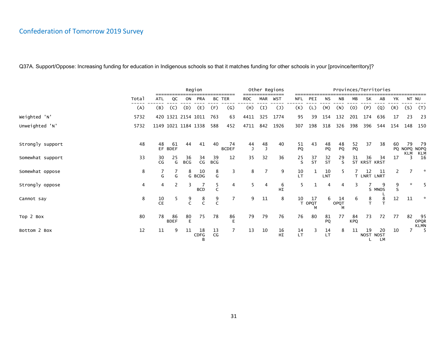|                  |       |                 |                   |                     | Region          |                  |                    |                    |     | Other Regions  |                 |              |                  |                 |                  |                    | Provinces/Territories |                       |          |                                   |
|------------------|-------|-----------------|-------------------|---------------------|-----------------|------------------|--------------------|--------------------|-----|----------------|-----------------|--------------|------------------|-----------------|------------------|--------------------|-----------------------|-----------------------|----------|-----------------------------------|
|                  | Total | ATL             | QC                | ON                  | <b>PRA</b>      | <b>BC TER</b>    |                    | <b>ROC</b>         | MAR | WST            | NFL             | PEI          | ΝS               | NB              | МB               | SK                 | AB                    | YΚ                    |          | NT NU                             |
|                  | (A)   | (B)             | (C)               | (D)                 | (E)             | (F)              | $\mathsf{(G)}$     | (H)                | (I) | $(\mathsf{J})$ | (K)             | (L)          | (M)              | (N)             | (0)              | (P)                | (Q)                   | (R)                   | (S)      | (T)                               |
| Weighted 'N'     | 5732  |                 |                   | 420 1321 2154 1011  |                 | 763              | 63                 | 4411               | 325 | 1774           | 95              | 39           | 154              | 132             | 201              | 174                | 636                   | 17                    | 23       | 23                                |
| Unweighted 'N'   | 5732  |                 |                   | 1149 1021 1184 1338 |                 | 588              | 452                | 4711               | 842 | 1926           | 307             | 198          | 318              | 326             | 398              | 396                | 544                   | 154                   | 148      | 150                               |
| Strongly support | 48    | 48              | 61<br>EF BDEF     | 44                  | 41              | 40               | 74<br><b>BCDEF</b> | 44<br>$\mathbf{J}$ | 48  | 40             | $\frac{51}{PQ}$ | 43           | 48<br>PQ         | 48<br>PQ        | 52<br>PQ         | 37                 | 38                    | 60                    | 79       | -79<br>PQ NOPQ NOPQ               |
| Somewhat support | 33    | 30<br>CG        | 25<br>G           | 36<br><b>BCG</b>    | 34<br>CG        | 39<br><b>BCG</b> | 12                 | 35                 | 32  | 36             | 25<br>S         | $rac{37}{5}$ | $rac{32}{5}$     | 29<br>S         | 31               | 36<br>ST KRST KRST | 34                    | 17                    | KLM<br>3 | KLM<br>16                         |
| Somewhat oppose  | 8     | G               | G                 | 8                   | 10<br>G BCDG    | 8<br>G           | 3                  | 8                  |     | 9              | 10<br>LT        |              | 10<br><b>LNT</b> |                 |                  | 12<br>T LNRT LNRT  | 11                    | $\mathbf{2}^{\prime}$ |          | ☆                                 |
| Strongly oppose  | 4     | 4               | 2                 | 3                   | <b>BCD</b>      | 5<br>C           | 4                  | 5                  | 4   | 6<br>HI        | 5               |              | 4                | 4               | 3                |                    | 9<br>S MNOS           | 9<br>S                | $\star$  | 5                                 |
| Cannot say       | 8     | 10<br><b>CE</b> | 5                 | $\frac{9}{C}$       | $\frac{8}{C}$   | $\frac{9}{C}$    | $\overline{7}$     | 9                  | 11  | 8              | 10              | 17<br>T OPQT | 6                | 14<br>OPQT<br>M | 6                | $\frac{8}{T}$      | 8<br>$\mathbf{r}$     | 12                    | 11       | ☆                                 |
| Top 2 Box        | 80    | 78              | 86<br><b>BDEF</b> | 80<br>F             | 75              | 78               | 86<br>F            | 79                 | 79  | 76             | 76              | 80           | 81<br>PQ         | 77              | 84<br><b>KPQ</b> | 73                 | 72                    | 77                    | 82       | -95<br><b>OPQR</b><br><b>KLMN</b> |
| Bottom 2 Box     | 12    | 11              | 9                 | 11                  | 18<br>CDFG<br>B | 13<br>CG         |                    | 13                 | 10  | 16<br>HI       | 14<br>LT        | 3            | 14<br>LT         | 8               | 11               | 19<br>NOST NOST    | 20<br>LM              | 10                    |          | $-5$                              |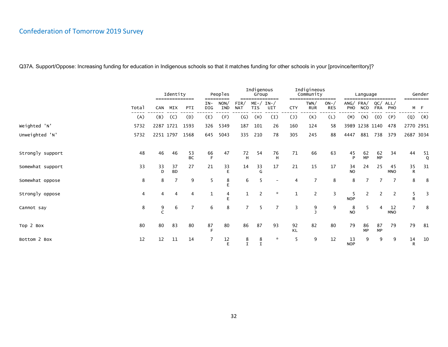|                  |       |           | Identity              |                 |              | Peoples     |                    | Indigenous<br>Group    |                       |                | Indigineous<br>Community |                              |                  | Language               |                   |                  |                    | Gender         |
|------------------|-------|-----------|-----------------------|-----------------|--------------|-------------|--------------------|------------------------|-----------------------|----------------|--------------------------|------------------------------|------------------|------------------------|-------------------|------------------|--------------------|----------------|
|                  | Total | CAN       | ==============<br>MIX | PTI             | $IN-$<br>DIG | NON/<br>IND | FIN/<br><b>NAT</b> | $ME - /$<br><b>TIS</b> | =====<br>$IN-$<br>UIT | <b>CTY</b>     | TWN/<br><b>RUR</b>       | =====<br>$ON-$<br><b>RES</b> | PHO              | ANG/FRA/<br><b>NCO</b> | QC/<br><b>FRA</b> | ALL/<br>PHO      |                    | M F            |
|                  | (A)   | (B)       | (C)                   | (D)             | (E)          | (F)         | (G)                | (H)                    | (I)                   | $(\mathsf{J})$ | (K)                      | (L)                          | (M)              | (N)                    | (0)               | (P)              | (Q)                | (R)            |
| Weighted 'N'     | 5732  |           | 2287 1721             | 1593            | 326          | 5349        | 187                | 101                    | 26                    | 160            | 124                      | 58                           |                  | 3989 1238 1140         |                   | 478              | 2770 2951          |                |
| Unweighted 'N'   | 5732  | 2251 1797 |                       | 1568            | 645          | 5043        | 335                | 210                    | 78                    | 305            | 245                      | 88                           | 4447             | 881                    | 738               | 379              | 2687 3034          |                |
| Strongly support | 48    | 46        | 46                    | 53<br><b>BC</b> | 66<br>E      | 47          | 72<br>H            | 54                     | 76<br>H               | 71             | 66                       | 63                           | 45<br>P          | 62<br>MP               | 62<br><b>MP</b>   | 34               | 44                 | $\frac{51}{9}$ |
| Somewhat support | 33    | 33<br>D   | 37<br><b>BD</b>       | 27              | 21           | 33<br>E     | 14                 | 33<br>G                | 17                    | 21             | 15                       | 17                           | 34<br><b>NO</b>  | 24                     | 25                | 45<br><b>MNO</b> | 35<br>$\mathsf{R}$ | 31             |
| Somewhat oppose  | 8     | 8         | $\overline{7}$        | 9               | 5            | 8           | 6                  |                        |                       | 4              | 7                        | 8                            | 8                | $\overline{7}$         | 7                 | $\overline{7}$   | 8                  | - 8            |
| Strongly oppose  | 4     | 4         | 4                     | 4               |              | 4           |                    |                        | $\star$               |                | $\overline{2}$           | 3                            | -5<br><b>NOP</b> | $\overline{2}$         | 2                 | 2                | 5<br>$\mathsf{R}$  | 3              |
| Cannot say       | 8     | 9         | 6                     | 7               | 6            | 8           | $\overline{7}$     | 5                      | $\overline{7}$        | 3              | 9                        | 9                            | 8<br><b>NO</b>   | 5                      | 4                 | 12<br><b>MNO</b> | 7                  | 8              |
| Top 2 Box        | 80    | 80        | 83                    | 80              | 87<br>F      | 80          | 86                 | 87                     | 93                    | 92<br>KL       | 82                       | 80                           | 79               | 86<br><b>MP</b>        | 87<br><b>MP</b>   | 79               | 79                 | 81             |
| Bottom 2 Box     | 12    | 12        | 11                    | 14              |              | 12<br>F     |                    | 8<br>I                 | $\star$               | 5              | 9                        | 12                           | 13<br><b>NOP</b> | 9                      | 9                 | 9                | 14<br>R            | 10             |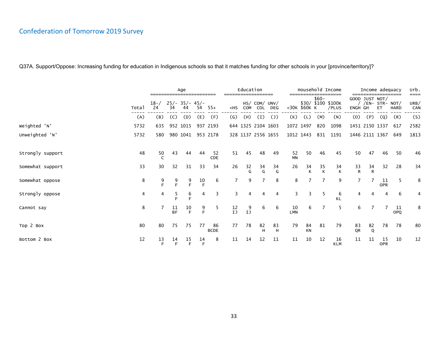|                  |       |                |                 | Age                    |                |                   |                   | Education          |                             |                    |                  |              |                | Household Income            |                | Income adequacy                  |                  |             | urb.<br>==== |
|------------------|-------|----------------|-----------------|------------------------|----------------|-------------------|-------------------|--------------------|-----------------------------|--------------------|------------------|--------------|----------------|-----------------------------|----------------|----------------------------------|------------------|-------------|--------------|
|                  | Total | $18 - /$<br>24 | 34              | $25/- 35/- 45/-$<br>44 | 54             | $55+$             | $<$ HS            | COM                | HS/ COM/ UNV/<br><b>COL</b> | <b>DEG</b>         |                  | <30K \$60K K | $$60-$         | \$30/ \$100 \$100K<br>/PLUS | ENGH GH        | GOOD JUST NOT/<br>/EN- STR- NOT/ | ET               | <b>HARD</b> | URB/<br>CAN  |
|                  | (A)   | (B)            | (C)             | (D)                    | (E)            | (F)               | $\left( G\right)$ | (H)                | (I)                         | $(\mathsf{J})$     | (K)              | (L)          | (M)            | (N)                         | (0)            | (P)                              | (Q)              | (R)         | (S)          |
| Weighted 'N'     | 5732  | 635            |                 | 952 1015               |                | 937 2193          |                   | 644 1325 2104 1603 |                             |                    |                  | 1072 1497    | 820            | 1098                        |                | 1451 2150 1337                   |                  | 617         | 2582         |
| Unweighted 'N'   | 5732  | 580            |                 | 980 1041               |                | 953 2178          |                   |                    |                             | 328 1137 2556 1655 |                  | 1012 1443    | 831            | 1191                        |                | 1446 2111 1367                   |                  | 649         | 1813         |
| Strongly support | 48    | 50             | 43              | 44                     | 44             | 52<br>CDE         | 51                | 45                 | 48                          | 49                 | 52<br><b>MN</b>  | 50           | 46             | 45                          | 50             | 47                               | 46               | 50          | 46           |
| Somewhat support | 33    | 30             | 32              | 31                     | 33             | 34                | 26                | $rac{32}{6}$       | $\frac{34}{6}$              | $\frac{34}{9}$     | 26               | 34           | $\frac{35}{K}$ | 34<br>$\mathsf{K}$          | $\frac{33}{R}$ | $\frac{34}{R}$                   | 32               | 28          | 34           |
| Somewhat oppose  | 8     | 9<br>E.        | 9<br>F          | $\frac{9}{5}$          | $\frac{10}{F}$ | 6                 | 7                 | 9                  |                             | 8                  | 8                |              | 7              | 9                           |                |                                  | 11<br><b>OPR</b> | 5           | 8            |
| Strongly oppose  | 4     | 4              | 5<br>Е          | 6<br>F                 | 4              | 3                 | 3                 | 4                  |                             | 4                  | 3                |              | 5              | 6<br>KL                     |                |                                  |                  | 6           | 4            |
| Cannot say       | 8     |                | 11<br><b>BF</b> | 10<br>E                | 9<br>E         | -5                | 12<br>IJ          | 9<br>IJ            | 6                           | 6                  | 10<br><b>LMN</b> | 6            |                | 5                           | 6              |                                  |                  | 11<br>OPQ   | 8            |
| Top 2 Box        | 80    | 80             | 75              | 75                     | 77             | 86<br><b>BCDE</b> | 77                | 78                 | 82<br>H                     | 83<br>н            | 79               | 84<br>KN     | 81             | 79                          | 83<br>QR       | 82<br>Q                          | 78               | 78          | 80           |
| Bottom 2 Box     | 12    | 13<br>F        | 14<br>F         | 15<br>F                | 14<br>F        | 8                 | 11                | 14                 | 12                          | 11                 | 11               | 10           | 12             | 16<br><b>KLM</b>            | 11             | 11                               | 15<br>OPR        | 10          | 12           |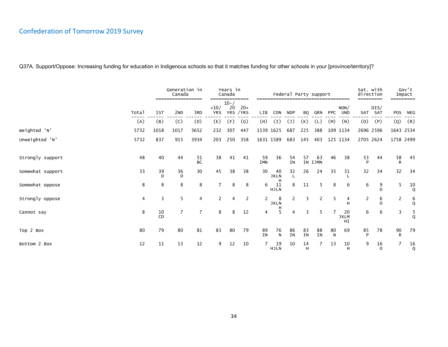|                  |       |          | Generation in<br>Canada              |                 |                    | Years in<br>Canada |                                |                  |                        |                    |           | Federal Party support |            |                         | Sat. with<br>direction |                 |            | Gov't<br>Impact                      |
|------------------|-------|----------|--------------------------------------|-----------------|--------------------|--------------------|--------------------------------|------------------|------------------------|--------------------|-----------|-----------------------|------------|-------------------------|------------------------|-----------------|------------|--------------------------------------|
|                  | Total | 1ST      | =================<br>2 <sub>ND</sub> | 3RD             | <10/<br><b>YRS</b> | $10 - /$<br>20     | ========<br>$20+$<br>YRS / YRS | <b>LIB</b>       | <b>CON</b>             | <b>NDP</b>         | <b>BQ</b> | GRN                   | <b>PPC</b> | NON/<br><b>UND</b>      |                        | DIS/<br>SAT SAT | <b>POS</b> | NEG                                  |
|                  | (A)   | (B)      | (C)                                  | (D)             | (E)                | (F)                | $\mathsf{(G)}$                 | (H)              | (I)                    | $\left( 1\right)$  | (K)       | (L)                   | (M)        | (N)                     | (0)                    | (P)             | (Q)        | (R)                                  |
| Weighted 'N'     | 5732  | 1018     | 1017                                 | 3652            | 232                | 307                | 447                            |                  | 1539 1625              | 687                | 225       | 388                   |            | 109 1134                |                        | 2696 2596       | 1643 2534  |                                      |
| Unweighted 'N'   | 5732  | 837      | 915                                  | 3934            | 203                | 250                | 358                            |                  | 1631 1589              | 683                | 145       | 403                   |            | 125 1134                | 2705 2624              |                 | 1758 2499  |                                      |
| Strongly support | 48    | 40       | 44                                   | 51<br><b>BC</b> | 38                 | 41                 | 41                             | 59<br><b>IMN</b> | 36                     | 54<br><b>IN</b>    | 57        | 63<br>IN IJMN         | 46         | 38                      | 53                     | 44              | 58<br>R    | 45                                   |
| Somewhat support | 33    | 39<br>D  | 36<br>D                              | 30              | 45                 | 38                 | 38                             | 30               | 40<br><b>JKLN</b>      | 32<br>$\mathsf{L}$ | 26        | 24                    | 35         | 31                      | 32                     | 34              | 32         | 34                                   |
| Somewhat oppose  | 8     | 8        | 8                                    | 8               |                    | 8                  | 8                              | 6                | н<br>11<br><b>HJLN</b> | 8                  | 11        | 5                     | 8          | 6                       | 6                      | 9<br>$\Omega$   | 5          | $\frac{10}{\mathsf{Q}}$              |
| Strongly oppose  | 4     | 3        | 5                                    | 4               | 2                  | 4                  | 2                              | $\mathbf{2}$     | 8<br>JKLN              | 2                  | 3         | $\overline{2}$        | 5          | 4<br>H                  | 2                      | 6<br>$\Omega$   | 2          | $\begin{matrix} 6 \\ Q \end{matrix}$ |
| Cannot say       | 8     | 10<br>CD | $\overline{7}$                       | $\overline{7}$  | 8                  | 8                  | 12                             | 4                | н<br>5                 | 4                  | 3         | 5                     |            | 20<br><b>JKLM</b><br>HI | 6                      | 6               | 3          | $\frac{5}{9}$                        |
| Top 2 Box        | 80    | 79       | 80                                   | 81              | 83                 | 80                 | 79                             | 89<br><b>IN</b>  | 76<br>$\mathsf{N}$     | 86<br><b>IN</b>    | 83<br>IN  | 88<br><b>IN</b>       | 80<br>N    | 69                      | 85<br>D                | 78              | 90<br>R    | 79                                   |
| Bottom 2 Box     | 12    | 11       | 13                                   | 12              | 9                  | 12                 | 10                             |                  | 19<br><b>HJLN</b>      | 10                 | 14<br>н   |                       | 13         | 10<br>н                 | 9                      | 16<br>$\Omega$  | 7          | 16<br>Q                              |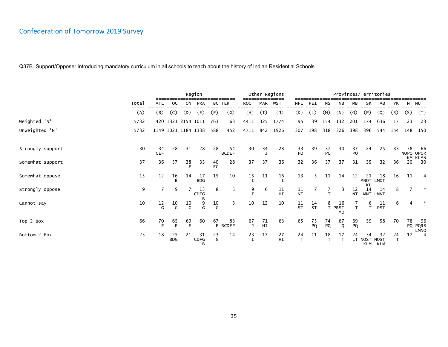|                  |       |                  |                  |                                | Region            |          |                    |                    |            | Other Regions      |                    |                |                    |                           |                 |                                  | Provinces/Territories |         |     |                               |
|------------------|-------|------------------|------------------|--------------------------------|-------------------|----------|--------------------|--------------------|------------|--------------------|--------------------|----------------|--------------------|---------------------------|-----------------|----------------------------------|-----------------------|---------|-----|-------------------------------|
|                  | Total | <b>ATL</b>       | QC               | ON                             | PRA               | BC TER   |                    | <b>ROC</b>         | <b>MAR</b> | <b>WST</b>         | <b>NFL</b>         | PEI            | NS                 | <b>NB</b>                 | МB              | SK                               | AB                    | YΚ      |     | NT NU                         |
|                  | (A)   | (B)              | (C)              | (D)                            | (E)               | (F)      | (G)                | (H)                | (I)        | $(\mathsf{J})$     | (K)                | (L)            | (M)                | (N)                       | (0)             | (P)                              | (Q)                   | (R)     | (S) | (T)                           |
| Weighted 'N'     | 5732  |                  |                  | 420 1321 2154 1011             |                   | 763      | 63                 | 4411               | 325        | 1774               | 95                 | 39             | 154                | 132                       | 201             | 174                              | 636                   | 17      | 23  | 23                            |
| Unweighted 'N'   | 5732  |                  |                  | 1149 1021 1184 1338            |                   | 588      | 452                | 4711               | 842        | 1926               | 307                | 198            | 318                | 326                       | 398             | 396                              | 544                   | 154     | 148 | 150                           |
| Strongly support | 30    | 34<br><b>CEF</b> | 28               | 31                             | 28                | 28       | 54<br><b>BCDEF</b> | 30                 | 34         | 28                 | 33<br>PQ           | 39             | 37<br>PQ           | 30                        | 37<br>PQ        | 24                               | 25                    | 33      | 58  | 66<br>NOPQ OPQR               |
| Somewhat support | 37    | 36               | 37               | 38<br>Е                        | 33                | 40<br>EG | 28                 | 37                 | 37         | 36                 | 32                 | 36             | 37                 | 37                        | 31              | 35                               | 32                    | 36      | 20  | KM KLMN<br>30                 |
| Somewhat oppose  | 15    | 12               | 16<br>B          | 14                             | 17<br><b>BDG</b>  | 15       | 10                 | 15<br>$\mathsf{T}$ | 11         | 16<br>$\mathsf{T}$ | 13                 | 5.             | 11                 | 14                        | 12              | 21<br>MNOT LMOT                  | 18                    | 16      | 11  | 4                             |
| Strongly oppose  | 9     | 7                | 9                |                                | 13<br><b>CDFG</b> | 8        | 5                  | 9                  | 6          | 11<br>HI           | 11<br><b>NT</b>    |                |                    | 3                         | 12<br><b>NT</b> | KL<br>14                         | 14<br>MNT LMNT        | 8       |     | $\star$                       |
| Cannot say       | 10    | $\frac{12}{G}$   | 10<br>G          | $^{10}_{\hbox{\scriptsize G}}$ | 9<br>G            | 10<br>G  | 3                  | 10                 | 12         | 10                 | $\frac{11}{5}$     | $\frac{14}{5}$ | 8                  | 16<br>T PRST<br><b>MO</b> | T.              | 6<br>T                           | 11<br><b>PST</b>      | 6       | 4   |                               |
| Top 2 Box        | 66    | 70<br>E          | 65<br>E          | 69<br>E                        | 60                | 67       | 83<br>E BCDEF      | 67<br>J            | 71<br>HJ   | 63                 | 65                 | 75<br>PQ       | 74<br>PQ           | 67<br>$\mathsf Q$         | 69<br>PQ        | 59                               | 58                    | 70      | 78  | 96<br>PQ PQRS                 |
| Bottom 2 Box     | 23    | 18               | 25<br><b>BDG</b> | 21                             | 31<br>CDFG<br>B   | 23<br>G  | 14                 | 23<br>$\mathbf I$  | 17         | 27<br><b>HI</b>    | 24<br>$\mathsf{T}$ | 11             | 18<br>$\mathsf{T}$ | 17<br>$\mathbf \tau$      | 24              | 34<br>LT NOST NOST<br><b>KLM</b> | 32<br><b>KLM</b>      | 24<br>T | 17  | <b>LMNO</b><br>$\overline{4}$ |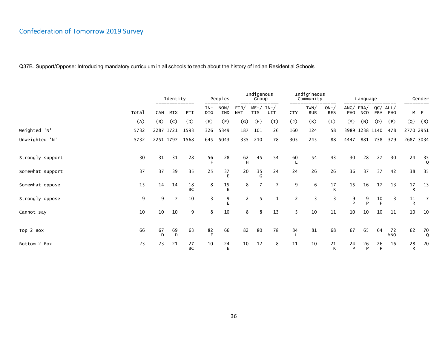|                  |       |         | Identity<br>============== |                 | =====          | Peoples<br>----    |                       | Indigenous<br>Group    | ======       |                | Indigineous<br>Community | .======             | ===     | Language                |                   |                  | =========              | Gender         |
|------------------|-------|---------|----------------------------|-----------------|----------------|--------------------|-----------------------|------------------------|--------------|----------------|--------------------------|---------------------|---------|-------------------------|-------------------|------------------|------------------------|----------------|
|                  | Total | CAN     | MIX                        | <b>PTI</b>      | IN-<br>DIG     | NON/<br><b>IND</b> | FIN/<br><b>NAT</b>    | $ME - /$<br><b>TIS</b> | $IN-$<br>UIT | <b>CTY</b>     | TWN/<br><b>RUR</b>       | $ON-$<br><b>RES</b> | PHO     | ANG/ FRA/<br><b>NCO</b> | QC/<br><b>FRA</b> | ALL/<br>PHO      |                        | M F            |
|                  | (A)   | (B)     | (C)                        | (D)             | (E)            | (F)                | $\left( G\right)$     | (H)                    | (I)          | $(\mathsf{J})$ | (K)                      | (L)                 | (M)     | (N)                     | (0)               | (P)              | (Q)                    | (R)            |
| Weighted 'N'     | 5732  |         | 2287 1721                  | 1593            | 326            | 5349               | 187                   | 101                    | 26           | 160            | 124                      | 58                  |         | 3989 1238 1140          |                   | 478              | 2770 2951              |                |
| Unweighted 'N'   | 5732  |         | 2251 1797                  | 1568            | 645            | 5043               | 335                   | 210                    | 78           | 305            | 245                      | 88                  | 4447    | 881                     | 738               | 379              | 2687 3034              |                |
| Strongly support | 30    | 31      | 31                         | 28              | $\frac{56}{5}$ | 28                 | $62$ H                | 45                     | 54           | 60             | 54                       | 43                  | 30      | 28                      | 27                | 30               | 24                     | $\frac{35}{9}$ |
| Somewhat support | 37    | 37      | 39                         | 35              | 25             | 37<br>E            | 20                    | 35<br>G                | 24           | 24             | 26                       | 26                  | 36      | 37                      | 37                | 42               | 38                     | 35             |
| Somewhat oppose  | 15    | 14      | 14                         | 18<br><b>BC</b> | 8              | 15<br>E            | 8                     |                        |              | 9              | 6                        | 17                  | 15      | 16                      | 17                | 13               | $17\,$<br>$\mathsf{R}$ | 13             |
| Strongly oppose  | 9     | 9       | 7                          | 10              | 3              | 9                  | $\mathbf{2}^{\prime}$ | 5                      | 1            | 2              | 3                        | 3                   | 9<br>Þ  | 9<br>P                  | 10<br>P           | 3                | $11\,$<br>$\mathsf{R}$ | 7              |
| Cannot say       | 10    | 10      | 10                         | 9               | 8              | 10                 | 8                     | 8                      | 13           | 5              | 10                       | 11                  | 10      | 10                      | 10                | 11               | 10                     | 10             |
| Top 2 Box        | 66    | 67<br>D | 69<br>D                    | 63              | $82$ F         | 66                 | 82                    | 80                     | 78           | 84             | 81                       | 68                  | 67      | 65                      | 64                | 72<br><b>MNO</b> | 62                     | 70<br>Q        |
| Bottom 2 Box     | 23    | 23      | 21                         | 27<br><b>BC</b> | 10             | 24<br>E            | 10                    | 12                     | 8            | 11             | 10                       | 21                  | 24<br>P | 26<br>P                 | 26<br>P           | 16               | 28<br>R                | 20             |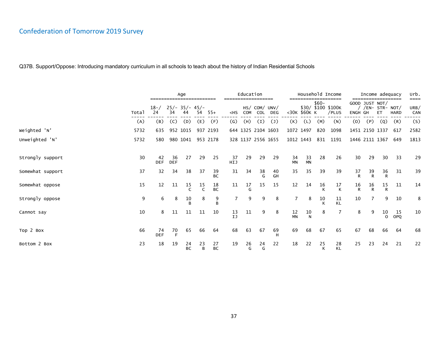|                  |       |                  |                  | Age                    |                  |                 |                   | Education          |         |                             |                 |                 |         | Household Income            |         | Income adequacy                  |                    |             | urb.                |
|------------------|-------|------------------|------------------|------------------------|------------------|-----------------|-------------------|--------------------|---------|-----------------------------|-----------------|-----------------|---------|-----------------------------|---------|----------------------------------|--------------------|-------------|---------------------|
|                  | Total | $18 - /$<br>24   | 34               | $25/- 35/- 45/-$<br>44 | 54               | $55+$           | $<$ HS            | COM                | COL     | HS/ COM/ UNV/<br><b>DEG</b> |                 | <30K \$60K K    | $$60-$  | \$30/ \$100 \$100K<br>/PLUS | ENGH GH | GOOD JUST NOT/<br>/EN- STR- NOT/ | ET                 | <b>HARD</b> | ====<br>URB/<br>CAN |
|                  | (A)   | (B)              | (C)              | (D)                    | (E)              | (F)             | $\left( G\right)$ | (H)                | (I)     | $\mathcal{L}$               | (K)             | (L)             | (M)     | (N)                         | (0)     | (P)                              | (Q)                | (R)         | (S)                 |
| Weighted 'N'     | 5732  | 635              |                  | 952 1015               |                  | 937 2193        |                   | 644 1325 2104 1603 |         |                             | 1072 1497       |                 | 820     | 1098                        |         | 1451 2150 1337                   |                    | 617         | 2582                |
| Unweighted 'N'   | 5732  | 580              |                  | 980 1041               |                  | 953 2178        |                   |                    |         | 328 1137 2556 1655          |                 | 1012 1443       |         | 831 1191                    |         | 1446 2111 1367                   |                    | 649         | 1813                |
|                  |       |                  |                  |                        |                  |                 |                   |                    |         |                             |                 |                 |         |                             |         |                                  |                    |             |                     |
| Strongly support | 30    | 42<br><b>DEF</b> | 36<br><b>DEF</b> | 27                     | 29               | 25              | 37<br>HIJ         | 29                 | 29      | 29                          | 34<br><b>MN</b> | 33<br><b>MN</b> | 28      | 26                          | 30      | 29                               | 30                 | 33          | 29                  |
| Somewhat support | 37    | 32               | 34               | 38                     | 37               | 39<br><b>BC</b> | 31                | 34                 | 38<br>G | 40<br>GH                    | 35              | 35              | 39      | 39                          | 37<br>R | 39<br>$\mathsf{R}$               | 36<br>$\mathsf{R}$ | 31          | 39                  |
| Somewhat oppose  | 15    | 12               | 11               | 15<br>$\mathsf{C}$     | 15<br>$\epsilon$ | 18<br><b>BC</b> | 11                | 17                 | 15      | 15                          | 12              | 14              | 16<br>K | 17<br>К                     | 16<br>R | 16<br>R                          | 15<br>$\mathsf{R}$ | 11          | 14                  |
| Strongly oppose  | 9     | 6                | 8                | 10                     | 8                | 9<br>B          | 7                 | 9                  | 9       | 8                           |                 | 8               | 10<br>К | 11<br>KL                    | 10      |                                  | 9                  | 10          | 8                   |
| Cannot say       | 10    | 8                | 11               | 11                     | 11               | 10              | 13<br>IJ          | 11                 | 9       | 8                           | 12<br><b>MN</b> | 10<br>N         | 8       |                             | 8       | 9                                | 10<br>$\Omega$     | 15<br>OPQ   | 10                  |
| Top 2 Box        | 66    | 74<br><b>DEF</b> | 70<br>E          | 65                     | 66               | 64              | 68                | 63                 | 67      | 69                          | 69              | 68              | 67      | 65                          | 67      | 68                               | 66                 | 64          | 68                  |
| Bottom 2 Box     | 23    | 18               | 19               | 24<br><b>BC</b>        | 23<br>B          | 27<br><b>BC</b> | 19                | 26<br>G            | 24<br>G | 22                          | 18              | 22              | 25<br>K | 28<br><b>KL</b>             | 25      | 23                               | 24                 | 21          | 22                  |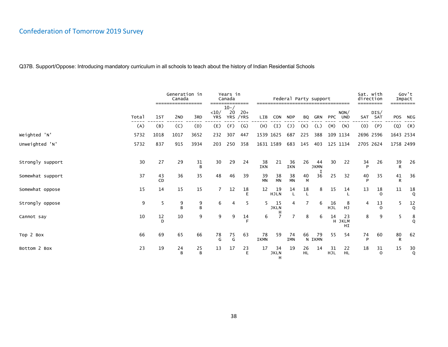|                  |       |          | Generation in<br>Canada<br>================= |         |                    | Years in<br>Canada<br>======== |                    |                   |                        |                  |                 | Federal Party support<br>------------------------------------- |           |                    | Sat. with<br>direction<br>---------- |                   | =========  | Gov't<br>Impact |
|------------------|-------|----------|----------------------------------------------|---------|--------------------|--------------------------------|--------------------|-------------------|------------------------|------------------|-----------------|----------------------------------------------------------------|-----------|--------------------|--------------------------------------|-------------------|------------|-----------------|
|                  | Total | 1st      | 2 <sub>ND</sub>                              | 3RD     | <10/<br><b>YRS</b> | $10 - /$<br>20                 | $20+$<br>YRS / YRS | LIB               | CON                    | <b>NDP</b>       | BQ              | GRN                                                            |           | NON/<br>PPC UND    |                                      | DIS/<br>SAT SAT   | <b>POS</b> | NEG             |
|                  | (A)   | (B)      | (C)                                          | (D)     | (E)                | (F)                            | $\mathsf{(G)}$     | (H)               | (I)                    | $(\mathsf{J})$   | (K)             | (L)                                                            | (M)       | (N)                | (0)                                  | (P)               | (Q)        | (R)             |
| Weighted 'N'     | 5732  | 1018     | 1017                                         | 3652    | 232                | 307                            | 447                | 1539 1625         |                        | 687              | 225             | 388                                                            |           | 109 1134           | 2696 2596                            |                   | 1643 2534  |                 |
| Unweighted 'N'   | 5732  | 837      | 915                                          | 3934    | 203                | 250                            | 358                | 1631 1589         |                        | 683              | 145             | 403                                                            |           | 125 1134           | 2705 2624                            |                   | 1758 2499  |                 |
|                  |       |          |                                              |         |                    |                                |                    |                   |                        |                  |                 |                                                                |           |                    |                                      |                   |            |                 |
| Strongly support | 30    | 27       | 29                                           | 31<br>B | 30                 | 29                             | 24                 | 38<br>IKN         | 21                     | 36<br>IKN        | 26              | 44<br><b>JKMN</b>                                              | 30        | 22                 | 34<br>D                              | 26                | 39<br>R    | 26              |
| Somewhat support | 37    | 43<br>CD | 36                                           | 35      | 48                 | 46                             | 39                 | 39<br><b>MN</b>   | 38<br><b>MN</b>        | 38<br><b>MN</b>  | 40<br>M         | 36                                                             | 25        | 32                 | 40                                   | 35                | 41<br>R    | 36              |
| Somewhat oppose  | 15    | 14       | 15                                           | 15      | $\overline{7}$     | 12                             | 18<br>E            | $12 \overline{ }$ | 19<br><b>HJLN</b>      | 14               | 18              | 8                                                              | 15        | 14                 | 13                                   | 18<br>$\Omega$    | 11         | 18<br>Q         |
| Strongly oppose  | 9     | 5        | 9<br>B                                       | 9<br>B  | 6                  | 4                              | 5                  | 5                 | 15<br><b>JKLN</b><br>н | 4                | 7               | 6                                                              | 16<br>HJL | 8<br>HJ            | 4                                    | 13<br>$\Omega$    | 5          | 12<br>Q         |
| Cannot say       | 10    | 12<br>D  | 10                                           | 9       | 9                  | 9                              | 14                 | 6                 | $\overline{7}$         | $\overline{7}$   | 8               | 6                                                              | 14        | 23<br>H JKLM<br>HI | 8                                    | 9                 | 5          | 8<br>Q          |
| Top 2 Box        | 66    | 69       | 65                                           | 66      | 78<br>G            | 75<br>G                        | 63                 | 78<br>IKMN        | 59                     | 74<br><b>IMN</b> | 66              | 79<br>N IKMN                                                   | 55        | 54                 | 74<br>D                              | 60                | 80<br>R    | 62              |
| Bottom 2 Box     | 23    | 19       | 24<br>B                                      | 25<br>B | 13                 | 17                             | 23<br>E            | 17                | 34<br><b>JKLN</b><br>н | 19               | 26<br><b>HL</b> | 14                                                             | 31<br>HJL | 22<br><b>HL</b>    | 18                                   | 31<br>$\mathbf 0$ | 15         | 30<br>Q         |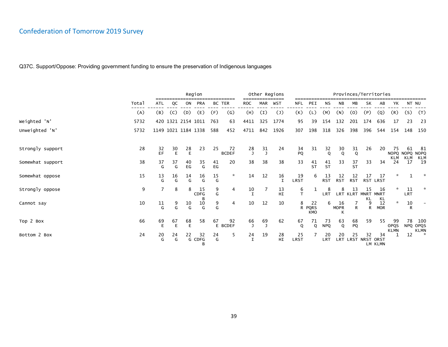|                  |       |                         |              |                         | Region            |          |                    |                    |     | Other Regions     |            |                                 |                  |                   | Provinces/Territories    |          |                       |                           |                  |                    |
|------------------|-------|-------------------------|--------------|-------------------------|-------------------|----------|--------------------|--------------------|-----|-------------------|------------|---------------------------------|------------------|-------------------|--------------------------|----------|-----------------------|---------------------------|------------------|--------------------|
|                  | Total | ATL                     | QC           | ON                      | <b>PRA</b>        | BC TER   |                    | <b>ROC</b>         | MAR | <b>WST</b>        | NFL        | PEI                             | ΝS               | ΝB                | MВ                       | SK       | AB                    | YΚ                        |                  | NT NU              |
|                  | (A)   | (B)                     | (C)          | (D)                     | (E)               | (F)      | (G)                | (H)                | (I) | $(\mathsf{J})$    | (K)        | (L)                             | (M)              | (N)               | (0)                      | (P)      | (Q)                   | (R)                       | (S)              | (T)                |
| Weighted 'N'     | 5732  |                         |              | 420 1321 2154 1011      |                   | 763      | 63                 | 4411               | 325 | 1774              | 95         | 39                              | 154              | 132               | 201                      | 174      | 636                   | 17                        | 23               | 23                 |
| Unweighted 'N'   | 5732  |                         |              | 1149 1021 1184 1338     |                   | 588      | 452                | 4711               | 842 | 1926              | 307        | 198                             | 318              | 326               | 398                      | 396      | 544                   | 154                       | 148              | 150                |
| Strongly support | 28    | 32<br>EF                | $rac{30}{E}$ | 28<br>E                 | 23                | 25       | 72<br><b>BCDEF</b> | 28<br>$\mathbf{J}$ | 31  | 24                | 34<br>PQ   | 31                              | 32<br>Q          | 30<br>Q           | 31<br>Q                  | 26       | 20                    | 75<br>NOPQ NOPQ           | 61               | -81<br><b>NOPQ</b> |
| Somewhat support | 38    | 37<br>G                 | 37<br>G      | 40<br>EG                | 35<br>G           | 41<br>EG | 20                 | 38                 | 38  | 38                | 33         | 41<br><b>ST</b>                 | 41<br><b>ST</b>  | 33                | 37<br><b>ST</b>          | 33       | 34                    | 24                        | KLM KLM<br>17    | KLM<br>19          |
| Somewhat oppose  | 15    | $\frac{13}{6}$          | 16<br>G      | $^{14}_{\phantom{1}9}$  | 16<br>G           | 15<br>G  | $\star$            | 14                 | 12  | 16<br>$\mathbf I$ | 19<br>LRST | 6                               | 13<br><b>RST</b> | 12<br><b>RST</b>  | 12<br><b>RST</b>         | 17       | 17<br>RST LRST        | ☆                         |                  |                    |
| Strongly oppose  | 9     | 7                       | 8            | 8                       | 15<br>CDFG        | 9<br>G   | 4                  | 10<br>I            |     | 13<br>HI          | 6<br>T     |                                 | 8<br><b>LRT</b>  | 8                 | 13<br>LRT KLRT MNRT      | 15<br>KL | 16<br><b>MNRT</b>     |                           | 11<br><b>LRT</b> |                    |
| Cannot say       | 10    | $\frac{11}{\mathsf{G}}$ | 9<br>G       | $\frac{10}{\mathsf{G}}$ | 10<br>G           | 9<br>G   | 4                  | 10                 | 12  | 10                | 8<br>R     | 22<br><b>PQRS</b><br><b>KMO</b> | 6                | 16<br><b>MOPR</b> | R                        | 9<br>R.  | $KL$ 12<br><b>MOR</b> | $\star$                   | 10<br>R          |                    |
| Top 2 Box        | 66    | 69<br>E                 | 67<br>E      | 68<br>E                 | 58                | 67       | 92<br>E BCDEF      | 66<br>$\mathbf{J}$ | 69  | 62                | 67<br>Q    | 71<br>Q                         | 73<br><b>NPQ</b> | 63<br>$\mathbf 0$ | 68<br>PQ                 | 59       | 55                    | 99<br>OPQS<br><b>KLMN</b> | 78               | 100<br>NPQ OPQS    |
| Bottom 2 Box     | 24    | 20<br>G                 | 24<br>G      | 22                      | 32<br>G CDFG<br>B | 24<br>G  | 5                  | 24<br>I            | 19  | 28<br>HI          | 25<br>LRST |                                 | 20<br><b>LRT</b> | 20                | 25<br>LRT LRST NRST ORST | 32       | 34<br>LM KLMN         |                           | 12               | KLMN<br>*          |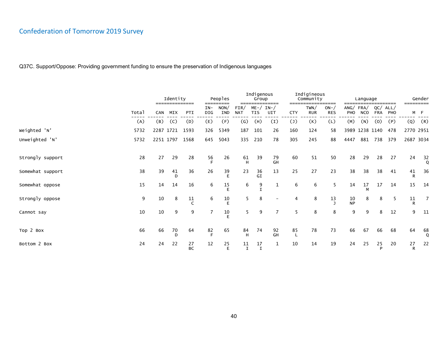|                  |       |     | Identity<br>============== |                 |                | Peoples<br>========= |                    | Indigenous<br>Group | ==============         |                | Indigineous<br>Community | ------              |                 | Language               |                   |             |                    | Gender             |
|------------------|-------|-----|----------------------------|-----------------|----------------|----------------------|--------------------|---------------------|------------------------|----------------|--------------------------|---------------------|-----------------|------------------------|-------------------|-------------|--------------------|--------------------|
|                  | Total | CAN | MIX                        | PTI             | $IN-$<br>DIG   | NON/<br>IND          | FIN/<br><b>NAT</b> | <b>TIS</b>          | $ME - / IN - /$<br>UIT | <b>CTY</b>     | TWN/<br><b>RUR</b>       | $ON-$<br><b>RES</b> | PHO             | ANG/FRA/<br><b>NCO</b> | QC/<br><b>FRA</b> | ALL/<br>PHO | =========          | M F                |
|                  | (A)   | (B) | (C)                        | (D)             | (E)            | (F)                  | $\left( G\right)$  | (H)                 | (I)                    | $(\mathsf{J})$ | (K)                      | (L)                 | (M)             | (N)                    | (0)               | (P)         | (Q)                | (R)                |
| Weighted 'N'     | 5732  |     |                            | 2287 1721 1593  | 326            | 5349                 | 187                | 101                 | 26                     | 160            | 124                      | 58                  |                 |                        | 3989 1238 1140    | 478         | 2770 2951          |                    |
| Unweighted 'N'   | 5732  |     | 2251 1797                  | 1568            | 645            | 5043                 | 335                | 210                 | 78                     | 305            | 245                      | 88                  | 4447            | 881                    | 738               | 379         | 2687 3034          |                    |
| Strongly support | 28    | 27  | 29                         | 28              | $\frac{56}{F}$ | 26                   | 61<br>H            | 39                  | 79<br>GH               | 60             | 51                       | 50                  | 28              | 29                     | 28                | 27          | 24                 | $\frac{32}{9}$     |
| Somewhat support | 38    | 39  | 41<br>D                    | 36              | 26             | 39<br>E              | 23                 | 36<br>GI            | 13                     | 25             | 27                       | 23                  | 38              | 38                     | 38                | 41          | 41<br>R            | 36                 |
| Somewhat oppose  | 15    | 14  | 14                         | 16              | 6              | 15<br>E              | 6                  | 9                   | 1                      | 6              | 6                        | 5                   | 14              | 17                     | 17                | 14          | 15                 | 14                 |
| Strongly oppose  | 9     | 10  | 8                          | 11              | 6              | 10                   | 5                  | 8                   |                        | 4              | 8                        | 13                  | $\frac{10}{NP}$ | 8                      | 8                 | 5           | 11<br>$\mathsf{R}$ | 7                  |
| Cannot say       | 10    | 10  | 9                          | 9               | 7              | 10                   | 5.                 | 9                   | $\overline{7}$         | 5              | 8                        | 8                   | 9               | 9                      | 8                 | 12          | 9                  | 11                 |
| Top 2 Box        | 66    | 66  | 70<br>D                    | 64              | $82$ F         | 65                   | 84<br>н            | 74                  | 92<br>GH               | 85             | 78                       | 73                  | 66              | 67                     | 66                | 68          | 64                 | $^{68}_{\tiny{Q}}$ |
| Bottom 2 Box     | 24    | 24  | 22                         | 27<br><b>BC</b> | 12             | 25<br>F              | 11<br>$\mathbf I$  | 17<br>$\mathbf I$   | 1                      | 10             | 14                       | 19                  | 24              | 25                     | 25<br>P           | 20          | 27<br>R            | 22                 |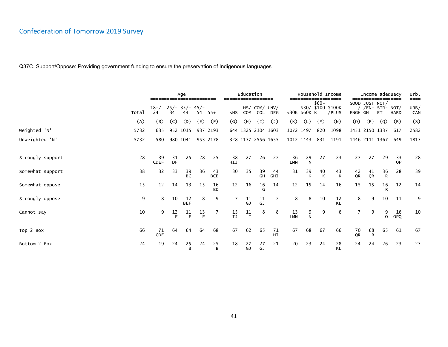|                  |       |                   |          | Age                    |         |                  |                   | Education          |                             |                 |                  |                    |         | Household Income            |             | Income adequacy                        |                |             | urb.                |
|------------------|-------|-------------------|----------|------------------------|---------|------------------|-------------------|--------------------|-----------------------------|-----------------|------------------|--------------------|---------|-----------------------------|-------------|----------------------------------------|----------------|-------------|---------------------|
|                  | Total | $18 - /$<br>24    | 34       | $25/- 35/- 45/-$<br>44 | 54      | $55+$            | $<$ HS            | <b>COM</b>         | HS/ COM/ UNV/<br><b>COL</b> | <b>DEG</b>      |                  | <30K \$60K K       | $$60-$  | \$30/ \$100 \$100K<br>/PLUS | <b>ENGH</b> | GOOD JUST NOT/<br>/EN- STR- NOT/<br>GH | ET             | <b>HARD</b> | ====<br>URB/<br>CAN |
|                  | (A)   | (B)               | (C)      | (D)                    | (E)     | (F)              | $\left( G\right)$ | (H)                | (I)                         | $\mathcal{L}$   | (K)              | (L)                | (M)     | (N)                         | (0)         | (P)                                    | (Q)            | (R)         | (S)                 |
| Weighted 'N'     | 5732  | 635               |          | 952 1015               |         | 937 2193         |                   | 644 1325 2104 1603 |                             |                 |                  | 1072 1497          | 820     | 1098                        |             | 1451 2150 1337                         |                | 617         | 2582                |
| Unweighted 'N'   | 5732  | 580               |          | 980 1041               |         | 953 2178         |                   | 328 1137 2556 1655 |                             |                 |                  | 1012 1443          |         | 831 1191                    |             | 1446 2111 1367                         |                | 649         | 1813                |
|                  |       |                   |          |                        |         |                  |                   |                    |                             |                 |                  |                    |         |                             |             |                                        |                |             |                     |
| Strongly support | 28    | 39<br><b>CDEF</b> | 31<br>DF | 25                     | 28      | 25               | 38<br>HIJ         | 27                 | 26                          | 27              | 36<br><b>LMN</b> | 29<br>$\mathsf{N}$ | 27      | 23                          | 27          | 27                                     | 29             | 33<br>OP    | 28                  |
| Somewhat support | 38    | 32                | 33       | 39<br>BC               | 36      | 43<br><b>BCE</b> | 30                | 35                 | 39<br>GH                    | 44<br>GHI       | 31               | 39<br>К            | 40<br>К | 43<br>К                     | 42<br>QR    | 41<br>QR                               | $\frac{36}{R}$ | 28          | 39                  |
| Somewhat oppose  | 15    | 12                | 14       | 13                     | 15      | 16<br><b>BD</b>  | 12                | 16                 | 16                          | 14              | 12               | 15                 | 14      | 16                          | 15          | 15                                     | 16             | 12          | 14                  |
| Strongly oppose  | 9     | 8                 | 10       | 12<br><b>BEF</b>       | 8       | 9                |                   | 11<br>GJ           | 11<br>GJ                    |                 | 8                | 8                  | 10      | 12<br>KL                    | 8           | 9                                      | 10             | 11          | 9                   |
| Cannot say       | 10    | 9                 | 12<br>F  | 11<br>E                | 13<br>E |                  | 15<br>IJ          | 11<br>$\mathbf I$  | 8                           | 8               | 13<br><b>LMN</b> | 9<br>N             | 9       | 6                           |             | 9                                      | $\Omega$       | 16<br>OPQ   | 10                  |
| Top 2 Box        | 66    | 71<br>CDE         | 64       | 64                     | 64      | 68               | 67                | 62                 | 65                          | 71<br><b>HI</b> | 67               | 68                 | 67      | 66                          | 70<br>QR    | 68<br>$\mathsf{R}$                     | 65             | 61          | 67                  |
| Bottom 2 Box     | 24    | 19                | 24       | 25<br>B                | 24      | 25<br>B          | 18                | 27<br>GJ           | 27<br>GJ                    | 21              | 20               | 23                 | 24      | 28<br><b>KL</b>             | 24          | 24                                     | 26             | 23          | 23                  |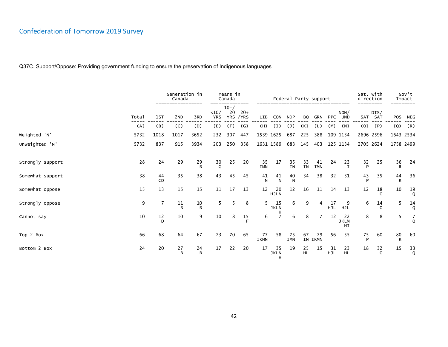|                  |       |          | Generation in<br>Canada<br>================= |         | ----               | Years in<br>Canada<br>======== |                    | ------------------------------------- |                        |                  |                 | Federal Party support |                  |                         | Sat. with<br>direction<br>--------- |                   | =========  | Gov't<br>Impact |
|------------------|-------|----------|----------------------------------------------|---------|--------------------|--------------------------------|--------------------|---------------------------------------|------------------------|------------------|-----------------|-----------------------|------------------|-------------------------|-------------------------------------|-------------------|------------|-----------------|
|                  | Total | 1st      | 2 <sub>ND</sub>                              | 3RD     | <10/<br><b>YRS</b> | $10 - /$<br>20                 | $20+$<br>YRS / YRS | LIB                                   | CON                    | <b>NDP</b>       | BQ              | GRN                   |                  | NON/<br>PPC UND         |                                     | DIS/<br>SAT SAT   | <b>POS</b> | NEG             |
|                  | (A)   | (B)      | (C)                                          | (D)     | (E)                | (F)                            | $\mathsf{(G)}$     | (H)                                   | (I)                    | $(\mathsf{J})$   | (K)             | (L)                   | (M)              | (N)                     | (0)                                 | (P)               | (Q)        | (R)             |
| Weighted 'N'     | 5732  | 1018     | 1017                                         | 3652    | 232                | 307                            | 447                | 1539 1625                             |                        | 687              | 225             | 388                   |                  | 109 1134                | 2696 2596                           |                   | 1643 2534  |                 |
| Unweighted 'N'   | 5732  | 837      | 915                                          | 3934    | 203                | 250                            | 358                | 1631 1589                             |                        | 683              | 145             | 403                   |                  | 125 1134                | 2705 2624                           |                   | 1758 2499  |                 |
|                  |       |          |                                              |         |                    |                                |                    |                                       |                        |                  |                 |                       |                  |                         |                                     |                   |            |                 |
| Strongly support | 28    | 24       | 29                                           | 29<br>B | 30<br>G            | 25                             | 20                 | 35<br><b>IMN</b>                      | 17                     | 35<br><b>IN</b>  | 33<br>IN        | 41<br>IMN             | 24               | 23<br>I                 | 32<br>P                             | 25                | 36<br>R    | 24              |
| Somewhat support | 38    | 44<br>CD | 35                                           | 38      | 43                 | 45                             | 45                 | 41<br>N                               | 41<br>N                | 40<br>${\sf N}$  | 34              | 38                    | 32               | 31                      | 43                                  | 35                | 44<br>R    | 36              |
| Somewhat oppose  | 15    | 13       | 15                                           | 15      | 11                 | 17                             | 13                 | 12                                    | 20<br><b>HJLN</b>      | 12               | 16              | 11                    | 14               | 13                      | 12                                  | 18<br>$\Omega$    | 10         | 19<br>Q         |
| Strongly oppose  | 9     | 7        | 11<br><sub>R</sub>                           | 10<br>B | 5.                 | 5                              | 8                  | 5                                     | 15<br><b>JKLN</b><br>н | 6                | 9               | 4                     | 17<br><b>HJL</b> | -9<br>HJL               | 6                                   | 14<br>0           | 5          | 14<br>Q         |
| Cannot say       | 10    | 12<br>D  | 10                                           | 9       | 10                 | 8                              | 15                 | 6                                     |                        | 6                | 8               | 7                     | 12               | 22<br><b>JKLM</b><br>HI | 8                                   | 8                 | 5          | 7<br>Q          |
| Top 2 Box        | 66    | 68       | 64                                           | 67      | 73                 | 70                             | 65                 | 77<br>IKMN                            | 58                     | 75<br><b>IMN</b> | 67              | 79<br>IN IKMN         | 56               | 55                      | 75<br>D                             | 60                | 80<br>R    | 60              |
| Bottom 2 Box     | 24    | 20       | 27<br>B                                      | 24<br>B | 17                 | 22                             | 20                 | 17                                    | 35<br><b>JKLN</b><br>H | 19               | 25<br><b>HL</b> | 15                    | 31<br>HJL        | 23<br><b>HL</b>         | 18                                  | 32<br>$\mathbf 0$ | 15         | 33<br>Q         |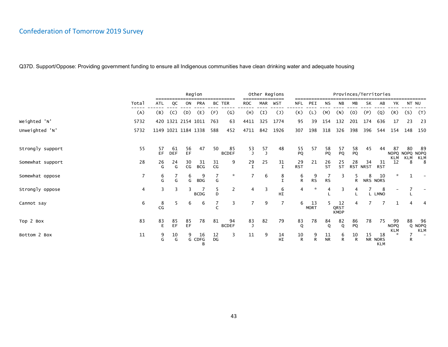|                  |                |                               |                  |                     | Region            |              |                    |                    |     | Other Regions     |                    |                   |                 | Provinces/Territories     |                    |                |                             |                                 |           |                    |
|------------------|----------------|-------------------------------|------------------|---------------------|-------------------|--------------|--------------------|--------------------|-----|-------------------|--------------------|-------------------|-----------------|---------------------------|--------------------|----------------|-----------------------------|---------------------------------|-----------|--------------------|
|                  | Total          | ATL                           | QC               | ON                  | <b>PRA</b>        |              | BC TER             | <b>ROC</b>         | MAR | <b>WST</b>        | <b>NFL</b>         | PEI               | ΝS              | ΝB                        | MВ                 | SK             | AB                          | YΚ                              |           | NT NU              |
|                  | (A)            | (B)                           | (C)              | (D)                 | (E)               | (F)          | (G)                | (H)                | (I) | $(\mathsf{J})$    | (K)                | (L)               | (M)             | (N)                       | (0)                | (P)            | (Q)                         | (R)                             | (S)       | (T)                |
| Weighted 'N'     | 5732           |                               |                  | 420 1321 2154 1011  |                   | 763          | 63                 | 4411               | 325 | 1774              | 95                 | 39                | 154             | 132                       | 201                | 174            | 636                         | 17                              | 23        | 23                 |
| Unweighted 'N'   | 5732           |                               |                  | 1149 1021 1184 1338 |                   | 588          | 452                | 4711               | 842 | 1926              | 307                | 198               | 318             | 326                       | 398                | 396            | 544                         | 154                             | 148       | 150                |
| Strongly support | 55             | 57<br>EF                      | 61<br><b>DEF</b> | 56<br>EF.           | 47                | 50           | 85<br><b>BCDEF</b> | 53<br>$\mathbf{J}$ | 57  | 48                | 55<br>PQ           | 57                | 58<br>PQ        | 57<br>PQ                  | 58<br>PQ           | 45             | 44                          | 87<br>NOPQ NOPQ<br>KLM          | 80<br>KLM | -89<br><b>NOPQ</b> |
| Somewhat support | 28             | 26<br>G                       | 24<br>G          | 30<br>CG            | 31<br><b>BCG</b>  | 31<br>CG     | 9                  | 29                 | 25  | 31<br>$\mathbf I$ | 29<br><b>RST</b>   | 21                | 26<br><b>ST</b> | 25<br><b>ST</b>           | 28                 | 34<br>RST NRST | 31<br><b>RST</b>            | 12                              | 8         | KLM<br>8           |
| Somewhat oppose  | 7              | 6<br>G                        | G                | 6<br>G              | 9<br><b>BDG</b>   | G            | $\star$            |                    | 6   | 8<br>$\mathbf I$  | 6<br>R             | 9<br><b>RS</b>    | <b>RS</b>       | 3                         | 5<br>R             | 8              | 10<br>NRS NORS              | $\star$                         |           |                    |
| Strongly oppose  | $\overline{4}$ | 3                             | 3                | 3                   | <b>BCDG</b>       | 5<br>D       | 2                  | 4                  | 3   | 6<br>HI           | 4                  | *                 | 4               | 3                         | 4                  |                | 8<br>L LMNO                 |                                 |           |                    |
| Cannot say       | 6              | 8<br>$\mathsf{CG}\phantom{.}$ | 5.               | 6                   | 6                 | $\mathsf{C}$ | 3                  | $\overline{7}$     | 9   | $\overline{7}$    | 6                  | 13<br><b>MORT</b> |                 | 12<br>QRST<br><b>KMOP</b> | 4                  | 7              | $\overline{7}$              | 1                               | 4         | 4                  |
| Top 2 Box        | 83             | $83$<br>E                     | 85<br>EF         | 85<br>EF            | 78                | 81           | 94<br><b>BCDEF</b> | 83<br>J            | 82  | 79                | 83<br>Q            | 78                | 84<br>Q         | 82<br>Q                   | 86<br>PQ           | 78             | 75                          | 99<br><b>NOPQ</b><br><b>KLM</b> | 88        | 96<br>Q NOPQ       |
| Bottom 2 Box     | 11             | 9<br>G                        | 10<br>G          | 9                   | 16<br>G CDFG<br>B | 12<br>DG     | 3                  | 11                 | 9   | 14<br>HI          | 10<br>$\mathsf{R}$ | 9<br>R            | $\frac{11}{NR}$ | 6<br>R                    | 10<br>$\mathsf{R}$ | 15             | 18<br>NR NORS<br><b>KLM</b> | $\star$                         | R         | KLM                |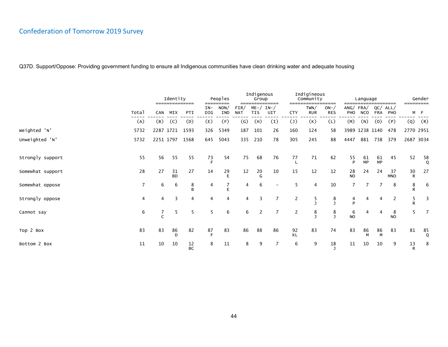|                  |       |            | Identity<br>==============<br>MIX<br>PTI |                 |              | Peoples<br>---------- |                    | Indigenous<br>Group    | --------------- |                | Indigineous<br>Community | ---------                  |                 | Language               |                   | ---------        | ========= | Gender         |
|------------------|-------|------------|------------------------------------------|-----------------|--------------|-----------------------|--------------------|------------------------|-----------------|----------------|--------------------------|----------------------------|-----------------|------------------------|-------------------|------------------|-----------|----------------|
|                  | Total | <b>CAN</b> |                                          |                 | $IN-$<br>DIG | NON/<br>IND           | FIN/<br><b>NAT</b> | $ME - /$<br><b>TIS</b> | $IN-$<br>UIT    | <b>CTY</b>     | TWN/<br><b>RUR</b>       | $ON - \land$<br><b>RES</b> | PHO             | ANG/FRA/<br><b>NCO</b> | QC/<br><b>FRA</b> | ALL/<br>PHO      |           | M F            |
|                  | (A)   | (B)        | (C)                                      | (D)             | (E)          | (F)                   | $\left( G\right)$  | (H)                    | (I)             | $(\mathsf{J})$ | (K)                      | (L)                        | (M)             | (N)                    | (0)               | (P)              | (Q)       | (R)            |
| Weighted 'N'     | 5732  |            | 2287 1721                                | 1593            | 326          | 5349                  | 187                | 101                    | 26              | 160            | 124                      | 58                         |                 |                        | 3989 1238 1140    | 478              | 2770 2951 |                |
| Unweighted 'N'   | 5732  |            | 2251 1797                                | 1568            | 645          | 5043                  | 335                | 210                    | 78              | 305            | 245                      | 88                         | 4447            | 881                    | 738               | 379              |           | 2687 3034      |
| Strongly support | 55    | 56         | 55                                       | 55              | 73<br>E      | 54                    | 75                 | 68                     | 76              | 77             | 71                       | 62                         | $\frac{55}{P}$  | 61<br><b>MP</b>        | 61<br><b>MP</b>   | 45               | 52        | $\frac{58}{9}$ |
| Somewhat support | 28    | 27         | 31<br><b>BD</b>                          | 27              | 14           | 29                    | $12 \overline{ }$  | 20                     | 10              | 15             | 12                       | 12                         | 28<br><b>NO</b> | 24                     | 24                | 37<br><b>MNO</b> | 30<br>R   | 27             |
| Somewhat oppose  | 7     | 6          | 6                                        | 8<br>R          | 4            |                       | 4                  | 6                      |                 | 5              | $\overline{4}$           | 10                         | $\overline{7}$  |                        |                   | 8                | 8<br>R    | 6              |
| Strongly oppose  | 4     | 4          | 3                                        | 4               | 4            | 4                     | 4                  | 3                      | 7               | 2              | 5                        | 8                          | 4<br>Þ          | 4                      | 4                 | 2                | 5<br>R    | 3              |
| Cannot say       | 6     |            | 5                                        | 5               | 5            | 6                     | 6                  | 2                      | 7               | 2              | 8                        | 8                          | 6<br><b>NO</b>  | 4                      | 4                 | 8<br><b>NO</b>   | 5         | 7              |
| Top 2 Box        | 83    | 83         | 86<br>D                                  | 82              | $87$ F       | 83                    | 86                 | 88                     | 86              | 92<br>KL       | 83                       | 74                         | 83              | 86<br>M                | 86<br>M           | 83               | 81        | $85$ Q         |
| Bottom 2 Box     | 11    | 10         | 10                                       | 12<br><b>BC</b> | 8            | 11                    | 8                  | 9                      |                 | 6              | 9                        | 18                         | 11              | 10                     | 10                | 9                | 13<br>R   | 8              |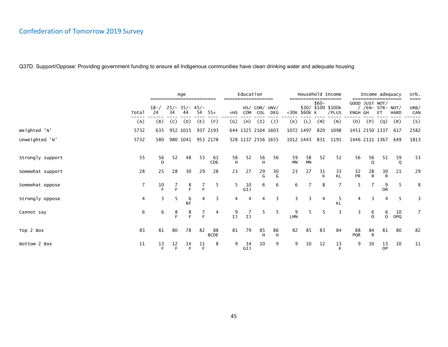|                  |       |                |         | Age                    |         |                   |                   | Education |                      |                    |                 |                 |         | Household Income            |                  | Income adequacy                       |                 |             | urb.<br>====   |
|------------------|-------|----------------|---------|------------------------|---------|-------------------|-------------------|-----------|----------------------|--------------------|-----------------|-----------------|---------|-----------------------------|------------------|---------------------------------------|-----------------|-------------|----------------|
|                  | Total | $18 - /$<br>24 | 34      | $25/- 35/- 45/-$<br>44 | 54      | $55+$             | $<$ HS            | COM       | HS/ COM/ UNV/<br>COL | <b>DEG</b>         |                 | <30K \$60K K    | $$60-$  | \$30/ \$100 \$100K<br>/PLUS | ENGH GH          | GOOD JUST NOT/<br>$/EN-$ STR- NOT $/$ | ET              | <b>HARD</b> | URB/<br>CAN    |
|                  | (A)   | (B)            | (C)     | (D)                    | (E)     | (F)               | $\left( G\right)$ | (H)       | (I)                  | $(\mathsf{J})$     | (K)             | (L)             | (M)     | (N)                         | (0)              | (P)                                   | (Q)             | (R)         | (S)            |
| Weighted 'N'     | 5732  | 635            |         | 952 1015               |         | 937 2193          |                   |           | 644 1325 2104 1603   |                    | 1072 1497       |                 | 820     | 1098                        |                  | 1451 2150 1337                        |                 | 617         | 2582           |
| Unweighted 'N'   | 5732  | 580            |         | 980 1041               |         | 953 2178          |                   |           |                      | 328 1137 2556 1655 |                 | 1012 1443       | 831     | 1191                        |                  | 1446 2111 1367                        |                 | 649         | 1813           |
| Strongly support | 55    | 56<br>D        | 52      | 48                     | 53      | 61<br>CDE         | 58<br>H           | 52        | 56<br>H              | 56                 | 59<br><b>MN</b> | 58<br><b>MN</b> | 52      | 51                          | 56               | 56                                    | 51              | 59<br>Q     | 53             |
| Somewhat support | 28    | 25             | 28      | 30                     | 29      | 28                | 23                | 27        | 29<br>G              | 30<br>G            | 23              | 27              | 31<br>К | 33<br><b>KL</b>             | 32<br>PR         | $\frac{28}{R}$                        | $\frac{30}{R}$  | 21          | 29             |
| Somewhat oppose  |       | $\frac{10}{F}$ | E       | 8<br>E                 | Н       | -5                | 5                 | 10<br>GIJ | 6                    | 6                  | 6               |                 | 8       | 7                           | 5.               |                                       | 9<br><b>OR</b>  | 5           | 8              |
| Strongly oppose  | 4     | 3              | 5       | 6<br><b>BF</b>         | 4       | 3                 | 4                 | 4         | 4                    | 3                  | 3               |                 | 4       | 5<br>KL                     | 4                | 3                                     | 4               | 5           | 3              |
| Cannot say       | 6     | 6              | 8<br>F  | $rac{8}{F}$            | E       | 4                 | 9<br>IJ           | IJ        | 5                    | -5                 | 9<br><b>LMN</b> |                 | 5.      | 3                           | 3                | 6<br>$\Omega$                         | b<br>$\Omega$   | 10<br>OPQ   | $\overline{7}$ |
| Top 2 Box        | 83    | 81             | 80      | 78                     | 82      | 88<br><b>BCDE</b> | 81                | 79        | 85<br>H              | 86<br>н            | 82              | 85              | 83      | 84                          | 88<br><b>PQR</b> | 84<br>R                               | 81              | 80          | 82             |
| Bottom 2 Box     | 11    | 13<br>F        | 12<br>E | 14<br>E                | 11<br>E | 8                 | 9                 | 14<br>GIJ | 10                   | 9                  | 9               | 10              | 12      | 13<br>К                     | 9                | 10                                    | 13<br><b>OP</b> | 10          | 11             |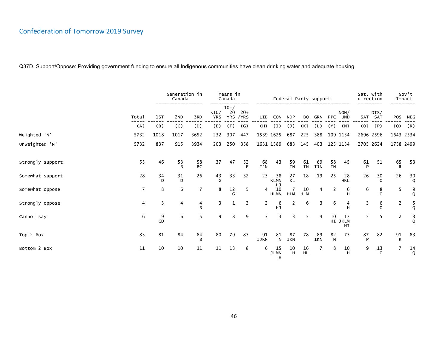|                  |                |         | Generation in<br>Canada<br>================= |                 | ----               | Years in<br>Canada | ========           |                | ------------------------------------- | Federal Party support        |                  |           |                 |                     | Sat. with<br>direction<br>---------- |                   | =========      | Gov't<br>Impact |
|------------------|----------------|---------|----------------------------------------------|-----------------|--------------------|--------------------|--------------------|----------------|---------------------------------------|------------------------------|------------------|-----------|-----------------|---------------------|--------------------------------------|-------------------|----------------|-----------------|
|                  | Total          | 1st     | 2 <sub>ND</sub>                              | 3RD             | <10/<br><b>YRS</b> | $10 - /$<br>20     | $20+$<br>YRS / YRS | LIB            | CON                                   | <b>NDP</b>                   | BQ               | GRN       |                 | NON/<br>PPC UND     |                                      | DIS/<br>SAT SAT   | <b>POS</b>     | NEG             |
|                  | (A)            | (B)     | (C)                                          | (D)             | (E)                | (F)                | $\left( G\right)$  | (H)            | (I)                                   | $(\mathsf{J})$               | (K)              | (L)       | (M)             | (N)                 | (0)                                  | (P)               | (Q)            | (R)             |
| Weighted 'N'     | 5732           | 1018    | 1017                                         | 3652            | 232                | 307                | 447                |                | 1539 1625                             | 687                          | 225              | 388       |                 | 109 1134            | 2696 2596                            |                   | 1643 2534      |                 |
| Unweighted 'N'   | 5732           | 837     | 915                                          | 3934            | 203                | 250                | 358                |                | 1631 1589                             | 683                          | 145              | 403       |                 | 125 1134            | 2705 2624                            |                   | 1758 2499      |                 |
|                  |                |         |                                              |                 |                    |                    |                    |                |                                       |                              |                  |           |                 |                     |                                      |                   |                |                 |
| Strongly support | 55             | 46      | 53<br>B                                      | 58<br><b>BC</b> | 37                 | 47                 | 52<br>E            | 68<br>IJN      | 43                                    | 59<br><b>IN</b>              | 61<br>IN         | 69<br>IJN | 58<br><b>IN</b> | 45                  | 61<br>P                              | 51                | 65<br>R        | 53              |
| Somewhat support | 28             | 34<br>D | 31<br>D                                      | 26              | 43<br>G            | 33                 | 32                 | 23             | 38<br><b>KLMN</b><br>HJ               | 27<br><b>KL</b>              | 18               | 19        | 25              | 28<br><b>HKL</b>    | 26                                   | 30<br>$\Omega$    | 26             | $\frac{30}{9}$  |
| Somewhat oppose  | $\overline{7}$ | 8       | 6                                            | $\overline{7}$  | 8                  | 12<br>G            | 5                  | $\overline{4}$ | 10<br><b>HLMN</b>                     | $\overline{7}$<br><b>HLM</b> | 10<br><b>HLM</b> | 4         | 2               | 6<br>н              | 6                                    | 8<br>$\Omega$     | 5              | 9<br>Q          |
| Strongly oppose  | 4              | 3       | 4                                            | 4<br>B          | 3                  | 1                  | 3                  | $\mathbf{2}$   | 6<br><b>HJ</b>                        | 2                            | 6                | 3         | 6               | 4<br>H              | 3                                    | 6<br>$\Omega$     | 2              | $\frac{5}{9}$   |
| Cannot say       | 6              | 9<br>CD | 6                                            | 5               | 9                  | 8                  | 9                  | 3              | 3                                     | 3                            | 5                | 4         | 10              | 17<br>HI JKLM<br>HI | 5                                    | 5                 | 2              | 3<br>Q          |
| Top 2 Box        | 83             | 81      | 84                                           | 84<br>B         | 80                 | 79                 | 83                 | 91<br>IJKN     | 81<br>$\mathsf{N}$                    | 87<br>IKN                    | 78               | 89<br>IKN | 82<br>N         | 73                  | 87<br>Þ                              | 82                | 91<br>R        | 83              |
| Bottom 2 Box     | 11             | 10      | 10                                           | 11              | 11                 | 13                 | 8                  | 6              | 15<br><b>JLMN</b><br>H                | $10\,$<br>H                  | $16$<br>HL       | 7         | 8               | 10<br>H             | 9                                    | 13<br>$\mathbf 0$ | $\overline{7}$ | 14<br>Q         |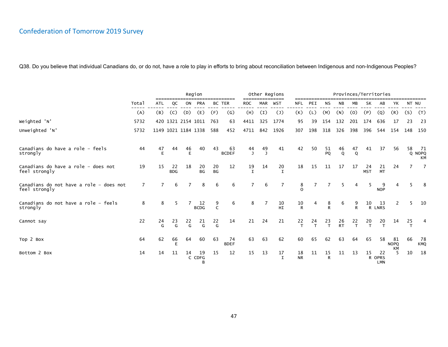|                                                          |       |         |                   |                     | Region            |                     |                    |                    |                    | Other Regions      |                    |           |                    | Provinces/Territories |                    |                  |                            |                         |       |                             |
|----------------------------------------------------------|-------|---------|-------------------|---------------------|-------------------|---------------------|--------------------|--------------------|--------------------|--------------------|--------------------|-----------|--------------------|-----------------------|--------------------|------------------|----------------------------|-------------------------|-------|-----------------------------|
|                                                          | Total | ATL     | QC                | ON                  | PRA               | <b>BC TER</b>       |                    | <b>ROC</b>         | <b>MAR</b>         | WST                | <b>NFL</b>         | PEI       | <b>NS</b>          | <b>NB</b>             | MB                 | <b>SK</b>        | AB                         | YK                      | NT NU |                             |
|                                                          | (A)   | (B)     | (C)               | (D)                 | (E)               | (F)                 | $\left( G\right)$  | (H)                | (I)                | $(\mathsf{J})$     | (K)                | (L)       | (M)                | (N)                   | (0)                | (P)              | (Q)                        | (R)                     | (S)   | (T)                         |
| Weighted 'N'                                             | 5732  |         |                   | 420 1321 2154 1011  |                   | 763                 | 63                 | 4411               | 325                | 1774               | 95                 | 39        | 154                | 132                   | 201                | 174              | 636                        | 17                      | 23    | 23                          |
| Unweighted 'N'                                           | 5732  |         |                   | 1149 1021 1184 1338 |                   | 588                 | 452                | 4711               | 842                | 1926               | 307                | 198       | 318                | 326                   | 398                | 396              | 544                        | 154                     | 148   | 150                         |
| Canadians do have a role - feels<br>strongly             | 44    | 47<br>E | 44                | 46<br>E             | 40                | 43                  | 63<br><b>BCDEF</b> | 44<br>$\mathbf{I}$ | 49<br>$\mathbf{J}$ | 41                 | 42                 | 50        | 51<br>PQ           | 46<br>$\mathsf{Q}$    | 47<br>$\mathsf{Q}$ | 41               | 37                         | 56                      | 58    | - 71<br>Q NOPQ<br><b>KM</b> |
| Canadians do have a role - does not<br>feel strongly     | 19    | 15      | 22<br><b>BDG</b>  | 18                  | 20<br><b>BG</b>   | $20\,$<br><b>BG</b> | 12                 | 19<br>$\mathbf I$  | 14                 | 20<br>$\mathsf{T}$ | 18                 | 15        | 11                 | 17                    | 17                 | 24<br><b>MST</b> | 21<br><b>MT</b>            | 24                      | 7     | 7                           |
| Canadians do not have a role - does not<br>feel strongly | 7     |         | 6                 |                     | 8                 | 6                   | 6                  | 7                  | 6                  | 7                  | 8<br>$\Omega$      |           |                    | 5                     | 4                  | 5                | 9<br><b>NOP</b>            |                         |       | 8                           |
| Canadians do not have a role - feels<br>strongly         | 8     | 8       | -5                |                     | 12<br><b>BCDG</b> | 9<br>$\mathsf{C}$   | 6                  | 8                  | 7                  | 10<br>HI           | 10<br>$\mathsf{R}$ | 4         | 8<br>R             | 6                     | 9<br>$\mathsf{R}$  | 10               | 13<br>R LNRS               | 2                       | 5.    | 10                          |
| Cannot say                                               | 22    | 24<br>G | $23 \overline{G}$ | $22 \over G$        | $^{21}$ G         | 22<br>G             | 14                 | 21                 | 24                 | 21                 | 22<br>$\mathsf{T}$ | $24$<br>T | $23 \atop T$       | $rac{26}{RT}$         | $22$<br>T          | $^{20}$ T        | $20$<br>T                  | 14                      | 25    | 4                           |
| Top 2 Box                                                | 64    | 62      | 66<br>E           | 64                  | 60                | 63                  | 74<br><b>BDEF</b>  | 63                 | 63                 | 62                 | 60                 | 65        | 62                 | 63                    | 64                 | 65               | 58                         | 81<br><b>NOPQ</b><br>KM | 66    | 78<br><b>KMQ</b>            |
| Bottom 2 Box                                             | 14    | 14      | 11                | 14                  | 19<br>C CDFG<br>B | 15                  | 12                 | 15                 | 13                 | 17<br>$\mathbf I$  | 18<br><b>NR</b>    | 11        | 15<br>$\mathsf{R}$ | 11                    | 13                 | 15               | 22<br>R OPRS<br><b>LMN</b> | 5                       | 10    | 18                          |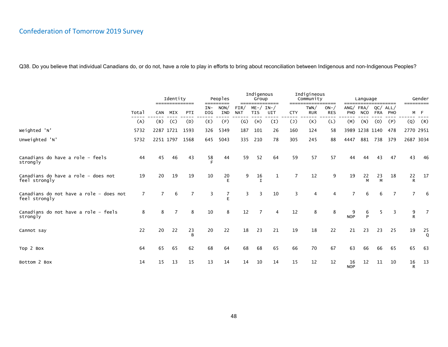|                                                          |                |                | Identity<br>============== |                | =====        | Peoples<br>====     |                    | Indigenous<br>Group    | ============== |                | Indigineous<br>Community | ________            |                  | Language       |                   | ________       | ========= | Gender         |
|----------------------------------------------------------|----------------|----------------|----------------------------|----------------|--------------|---------------------|--------------------|------------------------|----------------|----------------|--------------------------|---------------------|------------------|----------------|-------------------|----------------|-----------|----------------|
|                                                          | Total          | <b>CAN</b>     | MIX                        | PTI            | $IN-$<br>DIG | NON/<br><b>IND</b>  | FIR/<br><b>NAT</b> | $ME - /$<br><b>TIS</b> | IN-/<br>UIT    | <b>CTY</b>     | TWN/<br><b>RUR</b>       | $ON-$<br><b>RES</b> | ANG/FRA/<br>PHO  | <b>NCO</b>     | QC/<br><b>FRA</b> | ALL/<br>PHO    |           | M F            |
|                                                          | (A)            | (B)            | (C)                        | (D)            | (E)          | (F)                 | $\mathsf{(G)}$     | (H)                    | (I)            | $(\mathsf{J})$ | (K)                      | (L)                 | (M)              | (N)            | (0)               | (P)            | (Q)       | (R)            |
| Weighted 'N'                                             | 5732           |                |                            | 2287 1721 1593 | 326          | 5349                | 187                | 101                    | 26             | 160            | 124                      | 58                  |                  | 3989 1238 1140 |                   | 478            | 2770 2951 |                |
| Unweighted 'N'                                           | 5732           |                | 2251 1797                  | 1568           | 645          | 5043                | 335                | 210                    | 78             | 305            | 245                      | 88                  | 4447             | 881            | 738               | 379            | 2687 3034 |                |
| Canadians do have a role - feels<br>strongly             | 44             | 45             | 46                         | 43             | 58           | 44                  | 59                 | 52                     | 64             | 59             | 57                       | 57                  | 44               | 44             | 43                | 47             | 43        | 46             |
| Canadians do have a role - does not<br>feel strongly     | 19             | 20             | 19                         | 19             | 10           | 20                  | 9                  | 16                     | $\mathbf 1$    | 7              | 12                       | 9                   | 19               | 22<br>M        | 23<br>M           | 18             | 22<br>R   | 17             |
| Canadians do not have a role - does not<br>feel strongly | $\overline{7}$ | $\overline{7}$ | 6                          | $\overline{7}$ | 3            | $\overline{7}$<br>E | 3                  | 3                      | 10             | 3              | $\overline{4}$           | $\overline{4}$      | $\overline{7}$   | 6              | 6                 | $\overline{7}$ |           | 6              |
| Canadians do not have a role - feels<br>strongly         | 8              | 8              | 7                          | 8              | 10           | 8                   | 12                 |                        | 4              | 12             | 8                        | 8                   | 9<br><b>NOP</b>  | 6<br>P         | 5                 | 3              | 9<br>R    |                |
| Cannot say                                               | 22             | 20             | 22                         | 23<br>B        | 20           | 22                  | 18                 | 23                     | 21             | 19             | 18                       | 22                  | 21               | 23             | 23                | 25             | 19        | $\frac{25}{9}$ |
| Top 2 Box                                                | 64             | 65             | 65                         | 62             | 68           | 64                  | 68                 | 68                     | 65             | 66             | 70                       | 67                  | 63               | 66             | 66                | 65             | 65        | -63            |
| Bottom 2 Box                                             | 14             | 15             | 13                         | 15             | 13           | 14                  | 14                 | 10                     | 14             | 15             | 12                       | 12                  | 16<br><b>NOP</b> | 12             | 11                | 10             | 16<br>R   | 13             |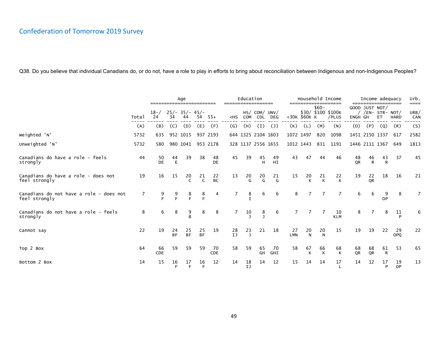|                                                          |       |                |                 | Age                    |                 |                 |                           | Education      |                      |                           |                  |                    |                | Household Income            |          | Income adequacy                    |                    |                  | urb.                |
|----------------------------------------------------------|-------|----------------|-----------------|------------------------|-----------------|-----------------|---------------------------|----------------|----------------------|---------------------------|------------------|--------------------|----------------|-----------------------------|----------|------------------------------------|--------------------|------------------|---------------------|
|                                                          | Total | $18 - /$<br>24 | 34              | $25/- 35/- 45/-$<br>44 | 54              | $55+$           | $<$ HS                    | COM            | HS/ COM/ UNV/<br>COL | DEG                       |                  | <30K \$60K K       | $$60-$         | \$30/ \$100 \$100K<br>/PLUS | ENGH GH  | GOOD JUST NOT/<br>/ /EN- STR- NOT/ | ET                 | <b>HARD</b>      | ====<br>URB/<br>CAN |
|                                                          | (A)   | (B)            | (C)             | (D)                    | (E)             | (F)             | $\left(\mathsf{G}\right)$ | (H)            | (I)                  | $\mathcal{L}(\mathsf{J})$ | (K)              | (L)                | (M)            | (N)                         | (0)      | (P)                                | (Q)                | (R)              | (S)                 |
| Weighted 'N'                                             | 5732  | 635            |                 | 952 1015               |                 | 937 2193        |                           |                | 644 1325 2104 1603   |                           | 1072 1497        |                    | 820            | 1098                        |          | 1451 2150 1337                     |                    | 617              | 2582                |
| Unweighted 'N'                                           | 5732  | 580            |                 | 980 1041               |                 | 953 2178        |                           |                | 328 1137 2556 1655   |                           | 1012 1443        |                    | 831            | 1191                        |          | 1446 2111 1367                     |                    | 649              | 1813                |
| Canadians do have a role - feels<br>strongly             | 44    | 50<br>DE       | 44<br>E         | 39                     | 38              | 48<br>DE        | 45                        | 39             | 45<br>H              | 49<br>HI                  | 43               | 47                 | 44             | 46                          | 48<br>QR | $\frac{46}{R}$                     | 43<br>$\mathsf{R}$ | 37               | 45                  |
| Canadians do have a role - does not<br>feel strongly     | 19    | 16             | 15              | 20<br>$\mathsf{C}$     | 21              | 22<br><b>BC</b> | 13                        | $\frac{20}{G}$ | $20 \over G$         | $\frac{21}{G}$            | 15               | 20<br>К            | $\frac{21}{K}$ | 22<br>K                     | 19       | 22<br><b>OR</b>                    | 18                 | 16               | 21                  |
| Canadians do not have a role - does not<br>feel strongly | 7     | 9<br>F         | 9<br>F          | $rac{8}{F}$            | 8<br>E          | 4               | 7                         | 8              | 6                    | 6                         | 8                |                    | 7              | $\overline{7}$              | 6        | 6                                  | <b>OP</b>          | 8                | $\overline{7}$      |
| Canadians do not have a role - feels<br>strongly         | 8     | 6              | 8               | $\frac{9}{B}$          | 8               | 8               | 7                         | 10             | 8                    | 6                         |                  |                    |                | 10<br><b>KLM</b>            | 8        |                                    | 8                  | 11<br>P          | 6                   |
| Cannot say                                               | 22    | 19             | 24<br><b>BF</b> | 25<br><b>BF</b>        | 25<br><b>BF</b> | 19              | $^{28}_{\text{IJ}}$       | $23$<br>$J$    | 21                   | 18                        | 27<br><b>LMN</b> | 20<br>$\mathsf{N}$ | $\frac{20}{N}$ | 15                          | 19       | 19                                 | 22                 | 29<br><b>OPO</b> | 22                  |
| Top 2 Box                                                | 64    | 66<br>CDE      | 59              | 59                     | 59              | 70<br>CDE       | 58                        | 59             | 65<br>GH             | 70<br>GHI                 | 58               | 67<br>К            | 66<br>K        | 68<br>K                     | 68<br>QR | 68<br>QR                           | 61<br>${\sf R}$    | 53               | 65                  |
| Bottom 2 Box                                             | 14    | 15             | 16<br>F         | 17<br>E                | 16<br>E         | 12              | 14                        | 18<br>IJ       | 14                   | 12                        | 15               | 14                 | 14             | 17                          | 14       | 12                                 | 17<br>P            | 19<br>OP         | 13                  |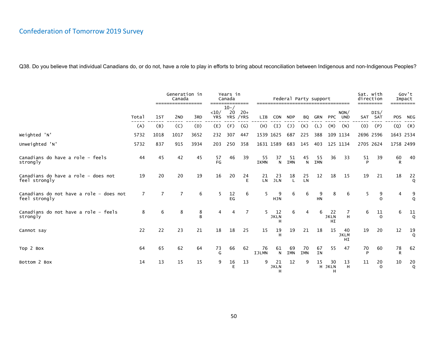|                                                          |                | Generation in<br>Years in<br>Canada<br>Federal Party support<br>Canada<br>---------<br>=================<br>$=$ $=$ $=$ $=$ |                 |        |                    |                              |               |                    |                        | direction          | Sat. with<br>--------- |                  | Gov't<br>Impact<br>========= |                         |         |                 |         |                |
|----------------------------------------------------------|----------------|-----------------------------------------------------------------------------------------------------------------------------|-----------------|--------|--------------------|------------------------------|---------------|--------------------|------------------------|--------------------|------------------------|------------------|------------------------------|-------------------------|---------|-----------------|---------|----------------|
|                                                          | Total          | 1st                                                                                                                         | 2 <sub>ND</sub> | 3RD    | <10/<br><b>YRS</b> | $10 - /$<br>20<br><b>YRS</b> | $20+$<br>/YRS | <b>LIB</b>         | <b>CON</b>             | <b>NDP</b>         | BQ                     | <b>GRN</b>       | <b>PPC</b>                   | NON/<br>UND             |         | DIS/<br>SAT SAT | POS     | <b>NEG</b>     |
|                                                          | (A)            | (B)                                                                                                                         | (C)             | (D)    | (E)                | (F)                          | $\mathcal{G}$ | (H)                | (I)                    | $(\mathsf{J})$     | (K)                    | (L)              | (M)                          | (N)                     | (0)     | (P)             | (Q)     | (R)            |
| Weighted 'N'                                             | 5732           | 1018                                                                                                                        | 1017            | 3652   | 232                | 307                          | 447           |                    | 1539 1625              | 687                | 225                    | 388              |                              | 109 1134                |         | 2696 2596       |         | 1643 2534      |
| Unweighted 'N'                                           | 5732           | 837                                                                                                                         | 915             | 3934   | 203                | 250                          | 358           |                    | 1631 1589              | 683                | 145                    | 403              |                              | 125 1134                |         | 2705 2624       |         | 1758 2499      |
| Canadians do have a role - feels<br>strongly             | 44             | 45                                                                                                                          | 42              | 45     | 57<br>FG           | 46                           | 39            | 55<br><b>IKMN</b>  | 37<br>N                | 51<br><b>IMN</b>   | 45<br>N                | 55<br><b>IMN</b> | 36                           | 33                      | 51<br>D | 39              | 60<br>R | 40             |
| Canadians do have a role - does not<br>feel strongly     | 19             | 20                                                                                                                          | 20              | 19     | 16                 | 20                           | 24<br>E       | $21$<br>LN         | 23<br><b>JLN</b>       | 18<br>$\mathsf{L}$ | $25$<br>LN             | 12               | 18                           | 15                      | 19      | 21              | 18      | 22<br>$\circ$  |
| Canadians do not have a role - does not<br>feel strongly | $\overline{7}$ | $\overline{7}$                                                                                                              | $\overline{7}$  | 6      | 5                  | $rac{12}{EG}$                | 6             | 5                  | 9<br><b>HJN</b>        | 6                  | 6                      | 9<br><b>HN</b>   | 8                            | 6                       | 5       | 9<br>$\Omega$   | 4       | $\frac{9}{0}$  |
| Canadians do not have a role - feels<br>strongly         | 8              | 6                                                                                                                           | 8               | 8<br>B | 4                  | 4                            | 7             | 5                  | 12<br><b>JKLN</b><br>н | 6                  | 4                      | 6                | 22<br><b>JKLN</b><br>HI      | 7<br>H                  | 6       | 11<br>$\Omega$  | 6       | 11<br>$\Omega$ |
| Cannot say                                               | 22             | 22                                                                                                                          | 23              | 21     | 18                 | 18                           | 25            | 15                 | 19                     | 19                 | 21                     | 18               | 15                           | 40<br><b>JKLM</b><br>HI | 19      | 20              | 12      | $\frac{19}{9}$ |
| Top 2 Box                                                | 64             | 65                                                                                                                          | 62              | 64     | 73<br>G            | 66                           | 62            | 76<br><b>IJLMN</b> | 61<br>N                | 69<br>IMN          | 70<br><b>IMN</b>       | 67<br><b>IN</b>  | 55                           | 47                      | 70<br>D | 60              | 78<br>R | 62             |
| Bottom 2 Box                                             | 14             | 13                                                                                                                          | 15              | 15     | 9                  | 16<br>E                      | 13            | 9                  | 21<br><b>JKLN</b><br>н | 12                 | 9                      | 15               | 30<br>H JKLN<br>н            | 13<br>H                 | 11      | 20<br>$\Omega$  | 10      | $\frac{20}{9}$ |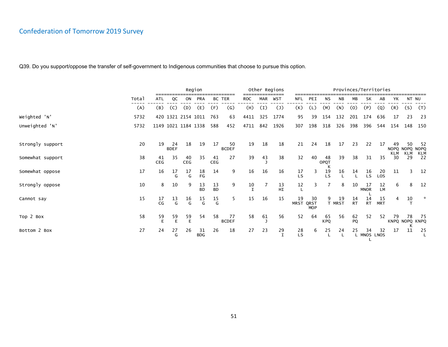|                  | Region |           |                   |                     |                  |                 |                    |      |            | Other Regions  |                   | Provinces/Territories    |                  |              |                 |                   |                  |           |           |                       |  |
|------------------|--------|-----------|-------------------|---------------------|------------------|-----------------|--------------------|------|------------|----------------|-------------------|--------------------------|------------------|--------------|-----------------|-------------------|------------------|-----------|-----------|-----------------------|--|
|                  | Total  | ATL       | QC                | ON                  | <b>PRA</b>       |                 | BC TER             | ROC  | <b>MAR</b> | WST            | NFL               | PEI                      | ΝS               | <b>NB</b>    | МB              | <b>SK</b>         | AB               | YΚ        | NT NU     |                       |  |
|                  | (A)    | (B)       | (C)               | (D)                 | (E)              | (F)             | (G)                | (H)  | (I)        | $\overline{J}$ | (K)               | (L)                      | (M)              | (N)          | (0)             | (P)               | (Q)              | (R)       | (S)       | (T)                   |  |
| Weighted 'N'     | 5732   |           |                   | 420 1321 2154 1011  |                  | 763             | 63                 | 4411 | 325        | 1774           | 95                | 39                       | 154              | 132          | 201             | 174               | 636              | 17        | 23        | 23                    |  |
| Unweighted 'N'   | 5732   |           |                   | 1149 1021 1184 1338 |                  | 588             | 452                | 4711 | 842        | 1926           | 307               | 198                      | 318              | 326          | 398             | 396               | 544              | 154       | 148       | 150                   |  |
| Strongly support | 20     | 19        | 24<br><b>BDEF</b> | 18                  | 19               | 17              | 50<br><b>BCDEF</b> | 19   | 18         | 18             | 21                | 24                       | 18               | 17           | 23              | 22                | 17               | 49<br>KLM | 50<br>KLM | 52<br>NOPQ NOPQ NOPQ  |  |
| Somewhat support | 38     | 41<br>CEG | 35                | 40<br>CEG           | 35               | 41<br>CEG       | 27                 | 39   | 43         | 38             | 32                | 40                       | 48<br>OPQT       | 39           | 38              | 31                | 35               | 30        | 29        | KLM<br>22             |  |
| Somewhat oppose  | 17     | 16        | 17<br>G           | 17<br>G             | 18<br>FG         | 14              | 9                  | 16   | 16         | 16             | 17<br>LS          | 3                        | $\frac{19}{LS}$  | 16           | 14              | 16<br>LS.         | 20<br>LOS        | 11        |           | 12                    |  |
| Strongly oppose  | 10     | 8         | 10                | 9                   | 13<br><b>BD</b>  | 13<br><b>BD</b> | 9                  | 10   |            | 13<br>HI       | 12                | 3                        |                  | 8            | 10              | 17<br><b>MNOR</b> | 12<br>LM         | 6         | 8         | 12                    |  |
| Cannot say       | 15     | 17<br>CG  | 13<br>G           | $\frac{16}{G}$      | $\frac{15}{G}$   | $\frac{15}{G}$  | 5                  | 15   | 16         | 15             | 19<br><b>MRST</b> | 30<br>QRST<br><b>MOP</b> | 9                | 19<br>T MRST | 14<br><b>RT</b> | 14<br><b>RT</b>   | 15<br><b>MRT</b> |           | 10        | $\mathcal{H}$         |  |
| Top 2 Box        | 58     | 59<br>E   | 59<br>E           | 59<br>E             | 54               | 58              | 77<br><b>BCDEF</b> | 58   | 61         | 56             | 52                | 64                       | 65<br><b>KPQ</b> | 56           | 62<br>PQ        | 52                | 52               | 79        | 78        | -75<br>KNPQ NOPQ KNPQ |  |
| Bottom 2 Box     | 27     | 24        | 27<br>G           | 26                  | 31<br><b>BDG</b> | 26              | 18                 | 27   | 23         | $\frac{29}{1}$ | 28<br>LS          | 6                        | 25               | 24           | 25              | 34<br>MNOS LNOS   | 32               | 17        | ĸ<br>11   | 25                    |  |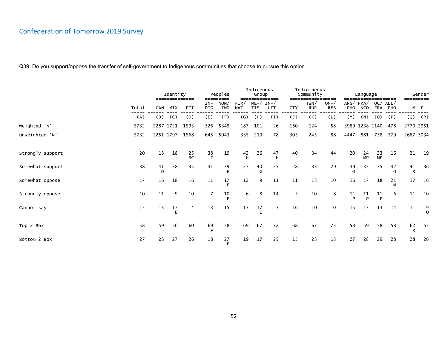|                  | Identity<br>============== |            |                    |                 |                      | Peoples     |                    | Indigenous<br>Group    | =========    |                | Indigineous<br>Community | -------             |                 | Language   |                   | --------       | Gender<br>--------- |                    |  |  |
|------------------|----------------------------|------------|--------------------|-----------------|----------------------|-------------|--------------------|------------------------|--------------|----------------|--------------------------|---------------------|-----------------|------------|-------------------|----------------|---------------------|--------------------|--|--|
|                  | Total                      | <b>CAN</b> | MIX                | PTI             | ====<br>$IN-$<br>DIG | NON/<br>IND | FIN/<br><b>NAT</b> | $ME - /$<br><b>TIS</b> | $IN-$<br>UIT | <b>CTY</b>     | TWN/<br><b>RUR</b>       | $ON-$<br><b>RES</b> | ANG/FRA/<br>PHO | <b>NCO</b> | QC/<br><b>FRA</b> | ALL/<br>PHO    |                     | M F                |  |  |
|                  | (A)                        | (B)        | (C)                | (D)             | (E)                  | (F)         | $\left( G\right)$  | (H)                    | (I)          | $(\mathsf{J})$ | (K)                      | (L)                 | (M)             | (N)        | (0)               | (P)            | (Q)                 | (R)                |  |  |
| Weighted 'N'     | 5732                       | 2287 1721  |                    | 1593            | 326                  | 5349        | 187                | 101                    | 26           | 160            | 124                      | 58                  |                 |            | 3989 1238 1140    | 478            | 2770 2951           |                    |  |  |
| Unweighted 'N'   | 5732                       | 2251 1797  |                    | 1568            | 645                  | 5043        | 335                | 210                    | 78           | 305            | 245                      | 88                  | 4447            | 881        | 738               | 379            | 2687 3034           |                    |  |  |
|                  |                            |            |                    |                 |                      |             |                    |                        |              |                |                          |                     |                 |            |                   |                |                     |                    |  |  |
| Strongly support | 20                         | 18         | 18                 | 25<br><b>BC</b> | $rac{38}{F}$         | 19          | 42<br>H            | 26                     | 47<br>H      | 40             | 34                       | 44                  | 20              | 24<br>MP   | 23<br><b>MP</b>   | 16             | 21                  | 19                 |  |  |
| Somewhat support | 38                         | 41<br>D    | 38                 | 35              | 31                   | 39<br>F     | 27                 | 40<br>G                | 25           | 28             | 33                       | 29                  | 39<br>$\Omega$  | 35         | 35                | 42<br>$\Omega$ | 41<br>R             | 36                 |  |  |
| Somewhat oppose  | 17                         | 16         | 18                 | 16              | 11                   | 17          | 12                 | 9                      | 11           | 11             | 13                       | 10                  | 16              | 17         | 18                | 21<br>M        | 17                  | 16                 |  |  |
| Strongly oppose  | 10                         | 11         | 9                  | 10              |                      | 10          | 6                  | 8                      | 14           | 5              | 10                       | 8                   | $\frac{11}{P}$  | 11<br>D    | 11<br>Þ           | 6              | 11                  | 10                 |  |  |
| Cannot say       | 15                         | 13         | 17<br><sub>R</sub> | 14              | 13                   | 15          | 13                 | 17                     | 3            | 16             | 10                       | 10                  | 15              | 13         | 13                | 14             | 11                  | 19<br>$\mathsf{Q}$ |  |  |
| Top 2 Box        | 58                         | 59         | 56                 | 60              | 69                   | 58          | 69                 | 67                     | 72           | 68             | 67                       | 73                  | 58              | 59         | 58                | 58             | 62<br>R             | 55                 |  |  |
| Bottom 2 Box     | 27                         | 28         | 27                 | 26              | 18                   | 27<br>F     | 19                 | 17                     | 25           | 15             | 23                       | 18                  | 27              | 28         | 29                | 28             | 28                  | 26                 |  |  |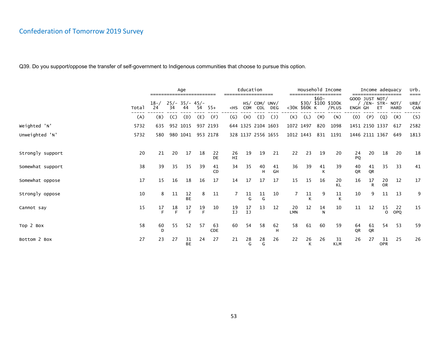|                  |       |                |         | Age                    |         |           |                                                                                                                                                                                                                                                                                                                   | Education       |                      |                           |                  |              |         | Household Income<br>-------------------- |          | Income adequacy                    |                  |             | urb.<br>==== |
|------------------|-------|----------------|---------|------------------------|---------|-----------|-------------------------------------------------------------------------------------------------------------------------------------------------------------------------------------------------------------------------------------------------------------------------------------------------------------------|-----------------|----------------------|---------------------------|------------------|--------------|---------|------------------------------------------|----------|------------------------------------|------------------|-------------|--------------|
|                  | Total | $18 - /$<br>24 | 34      | $25/- 35/- 45/-$<br>44 | 54      | $55+$     | <hs< td=""><td><b>COM</b></td><td>HS/ COM/ UNV/<br/>COL</td><td><b>DEG</b></td><td></td><td>&lt;30K \$60K K</td><td><math>\$60-</math></td><td>\$30/ \$100 \$100K<br/>/PLUS</td><td>ENGH GH</td><td>GOOD JUST NOT/<br/><math>/EN-</math> STR- NOT/</td><td>ET</td><td><b>HARD</b></td><td>URB/<br/>CAN</td></hs<> | <b>COM</b>      | HS/ COM/ UNV/<br>COL | <b>DEG</b>                |                  | <30K \$60K K | $$60-$  | \$30/ \$100 \$100K<br>/PLUS              | ENGH GH  | GOOD JUST NOT/<br>$/EN-$ STR- NOT/ | ET               | <b>HARD</b> | URB/<br>CAN  |
|                  | (A)   | (B)            | (C)     | (D)                    | (E)     | (F)       | $\left(\mathsf{G}\right)$                                                                                                                                                                                                                                                                                         | (H)             | (I)                  | $\mathcal{L}(\mathsf{J})$ | (K)              | (L)          | (M)     | (N)                                      | (0)      | (P)                                | (Q)              | (R)         | (S)          |
| Weighted 'N'     | 5732  | 635            |         | 952 1015               |         | 937 2193  |                                                                                                                                                                                                                                                                                                                   |                 | 644 1325 2104 1603   |                           |                  | 1072 1497    | 820     | 1098                                     |          | 1451 2150 1337                     |                  | 617         | 2582         |
| Unweighted 'N'   | 5732  | 580            |         | 980 1041               |         | 953 2178  |                                                                                                                                                                                                                                                                                                                   |                 | 328 1137 2556 1655   |                           |                  | 1012 1443    | 831     | 1191                                     |          | 1446 2111 1367                     |                  | 649         | 1813         |
|                  |       |                |         |                        |         |           |                                                                                                                                                                                                                                                                                                                   |                 |                      |                           |                  |              |         |                                          |          |                                    |                  |             |              |
| Strongly support | 20    | 21             | 20      | 17                     | 18      | 22<br>DE  | 26<br>HI                                                                                                                                                                                                                                                                                                          | 19              | 19                   | 21                        | 22               | 23           | 19      | 20                                       | 24<br>PQ | 20                                 | 18               | 20          | 18           |
| Somewhat support | 38    | 39             | 35      | 35                     | 39      | 41<br>CD  | 34                                                                                                                                                                                                                                                                                                                | 35              | 40<br>Н              | 41<br>GH                  | 36               | 39           | 41<br>K | 39                                       | 40<br>QR | 41<br>QR                           | 35               | 33          | 41           |
| Somewhat oppose  | 17    | 15             | 16      | 18                     | 16      | 17        | 14                                                                                                                                                                                                                                                                                                                | 17              | 17                   | 17                        | 15               | 15           | 16      | 20<br><b>KL</b>                          | 16       | 17<br>R                            | $\frac{20}{0}$   | 12          | 17           |
| Strongly oppose  | 10    | 8              | 11      | 12<br><b>BE</b>        | 8       | 11        | 7                                                                                                                                                                                                                                                                                                                 | 11              | 11<br>G              | 10                        |                  | 11<br>к      | 9       | 11                                       | 10       | 9                                  | 11               | 13          | 9            |
| Cannot say       | 15    | 17<br>E        | 18<br>F | 17<br>E                | 19<br>E | 10        | 19<br>IJ                                                                                                                                                                                                                                                                                                          | $\frac{17}{1J}$ | 13                   | 12                        | 20<br><b>LMN</b> | 12           | 14<br>N | 10                                       | 11       | 12                                 | 15<br>$\Omega$   | 22<br>OPQ   | 15           |
| Top 2 Box        | 58    | 60<br>D        | 55      | 52                     | 57      | 63<br>CDE | 60                                                                                                                                                                                                                                                                                                                | 54              | 58                   | 62                        | 58               | 61           | 60      | 59                                       | 64<br>QR | 61<br>QR                           | 54               | 53          | 59           |
| Bottom 2 Box     | 27    | 23             | 27      | 31<br><b>BE</b>        | 24      | 27        | 21                                                                                                                                                                                                                                                                                                                | 28<br>G         | 28<br>G              | 26                        | 22               | 26<br>К      | 26      | 31<br><b>KLM</b>                         | 26       | 27                                 | 31<br><b>OPR</b> | 25          | 26           |